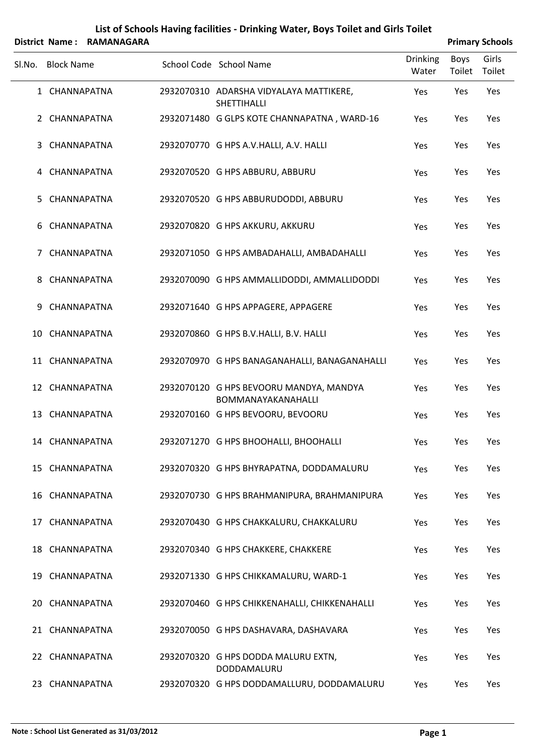|        |                   | District Name: RAMANAGARA |                                                                      |                          | <b>Primary Schools</b> |                 |
|--------|-------------------|---------------------------|----------------------------------------------------------------------|--------------------------|------------------------|-----------------|
| Sl.No. | <b>Block Name</b> |                           | School Code School Name                                              | <b>Drinking</b><br>Water | Boys<br>Toilet         | Girls<br>Toilet |
|        | 1 CHANNAPATNA     |                           | 2932070310 ADARSHA VIDYALAYA MATTIKERE,<br>SHETTIHALLI               | Yes                      | Yes                    | Yes             |
|        | 2 CHANNAPATNA     |                           | 2932071480 G GLPS KOTE CHANNAPATNA, WARD-16                          | Yes                      | Yes                    | Yes             |
| 3      | CHANNAPATNA       |                           | 2932070770 G HPS A.V.HALLI, A.V. HALLI                               | Yes                      | Yes                    | Yes             |
|        | 4 CHANNAPATNA     |                           | 2932070520 G HPS ABBURU, ABBURU                                      | Yes                      | Yes                    | Yes             |
| 5.     | CHANNAPATNA       |                           | 2932070520 G HPS ABBURUDODDI, ABBURU                                 | Yes                      | Yes                    | Yes             |
| 6      | CHANNAPATNA       |                           | 2932070820 G HPS AKKURU, AKKURU                                      | Yes                      | Yes                    | Yes             |
| 7      | CHANNAPATNA       |                           | 2932071050 G HPS AMBADAHALLI, AMBADAHALLI                            | Yes                      | Yes                    | Yes             |
| 8      | CHANNAPATNA       |                           | 2932070090 G HPS AMMALLIDODDI, AMMALLIDODDI                          | Yes                      | Yes                    | Yes             |
| 9      | CHANNAPATNA       |                           | 2932071640 G HPS APPAGERE, APPAGERE                                  | Yes                      | Yes                    | Yes             |
| 10     | CHANNAPATNA       |                           | 2932070860 G HPS B.V.HALLI, B.V. HALLI                               | Yes                      | Yes                    | Yes             |
| 11     | CHANNAPATNA       |                           | 2932070970 G HPS BANAGANAHALLI, BANAGANAHALLI                        | Yes                      | Yes                    | Yes             |
|        | 12 CHANNAPATNA    |                           | 2932070120 G HPS BEVOORU MANDYA, MANDYA<br><b>BOMMANAYAKANAHALLI</b> | Yes                      | Yes                    | Yes             |
| 13     | CHANNAPATNA       |                           | 2932070160 G HPS BEVOORU, BEVOORU                                    | Yes                      | Yes                    | Yes             |
|        | 14 CHANNAPATNA    |                           | 2932071270 G HPS BHOOHALLI, BHOOHALLI                                | Yes                      | Yes                    | Yes             |
|        | 15 CHANNAPATNA    |                           | 2932070320 G HPS BHYRAPATNA, DODDAMALURU                             | Yes                      | Yes                    | Yes             |
|        | 16 CHANNAPATNA    |                           | 2932070730 G HPS BRAHMANIPURA, BRAHMANIPURA                          | Yes                      | Yes                    | Yes             |
| 17     | CHANNAPATNA       |                           | 2932070430 G HPS CHAKKALURU, CHAKKALURU                              | Yes                      | Yes                    | Yes             |
|        | 18 CHANNAPATNA    |                           | 2932070340 G HPS CHAKKERE, CHAKKERE                                  | Yes                      | Yes                    | Yes             |
|        | 19 CHANNAPATNA    |                           | 2932071330 G HPS CHIKKAMALURU, WARD-1                                | Yes                      | Yes                    | Yes             |
| 20     | CHANNAPATNA       |                           | 2932070460 G HPS CHIKKENAHALLI, CHIKKENAHALLI                        | Yes                      | Yes                    | Yes             |
|        | 21 CHANNAPATNA    |                           | 2932070050 G HPS DASHAVARA, DASHAVARA                                | Yes                      | Yes                    | Yes             |
|        | 22 CHANNAPATNA    |                           | 2932070320 G HPS DODDA MALURU EXTN,<br>DODDAMALURU                   | Yes                      | Yes                    | Yes             |
|        | 23 CHANNAPATNA    |                           | 2932070320 G HPS DODDAMALLURU, DODDAMALURU                           | Yes                      | Yes                    | Yes             |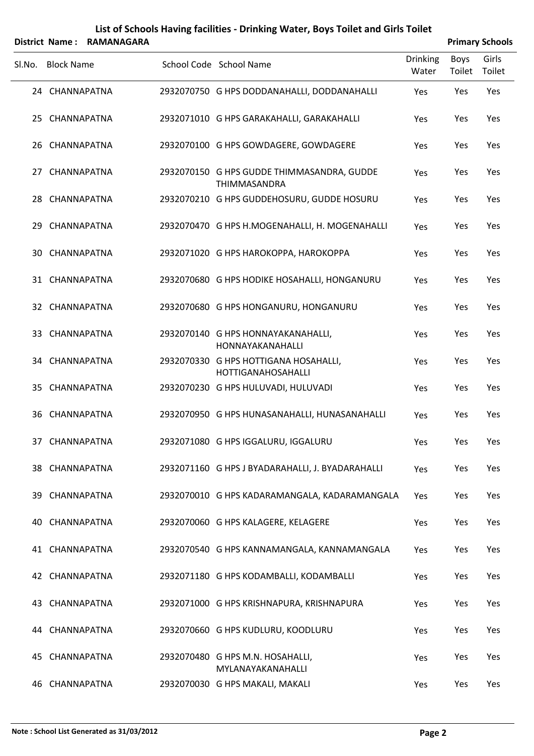|        |                   | District Name: RAMANAGARA |                                                             |                          |                | <b>Primary Schools</b> |
|--------|-------------------|---------------------------|-------------------------------------------------------------|--------------------------|----------------|------------------------|
| Sl.No. | <b>Block Name</b> |                           | School Code School Name                                     | <b>Drinking</b><br>Water | Boys<br>Toilet | Girls<br>Toilet        |
|        | 24 CHANNAPATNA    |                           | 2932070750 G HPS DODDANAHALLI, DODDANAHALLI                 | Yes                      | Yes            | Yes                    |
|        | 25 CHANNAPATNA    |                           | 2932071010 G HPS GARAKAHALLI, GARAKAHALLI                   | Yes                      | Yes            | Yes                    |
|        | 26 CHANNAPATNA    |                           | 2932070100 G HPS GOWDAGERE, GOWDAGERE                       | Yes                      | Yes            | Yes                    |
|        | 27 CHANNAPATNA    |                           | 2932070150 G HPS GUDDE THIMMASANDRA, GUDDE<br>THIMMASANDRA  | Yes                      | Yes            | Yes                    |
|        | 28 CHANNAPATNA    |                           | 2932070210 G HPS GUDDEHOSURU, GUDDE HOSURU                  | Yes                      | Yes            | Yes                    |
|        | 29 CHANNAPATNA    |                           | 2932070470 G HPS H.MOGENAHALLI, H. MOGENAHALLI              | Yes                      | Yes            | Yes                    |
|        | 30 CHANNAPATNA    |                           | 2932071020 G HPS HAROKOPPA, HAROKOPPA                       | Yes                      | Yes            | Yes                    |
|        | 31 CHANNAPATNA    |                           | 2932070680 G HPS HODIKE HOSAHALLI, HONGANURU                | Yes                      | Yes            | Yes                    |
|        | 32 CHANNAPATNA    |                           | 2932070680 G HPS HONGANURU, HONGANURU                       | Yes                      | Yes            | Yes                    |
|        | 33 CHANNAPATNA    |                           | 2932070140 G HPS HONNAYAKANAHALLI,<br>HONNAYAKANAHALLI      | Yes                      | Yes            | Yes                    |
|        | 34 CHANNAPATNA    |                           | 2932070330 G HPS HOTTIGANA HOSAHALLI,<br>HOTTIGANAHOSAHALLI | Yes                      | Yes            | Yes                    |
|        | 35 CHANNAPATNA    |                           | 2932070230 G HPS HULUVADI, HULUVADI                         | Yes                      | Yes            | Yes                    |
|        | 36 CHANNAPATNA    |                           | 2932070950 G HPS HUNASANAHALLI, HUNASANAHALLI               | Yes                      | Yes            | Yes                    |
|        | 37 CHANNAPATNA    |                           | 2932071080 G HPS IGGALURU, IGGALURU                         | Yes                      | Yes            | Yes                    |
|        | 38 CHANNAPATNA    |                           | 2932071160 G HPS J BYADARAHALLI, J. BYADARAHALLI            | Yes                      | Yes            | Yes                    |
|        | 39 CHANNAPATNA    |                           | 2932070010 G HPS KADARAMANGALA, KADARAMANGALA               | Yes                      | Yes            | Yes                    |
|        | 40 CHANNAPATNA    |                           | 2932070060 G HPS KALAGERE, KELAGERE                         | Yes                      | Yes            | Yes                    |
|        | 41 CHANNAPATNA    |                           | 2932070540 G HPS KANNAMANGALA, KANNAMANGALA                 | Yes                      | Yes            | Yes                    |
|        | 42 CHANNAPATNA    |                           | 2932071180 G HPS KODAMBALLI, KODAMBALLI                     | Yes                      | Yes            | Yes                    |
|        | 43 CHANNAPATNA    |                           | 2932071000 G HPS KRISHNAPURA, KRISHNAPURA                   | Yes                      | Yes            | Yes                    |
|        | 44 CHANNAPATNA    |                           | 2932070660 G HPS KUDLURU, KOODLURU                          | Yes                      | Yes            | Yes                    |
|        | 45 CHANNAPATNA    |                           | 2932070480 G HPS M.N. HOSAHALLI,<br>MYLANAYAKANAHALLI       | Yes                      | Yes            | Yes                    |
|        | 46 CHANNAPATNA    |                           | 2932070030 G HPS MAKALI, MAKALI                             | Yes                      | Yes            | Yes                    |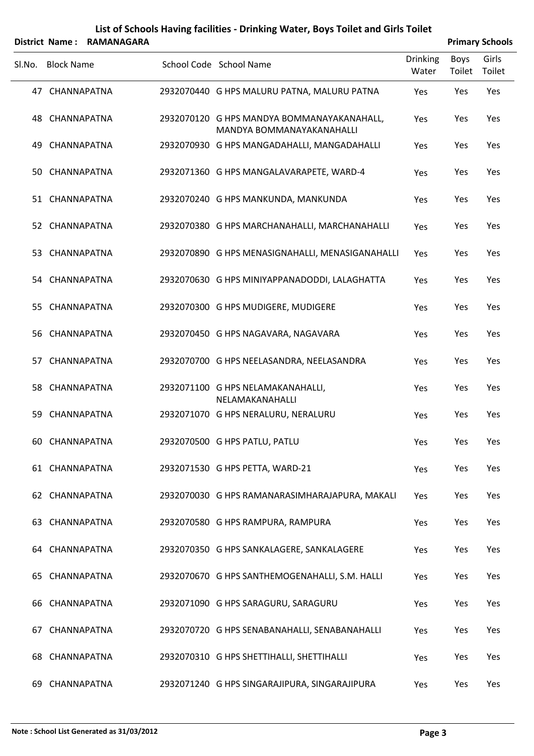|        |                   | District Name: RAMANAGARA |                                                                         |                          |                | <b>Primary Schools</b> |
|--------|-------------------|---------------------------|-------------------------------------------------------------------------|--------------------------|----------------|------------------------|
| Sl.No. | <b>Block Name</b> |                           | School Code School Name                                                 | <b>Drinking</b><br>Water | Boys<br>Toilet | Girls<br>Toilet        |
|        | 47 CHANNAPATNA    |                           | 2932070440 G HPS MALURU PATNA, MALURU PATNA                             | Yes                      | Yes            | Yes                    |
|        | 48 CHANNAPATNA    |                           | 2932070120 G HPS MANDYA BOMMANAYAKANAHALL,<br>MANDYA BOMMANAYAKANAHALLI | Yes                      | Yes            | Yes                    |
| 49     | CHANNAPATNA       |                           | 2932070930 G HPS MANGADAHALLI, MANGADAHALLI                             | Yes                      | Yes            | Yes                    |
|        | 50 CHANNAPATNA    |                           | 2932071360 G HPS MANGALAVARAPETE, WARD-4                                | Yes                      | Yes            | Yes                    |
|        | 51 CHANNAPATNA    |                           | 2932070240 G HPS MANKUNDA, MANKUNDA                                     | Yes                      | Yes            | Yes                    |
|        | 52 CHANNAPATNA    |                           | 2932070380 G HPS MARCHANAHALLI, MARCHANAHALLI                           | Yes                      | Yes            | Yes                    |
|        | 53 CHANNAPATNA    |                           | 2932070890 G HPS MENASIGNAHALLI, MENASIGANAHALLI                        | Yes                      | Yes            | Yes                    |
|        | 54 CHANNAPATNA    |                           | 2932070630 G HPS MINIYAPPANADODDI, LALAGHATTA                           | Yes                      | Yes            | Yes                    |
| 55.    | CHANNAPATNA       |                           | 2932070300 G HPS MUDIGERE, MUDIGERE                                     | Yes                      | Yes            | Yes                    |
|        | 56 CHANNAPATNA    |                           | 2932070450 G HPS NAGAVARA, NAGAVARA                                     | Yes                      | Yes            | Yes                    |
| 57     | CHANNAPATNA       |                           | 2932070700 G HPS NEELASANDRA, NEELASANDRA                               | Yes                      | Yes            | Yes                    |
|        | 58 CHANNAPATNA    |                           | 2932071100 G HPS NELAMAKANAHALLI,<br>NELAMAKANAHALLI                    | Yes                      | Yes            | Yes                    |
| 59     | CHANNAPATNA       |                           | 2932071070 G HPS NERALURU, NERALURU                                     | Yes                      | Yes            | Yes                    |
|        | 60 CHANNAPATNA    |                           | 2932070500 G HPS PATLU, PATLU                                           | Yes                      | Yes            | Yes                    |
|        | 61 CHANNAPATNA    |                           | 2932071530 G HPS PETTA, WARD-21                                         | Yes                      | Yes            | Yes                    |
|        | 62 CHANNAPATNA    |                           | 2932070030 G HPS RAMANARASIMHARAJAPURA, MAKALI                          | Yes                      | Yes            | Yes                    |
|        | 63 CHANNAPATNA    |                           | 2932070580 G HPS RAMPURA, RAMPURA                                       | Yes                      | Yes            | Yes                    |
|        | 64 CHANNAPATNA    |                           | 2932070350 G HPS SANKALAGERE, SANKALAGERE                               | Yes                      | Yes            | Yes                    |
|        | 65 CHANNAPATNA    |                           | 2932070670 G HPS SANTHEMOGENAHALLI, S.M. HALLI                          | Yes                      | Yes            | Yes                    |
|        | 66 CHANNAPATNA    |                           | 2932071090 G HPS SARAGURU, SARAGURU                                     | Yes                      | Yes            | Yes                    |
| 67.    | CHANNAPATNA       |                           | 2932070720 G HPS SENABANAHALLI, SENABANAHALLI                           | Yes                      | Yes            | Yes                    |
|        | 68 CHANNAPATNA    |                           | 2932070310 G HPS SHETTIHALLI, SHETTIHALLI                               | Yes                      | Yes            | Yes                    |
| 69.    | CHANNAPATNA       |                           | 2932071240 G HPS SINGARAJIPURA, SINGARAJIPURA                           | Yes                      | Yes            | Yes                    |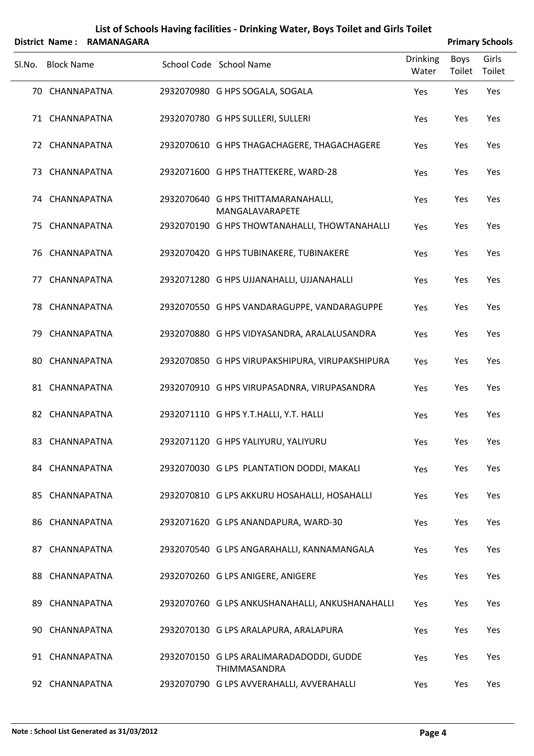|        |                   | District Name: RAMANAGARA |                                                           |                          |                | <b>Primary Schools</b> |
|--------|-------------------|---------------------------|-----------------------------------------------------------|--------------------------|----------------|------------------------|
| SI.No. | <b>Block Name</b> |                           | School Code School Name                                   | <b>Drinking</b><br>Water | Boys<br>Toilet | Girls<br>Toilet        |
|        | 70 CHANNAPATNA    |                           | 2932070980 G HPS SOGALA, SOGALA                           | Yes                      | Yes            | Yes                    |
|        | 71 CHANNAPATNA    |                           | 2932070780 G HPS SULLERI, SULLERI                         | Yes                      | Yes            | Yes                    |
|        | 72 CHANNAPATNA    |                           | 2932070610 G HPS THAGACHAGERE, THAGACHAGERE               | Yes                      | Yes            | Yes                    |
|        | 73 CHANNAPATNA    |                           | 2932071600 G HPS THATTEKERE, WARD-28                      | Yes                      | Yes            | Yes                    |
|        | 74 CHANNAPATNA    |                           | 2932070640 G HPS THITTAMARANAHALLI,<br>MANGALAVARAPETE    | Yes                      | Yes            | Yes                    |
|        | 75 CHANNAPATNA    |                           | 2932070190 G HPS THOWTANAHALLI, THOWTANAHALLI             | Yes                      | Yes            | Yes                    |
|        | 76 CHANNAPATNA    |                           | 2932070420 G HPS TUBINAKERE, TUBINAKERE                   | Yes                      | Yes            | Yes                    |
| 77     | CHANNAPATNA       |                           | 2932071280 G HPS UJJANAHALLI, UJJANAHALLI                 | Yes                      | Yes            | Yes                    |
|        | 78 CHANNAPATNA    |                           | 2932070550 G HPS VANDARAGUPPE, VANDARAGUPPE               | Yes                      | Yes            | Yes                    |
| 79     | CHANNAPATNA       |                           | 2932070880 G HPS VIDYASANDRA, ARALALUSANDRA               | Yes                      | Yes            | Yes                    |
| 80     | CHANNAPATNA       |                           | 2932070850 G HPS VIRUPAKSHIPURA, VIRUPAKSHIPURA           | Yes                      | Yes            | Yes                    |
|        | 81 CHANNAPATNA    |                           | 2932070910 G HPS VIRUPASADNRA, VIRUPASANDRA               | Yes                      | Yes            | Yes                    |
|        | 82 CHANNAPATNA    |                           | 2932071110 G HPS Y.T.HALLI, Y.T. HALLI                    | Yes                      | Yes            | Yes                    |
|        | 83 CHANNAPATNA    |                           | 2932071120 G HPS YALIYURU, YALIYURU                       | Yes                      | Yes            | Yes                    |
|        | 84 CHANNAPATNA    |                           | 2932070030 G LPS PLANTATION DODDI, MAKALI                 | Yes                      | Yes            | Yes                    |
|        | 85 CHANNAPATNA    |                           | 2932070810 G LPS AKKURU HOSAHALLI, HOSAHALLI              | Yes                      | Yes            | Yes                    |
|        | 86 CHANNAPATNA    |                           | 2932071620 G LPS ANANDAPURA, WARD-30                      | Yes                      | Yes            | Yes                    |
|        | 87 CHANNAPATNA    |                           | 2932070540 G LPS ANGARAHALLI, KANNAMANGALA                | Yes                      | Yes            | Yes                    |
|        | 88 CHANNAPATNA    |                           | 2932070260 G LPS ANIGERE, ANIGERE                         | Yes                      | Yes            | Yes                    |
|        | 89 CHANNAPATNA    |                           | 2932070760 G LPS ANKUSHANAHALLI, ANKUSHANAHALLI           | Yes                      | Yes            | Yes                    |
| 90     | CHANNAPATNA       |                           | 2932070130 G LPS ARALAPURA, ARALAPURA                     | Yes                      | Yes            | Yes                    |
|        | 91 CHANNAPATNA    |                           | 2932070150 G LPS ARALIMARADADODDI, GUDDE                  | Yes                      | Yes            | Yes                    |
|        | 92 CHANNAPATNA    |                           | THIMMASANDRA<br>2932070790 G LPS AVVERAHALLI, AVVERAHALLI | Yes                      | Yes            | Yes                    |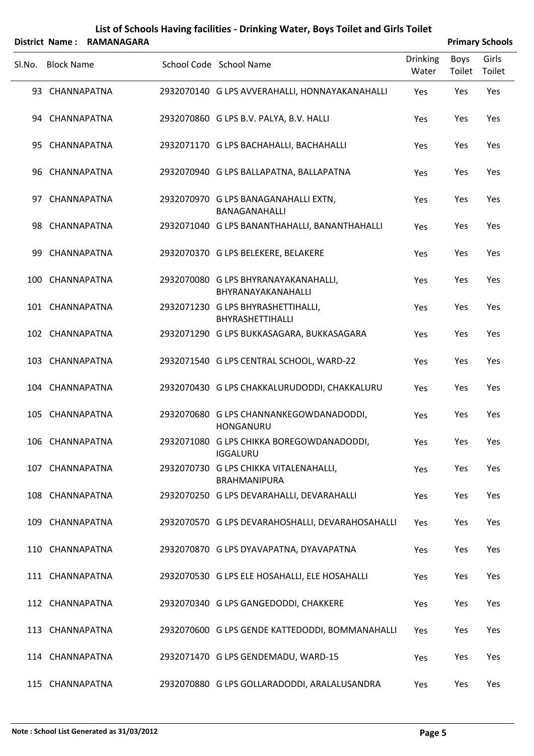|        |                   | District Name: RAMANAGARA |                                                              |                          |                | <b>Primary Schools</b> |
|--------|-------------------|---------------------------|--------------------------------------------------------------|--------------------------|----------------|------------------------|
| SI.No. | <b>Block Name</b> |                           | School Code School Name                                      | <b>Drinking</b><br>Water | Boys<br>Toilet | Girls<br>Toilet        |
|        | 93 CHANNAPATNA    |                           | 2932070140 G LPS AVVERAHALLI, HONNAYAKANAHALLI               | Yes                      | Yes            | Yes                    |
|        | 94 CHANNAPATNA    |                           | 2932070860 G LPS B.V. PALYA, B.V. HALLI                      | Yes                      | Yes            | Yes                    |
|        | 95 CHANNAPATNA    |                           | 2932071170 G LPS BACHAHALLI, BACHAHALLI                      | Yes                      | Yes            | Yes                    |
|        | 96 CHANNAPATNA    |                           | 2932070940 G LPS BALLAPATNA, BALLAPATNA                      | Yes                      | Yes            | Yes                    |
|        | 97 CHANNAPATNA    |                           | 2932070970 G LPS BANAGANAHALLI EXTN,<br>BANAGANAHALLI        | Yes                      | Yes            | Yes                    |
|        | 98 CHANNAPATNA    |                           | 2932071040 G LPS BANANTHAHALLI, BANANTHAHALLI                | Yes                      | Yes            | Yes                    |
|        | 99 CHANNAPATNA    |                           | 2932070370 G LPS BELEKERE, BELAKERE                          | Yes                      | Yes            | Yes                    |
|        | 100 CHANNAPATNA   |                           | 2932070080 G LPS BHYRANAYAKANAHALLI,<br>BHYRANAYAKANAHALLI   | Yes                      | Yes            | Yes                    |
|        | 101 CHANNAPATNA   |                           | 2932071230 G LPS BHYRASHETTIHALLI,<br>BHYRASHETTIHALLI       | Yes                      | Yes            | Yes                    |
|        | 102 CHANNAPATNA   |                           | 2932071290 G LPS BUKKASAGARA, BUKKASAGARA                    | Yes                      | Yes            | Yes                    |
|        | 103 CHANNAPATNA   |                           | 2932071540 G LPS CENTRAL SCHOOL, WARD-22                     | Yes                      | Yes            | Yes                    |
|        | 104 CHANNAPATNA   |                           | 2932070430 G LPS CHAKKALURUDODDI, CHAKKALURU                 | Yes                      | Yes            | Yes                    |
|        | 105 CHANNAPATNA   |                           | 2932070680 G LPS CHANNANKEGOWDANADODDI,<br>HONGANURU         | Yes                      | Yes            | Yes                    |
|        | 106 CHANNAPATNA   |                           | 2932071080 G LPS CHIKKA BOREGOWDANADODDI,<br><b>IGGALURU</b> | Yes                      | Yes            | Yes                    |
|        | 107 CHANNAPATNA   |                           | 2932070730 G LPS CHIKKA VITALENAHALLI,<br>BRAHMANIPURA       | Yes                      | Yes            | Yes                    |
|        | 108 CHANNAPATNA   |                           | 2932070250 G LPS DEVARAHALLI, DEVARAHALLI                    | Yes                      | Yes            | Yes                    |
|        | 109 CHANNAPATNA   |                           | 2932070570 G LPS DEVARAHOSHALLI, DEVARAHOSAHALLI             | Yes                      | Yes            | Yes                    |
|        | 110 CHANNAPATNA   |                           | 2932070870 G LPS DYAVAPATNA, DYAVAPATNA                      | Yes                      | Yes            | Yes                    |
|        | 111 CHANNAPATNA   |                           | 2932070530 G LPS ELE HOSAHALLI, ELE HOSAHALLI                | Yes                      | Yes            | Yes                    |
|        | 112 CHANNAPATNA   |                           | 2932070340 G LPS GANGEDODDI, CHAKKERE                        | Yes                      | Yes            | Yes                    |
|        | 113 CHANNAPATNA   |                           | 2932070600 G LPS GENDE KATTEDODDI, BOMMANAHALLI              | Yes                      | Yes            | Yes                    |
|        | 114 CHANNAPATNA   |                           | 2932071470 G LPS GENDEMADU, WARD-15                          | Yes                      | Yes            | Yes                    |
|        | 115 CHANNAPATNA   |                           | 2932070880 G LPS GOLLARADODDI, ARALALUSANDRA                 | Yes                      | Yes            | Yes                    |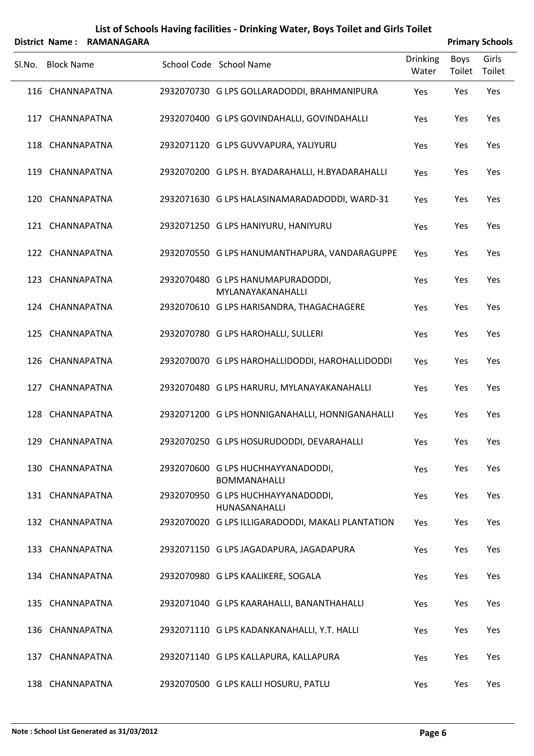|        |                   | District Name: RAMANAGARA |                                                           |                          |                       | <b>Primary Schools</b> |
|--------|-------------------|---------------------------|-----------------------------------------------------------|--------------------------|-----------------------|------------------------|
| SI.No. | <b>Block Name</b> |                           | School Code School Name                                   | <b>Drinking</b><br>Water | <b>Boys</b><br>Toilet | Girls<br>Toilet        |
|        | 116 CHANNAPATNA   |                           | 2932070730 G LPS GOLLARADODDI, BRAHMANIPURA               | Yes                      | Yes                   | Yes                    |
|        | 117 CHANNAPATNA   |                           | 2932070400 G LPS GOVINDAHALLI, GOVINDAHALLI               | Yes                      | Yes                   | Yes                    |
|        | 118 CHANNAPATNA   |                           | 2932071120 G LPS GUVVAPURA, YALIYURU                      | Yes                      | Yes                   | Yes                    |
|        | 119 CHANNAPATNA   |                           | 2932070200 G LPS H. BYADARAHALLI, H.BYADARAHALLI          | Yes                      | Yes                   | Yes                    |
|        | 120 CHANNAPATNA   |                           | 2932071630 G LPS HALASINAMARADADODDI, WARD-31             | Yes                      | Yes                   | Yes                    |
|        | 121 CHANNAPATNA   |                           | 2932071250 G LPS HANIYURU, HANIYURU                       | Yes                      | Yes                   | Yes                    |
|        | 122 CHANNAPATNA   |                           | 2932070550 G LPS HANUMANTHAPURA, VANDARAGUPPE             | Yes                      | Yes                   | Yes                    |
|        | 123 CHANNAPATNA   |                           | 2932070480 G LPS HANUMAPURADODDI,<br>MYLANAYAKANAHALLI    | Yes                      | Yes                   | Yes                    |
|        | 124 CHANNAPATNA   |                           | 2932070610 G LPS HARISANDRA, THAGACHAGERE                 | Yes                      | Yes                   | Yes                    |
|        | 125 CHANNAPATNA   |                           | 2932070780 G LPS HAROHALLI, SULLERI                       | Yes                      | Yes                   | Yes                    |
|        | 126 CHANNAPATNA   |                           | 2932070070 G LPS HAROHALLIDODDI, HAROHALLIDODDI           | Yes                      | Yes                   | Yes                    |
|        | 127 CHANNAPATNA   |                           | 2932070480 G LPS HARURU, MYLANAYAKANAHALLI                | Yes                      | Yes                   | Yes                    |
|        | 128 CHANNAPATNA   |                           | 2932071200 G LPS HONNIGANAHALLI, HONNIGANAHALLI           | Yes                      | Yes                   | Yes                    |
|        | 129 CHANNAPATNA   |                           | 2932070250 G LPS HOSURUDODDI, DEVARAHALLI                 | Yes                      | Yes                   | Yes                    |
|        | 130 CHANNAPATNA   |                           | 2932070600 G LPS HUCHHAYYANADODDI,<br><b>BOMMANAHALLI</b> | Yes                      | Yes                   | Yes                    |
|        | 131 CHANNAPATNA   |                           | 2932070950 G LPS HUCHHAYYANADODDI,<br>HUNASANAHALLI       | Yes                      | Yes                   | Yes                    |
|        | 132 CHANNAPATNA   |                           | 2932070020 G LPS ILLIGARADODDI, MAKALI PLANTATION         | Yes                      | Yes                   | Yes                    |
|        | 133 CHANNAPATNA   |                           | 2932071150 G LPS JAGADAPURA, JAGADAPURA                   | Yes                      | Yes                   | Yes                    |
|        | 134 CHANNAPATNA   |                           | 2932070980 G LPS KAALIKERE, SOGALA                        | Yes                      | Yes                   | Yes                    |
|        | 135 CHANNAPATNA   |                           | 2932071040 G LPS KAARAHALLI, BANANTHAHALLI                | Yes                      | Yes                   | Yes                    |
|        | 136 CHANNAPATNA   |                           | 2932071110 G LPS KADANKANAHALLI, Y.T. HALLI               | Yes                      | Yes                   | Yes                    |
|        | 137 CHANNAPATNA   |                           | 2932071140 G LPS KALLAPURA, KALLAPURA                     | Yes                      | Yes                   | Yes                    |
|        | 138 CHANNAPATNA   |                           | 2932070500 G LPS KALLI HOSURU, PATLU                      | Yes                      | Yes                   | Yes                    |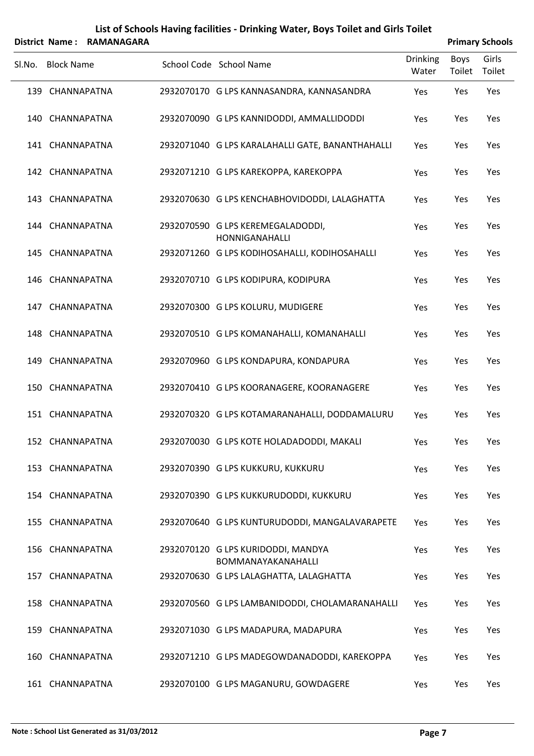|        |                   | District Name: RAMANAGARA |                                                            |                          |                       | <b>Primary Schools</b> |
|--------|-------------------|---------------------------|------------------------------------------------------------|--------------------------|-----------------------|------------------------|
| Sl.No. | <b>Block Name</b> |                           | School Code School Name                                    | <b>Drinking</b><br>Water | <b>Boys</b><br>Toilet | Girls<br>Toilet        |
|        | 139 CHANNAPATNA   |                           | 2932070170 G LPS KANNASANDRA, KANNASANDRA                  | Yes                      | Yes                   | Yes                    |
|        | 140 CHANNAPATNA   |                           | 2932070090 G LPS KANNIDODDI, AMMALLIDODDI                  | Yes                      | Yes                   | Yes                    |
|        | 141 CHANNAPATNA   |                           | 2932071040 G LPS KARALAHALLI GATE, BANANTHAHALLI           | Yes                      | Yes                   | Yes                    |
|        | 142 CHANNAPATNA   |                           | 2932071210 G LPS KAREKOPPA, KAREKOPPA                      | Yes                      | Yes                   | Yes                    |
|        | 143 CHANNAPATNA   |                           | 2932070630 G LPS KENCHABHOVIDODDI, LALAGHATTA              | Yes                      | Yes                   | Yes                    |
|        | 144 CHANNAPATNA   |                           | 2932070590 G LPS KEREMEGALADODDI,<br><b>HONNIGANAHALLI</b> | Yes                      | Yes                   | Yes                    |
|        | 145 CHANNAPATNA   |                           | 2932071260 G LPS KODIHOSAHALLI, KODIHOSAHALLI              | Yes                      | Yes                   | Yes                    |
|        | 146 CHANNAPATNA   |                           | 2932070710 G LPS KODIPURA, KODIPURA                        | Yes                      | Yes                   | Yes                    |
| 147    | CHANNAPATNA       |                           | 2932070300 G LPS KOLURU, MUDIGERE                          | Yes                      | Yes                   | Yes                    |
|        | 148 CHANNAPATNA   |                           | 2932070510 G LPS KOMANAHALLI, KOMANAHALLI                  | Yes                      | Yes                   | Yes                    |
| 149    | CHANNAPATNA       |                           | 2932070960 G LPS KONDAPURA, KONDAPURA                      | Yes                      | Yes                   | Yes                    |
|        | 150 CHANNAPATNA   |                           | 2932070410 G LPS KOORANAGERE, KOORANAGERE                  | Yes                      | Yes                   | Yes                    |
|        | 151 CHANNAPATNA   |                           | 2932070320 G LPS KOTAMARANAHALLI, DODDAMALURU              | Yes                      | Yes                   | Yes                    |
|        | 152 CHANNAPATNA   |                           | 2932070030 G LPS KOTE HOLADADODDI, MAKALI                  | Yes                      | Yes                   | Yes                    |
|        | 153 CHANNAPATNA   |                           | 2932070390 G LPS KUKKURU, KUKKURU                          | Yes                      | Yes                   | Yes                    |
|        | 154 CHANNAPATNA   |                           | 2932070390 G LPS KUKKURUDODDI, KUKKURU                     | Yes                      | Yes                   | Yes                    |
|        | 155 CHANNAPATNA   |                           | 2932070640 G LPS KUNTURUDODDI, MANGALAVARAPETE             | Yes                      | Yes                   | Yes                    |
|        | 156 CHANNAPATNA   |                           | 2932070120 G LPS KURIDODDI, MANDYA<br>BOMMANAYAKANAHALLI   | Yes                      | Yes                   | Yes                    |
|        | 157 CHANNAPATNA   |                           | 2932070630 G LPS LALAGHATTA, LALAGHATTA                    | Yes                      | Yes                   | Yes                    |
|        | 158 CHANNAPATNA   |                           | 2932070560 G LPS LAMBANIDODDI, CHOLAMARANAHALLI            | Yes                      | Yes                   | Yes                    |
|        | 159 CHANNAPATNA   |                           | 2932071030 G LPS MADAPURA, MADAPURA                        | Yes                      | Yes                   | Yes                    |
|        | 160 CHANNAPATNA   |                           | 2932071210 G LPS MADEGOWDANADODDI, KAREKOPPA               | Yes                      | Yes                   | Yes                    |
|        | 161 CHANNAPATNA   |                           | 2932070100 G LPS MAGANURU, GOWDAGERE                       | Yes                      | Yes                   | Yes                    |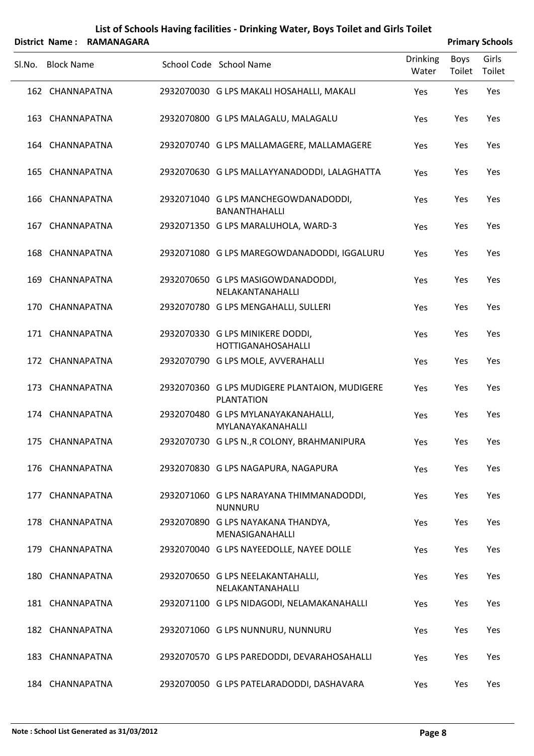|        |                   | District Name: RAMANAGARA |                                                                    |                          |                | <b>Primary Schools</b> |
|--------|-------------------|---------------------------|--------------------------------------------------------------------|--------------------------|----------------|------------------------|
| SI.No. | <b>Block Name</b> |                           | School Code School Name                                            | <b>Drinking</b><br>Water | Boys<br>Toilet | Girls<br>Toilet        |
|        | 162 CHANNAPATNA   |                           | 2932070030 G LPS MAKALI HOSAHALLI, MAKALI                          | Yes                      | Yes            | Yes                    |
|        | 163 CHANNAPATNA   |                           | 2932070800 G LPS MALAGALU, MALAGALU                                | Yes                      | Yes            | Yes                    |
|        | 164 CHANNAPATNA   |                           | 2932070740 G LPS MALLAMAGERE, MALLAMAGERE                          | Yes                      | Yes            | Yes                    |
|        | 165 CHANNAPATNA   |                           | 2932070630 G LPS MALLAYYANADODDI, LALAGHATTA                       | Yes                      | Yes            | Yes                    |
|        | 166 CHANNAPATNA   |                           | 2932071040 G LPS MANCHEGOWDANADODDI,<br><b>BANANTHAHALLI</b>       | Yes                      | Yes            | Yes                    |
|        | 167 CHANNAPATNA   |                           | 2932071350 G LPS MARALUHOLA, WARD-3                                | Yes                      | Yes            | Yes                    |
|        | 168 CHANNAPATNA   |                           | 2932071080 G LPS MAREGOWDANADODDI, IGGALURU                        | Yes                      | Yes            | Yes                    |
|        | 169 CHANNAPATNA   |                           | 2932070650 G LPS MASIGOWDANADODDI,<br>NELAKANTANAHALLI             | Yes                      | Yes            | Yes                    |
|        | 170 CHANNAPATNA   |                           | 2932070780 G LPS MENGAHALLI, SULLERI                               | Yes                      | Yes            | Yes                    |
|        | 171 CHANNAPATNA   |                           | 2932070330 G LPS MINIKERE DODDI,<br><b>HOTTIGANAHOSAHALLI</b>      | Yes                      | Yes            | Yes                    |
|        | 172 CHANNAPATNA   |                           | 2932070790 G LPS MOLE, AVVERAHALLI                                 | Yes                      | Yes            | Yes                    |
|        | 173 CHANNAPATNA   |                           | 2932070360 G LPS MUDIGERE PLANTAION, MUDIGERE<br><b>PLANTATION</b> | Yes                      | Yes            | Yes                    |
|        | 174 CHANNAPATNA   |                           | 2932070480 G LPS MYLANAYAKANAHALLI,<br>MYLANAYAKANAHALLI           | Yes                      | Yes            | Yes                    |
|        | 175 CHANNAPATNA   |                           | 2932070730 G LPS N., R COLONY, BRAHMANIPURA                        | Yes                      | Yes            | Yes                    |
|        | 176 CHANNAPATNA   |                           | 2932070830 G LPS NAGAPURA, NAGAPURA                                | Yes                      | Yes            | Yes                    |
|        | 177 CHANNAPATNA   |                           | 2932071060 G LPS NARAYANA THIMMANADODDI,<br><b>NUNNURU</b>         | Yes                      | Yes            | Yes                    |
|        | 178 CHANNAPATNA   |                           | 2932070890 G LPS NAYAKANA THANDYA,<br>MENASIGANAHALLI              | Yes                      | Yes            | Yes                    |
|        | 179 CHANNAPATNA   |                           | 2932070040 G LPS NAYEEDOLLE, NAYEE DOLLE                           | Yes                      | Yes            | Yes                    |
|        | 180 CHANNAPATNA   |                           | 2932070650 G LPS NEELAKANTAHALLI,<br>NELAKANTANAHALLI              | Yes                      | Yes            | Yes                    |
|        | 181 CHANNAPATNA   |                           | 2932071100 G LPS NIDAGODI, NELAMAKANAHALLI                         | Yes                      | Yes            | Yes                    |
|        | 182 CHANNAPATNA   |                           | 2932071060 G LPS NUNNURU, NUNNURU                                  | Yes                      | Yes            | Yes                    |
|        | 183 CHANNAPATNA   |                           | 2932070570 G LPS PAREDODDI, DEVARAHOSAHALLI                        | Yes                      | Yes            | Yes                    |
|        | 184 CHANNAPATNA   |                           | 2932070050 G LPS PATELARADODDI, DASHAVARA                          | Yes                      | Yes            | Yes                    |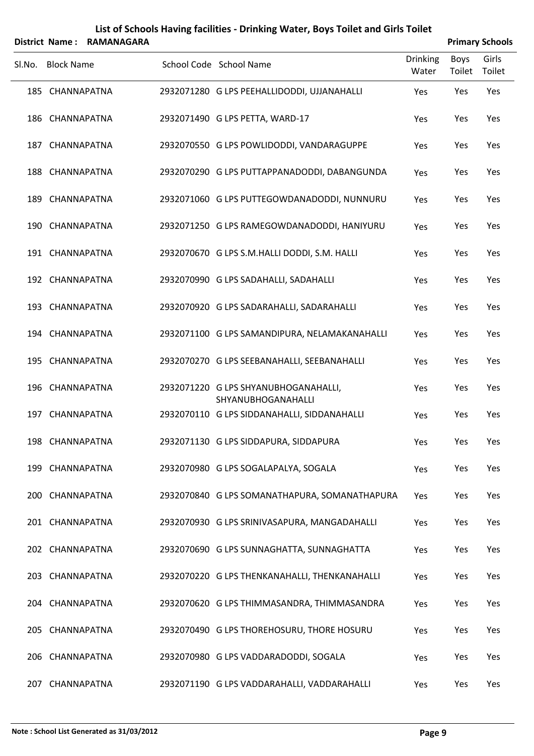|        |                   | District Name: RAMANAGARA |                                                            |                          |                | <b>Primary Schools</b> |
|--------|-------------------|---------------------------|------------------------------------------------------------|--------------------------|----------------|------------------------|
| SI.No. | <b>Block Name</b> |                           | School Code School Name                                    | <b>Drinking</b><br>Water | Boys<br>Toilet | Girls<br>Toilet        |
|        | 185 CHANNAPATNA   |                           | 2932071280 G LPS PEEHALLIDODDI, UJJANAHALLI                | Yes                      | Yes            | Yes                    |
|        | 186 CHANNAPATNA   |                           | 2932071490 G LPS PETTA, WARD-17                            | Yes                      | Yes            | Yes                    |
|        | 187 CHANNAPATNA   |                           | 2932070550 G LPS POWLIDODDI, VANDARAGUPPE                  | Yes                      | Yes            | Yes                    |
|        | 188 CHANNAPATNA   |                           | 2932070290 G LPS PUTTAPPANADODDI, DABANGUNDA               | Yes                      | Yes            | Yes                    |
|        | 189 CHANNAPATNA   |                           | 2932071060 G LPS PUTTEGOWDANADODDI, NUNNURU                | Yes                      | Yes            | Yes                    |
|        | 190 CHANNAPATNA   |                           | 2932071250 G LPS RAMEGOWDANADODDI, HANIYURU                | Yes                      | Yes            | Yes                    |
|        | 191 CHANNAPATNA   |                           | 2932070670 G LPS S.M.HALLI DODDI, S.M. HALLI               | Yes                      | Yes            | Yes                    |
|        | 192 CHANNAPATNA   |                           | 2932070990 G LPS SADAHALLI, SADAHALLI                      | Yes                      | Yes            | Yes                    |
|        | 193 CHANNAPATNA   |                           | 2932070920 G LPS SADARAHALLI, SADARAHALLI                  | Yes                      | Yes            | Yes                    |
|        | 194 CHANNAPATNA   |                           | 2932071100 G LPS SAMANDIPURA, NELAMAKANAHALLI              | Yes                      | Yes            | Yes                    |
|        | 195 CHANNAPATNA   |                           | 2932070270 G LPS SEEBANAHALLI, SEEBANAHALLI                | Yes                      | Yes            | Yes                    |
|        | 196 CHANNAPATNA   |                           | 2932071220 G LPS SHYANUBHOGANAHALLI,<br>SHYANUBHOGANAHALLI | Yes                      | Yes            | Yes                    |
|        | 197 CHANNAPATNA   |                           | 2932070110 G LPS SIDDANAHALLI, SIDDANAHALLI                | Yes                      | Yes            | Yes                    |
|        | 198 CHANNAPATNA   |                           | 2932071130 G LPS SIDDAPURA, SIDDAPURA                      | Yes                      | Yes            | Yes                    |
|        | 199 CHANNAPATNA   |                           | 2932070980 G LPS SOGALAPALYA, SOGALA                       | Yes                      | Yes            | Yes                    |
|        | 200 CHANNAPATNA   |                           | 2932070840 G LPS SOMANATHAPURA, SOMANATHAPURA              | Yes                      | Yes            | Yes                    |
|        | 201 CHANNAPATNA   |                           | 2932070930 G LPS SRINIVASAPURA, MANGADAHALLI               | Yes                      | Yes            | Yes                    |
|        | 202 CHANNAPATNA   |                           | 2932070690 G LPS SUNNAGHATTA, SUNNAGHATTA                  | Yes                      | Yes            | Yes                    |
|        | 203 CHANNAPATNA   |                           | 2932070220 G LPS THENKANAHALLI, THENKANAHALLI              | Yes                      | Yes            | Yes                    |
|        | 204 CHANNAPATNA   |                           | 2932070620 G LPS THIMMASANDRA, THIMMASANDRA                | Yes                      | Yes            | Yes                    |
|        | 205 CHANNAPATNA   |                           | 2932070490 G LPS THOREHOSURU, THORE HOSURU                 | Yes                      | Yes            | Yes                    |
|        | 206 CHANNAPATNA   |                           | 2932070980 G LPS VADDARADODDI, SOGALA                      | Yes                      | Yes            | Yes                    |
|        | 207 CHANNAPATNA   |                           | 2932071190 G LPS VADDARAHALLI, VADDARAHALLI                | Yes                      | Yes            | Yes                    |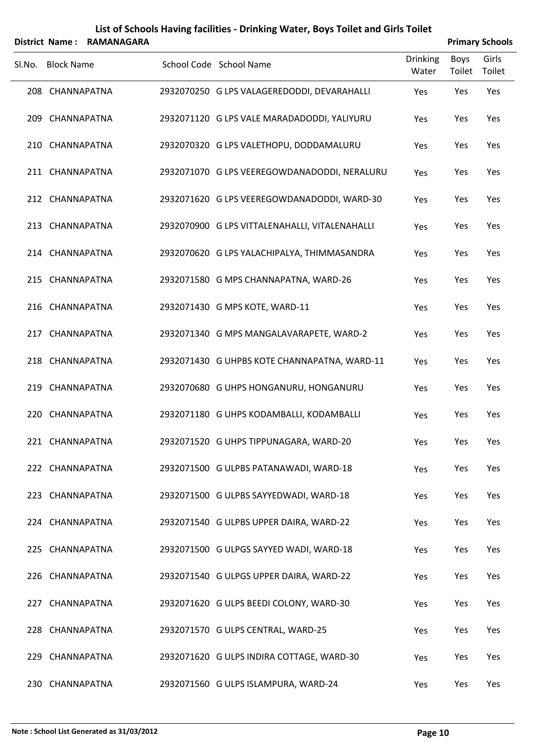|        |                   | District Name: RAMANAGARA |                                                |                          |                       | <b>Primary Schools</b> |
|--------|-------------------|---------------------------|------------------------------------------------|--------------------------|-----------------------|------------------------|
| SI.No. | <b>Block Name</b> |                           | School Code School Name                        | <b>Drinking</b><br>Water | <b>Boys</b><br>Toilet | Girls<br>Toilet        |
|        | 208 CHANNAPATNA   |                           | 2932070250 G LPS VALAGEREDODDI, DEVARAHALLI    | Yes                      | Yes                   | Yes                    |
|        | 209 CHANNAPATNA   |                           | 2932071120 G LPS VALE MARADADODDI, YALIYURU    | Yes                      | Yes                   | Yes                    |
|        | 210 CHANNAPATNA   |                           | 2932070320 G LPS VALETHOPU, DODDAMALURU        | Yes                      | Yes                   | Yes                    |
|        | 211 CHANNAPATNA   |                           | 2932071070 G LPS VEEREGOWDANADODDI, NERALURU   | Yes                      | Yes                   | Yes                    |
|        | 212 CHANNAPATNA   |                           | 2932071620 G LPS VEEREGOWDANADODDI, WARD-30    | Yes                      | Yes                   | Yes                    |
|        | 213 CHANNAPATNA   |                           | 2932070900 G LPS VITTALENAHALLI, VITALENAHALLI | Yes                      | Yes                   | Yes                    |
|        | 214 CHANNAPATNA   |                           | 2932070620 G LPS YALACHIPALYA, THIMMASANDRA    | Yes                      | Yes                   | Yes                    |
|        | 215 CHANNAPATNA   |                           | 2932071580 G MPS CHANNAPATNA, WARD-26          | Yes                      | Yes                   | Yes                    |
|        | 216 CHANNAPATNA   |                           | 2932071430 G MPS KOTE, WARD-11                 | Yes                      | Yes                   | Yes                    |
|        | 217 CHANNAPATNA   |                           | 2932071340 G MPS MANGALAVARAPETE, WARD-2       | Yes                      | Yes                   | Yes                    |
|        | 218 CHANNAPATNA   |                           | 2932071430 G UHPBS KOTE CHANNAPATNA, WARD-11   | Yes                      | Yes                   | Yes                    |
|        | 219 CHANNAPATNA   |                           | 2932070680 G UHPS HONGANURU, HONGANURU         | Yes                      | Yes                   | Yes                    |
|        | 220 CHANNAPATNA   |                           | 2932071180 G UHPS KODAMBALLI, KODAMBALLI       | Yes                      | Yes                   | Yes                    |
|        | 221 CHANNAPATNA   |                           | 2932071520 G UHPS TIPPUNAGARA, WARD-20         | Yes                      | Yes                   | Yes                    |
|        | 222 CHANNAPATNA   |                           | 2932071500 G ULPBS PATANAWADI, WARD-18         | Yes                      | Yes                   | Yes                    |
|        | 223 CHANNAPATNA   |                           | 2932071500 G ULPBS SAYYEDWADI, WARD-18         | Yes                      | Yes                   | Yes                    |
|        | 224 CHANNAPATNA   |                           | 2932071540 G ULPBS UPPER DAIRA, WARD-22        | Yes                      | Yes                   | Yes                    |
|        | 225 CHANNAPATNA   |                           | 2932071500 G ULPGS SAYYED WADI, WARD-18        | Yes                      | Yes                   | Yes                    |
|        | 226 CHANNAPATNA   |                           | 2932071540 G ULPGS UPPER DAIRA, WARD-22        | Yes                      | Yes                   | Yes                    |
|        | 227 CHANNAPATNA   |                           | 2932071620 G ULPS BEEDI COLONY, WARD-30        | Yes                      | Yes                   | Yes                    |
|        | 228 CHANNAPATNA   |                           | 2932071570 G ULPS CENTRAL, WARD-25             | Yes                      | Yes                   | Yes                    |
|        | 229 CHANNAPATNA   |                           | 2932071620 G ULPS INDIRA COTTAGE, WARD-30      | Yes                      | Yes                   | Yes                    |
|        | 230 CHANNAPATNA   |                           | 2932071560 G ULPS ISLAMPURA, WARD-24           | Yes                      | Yes                   | Yes                    |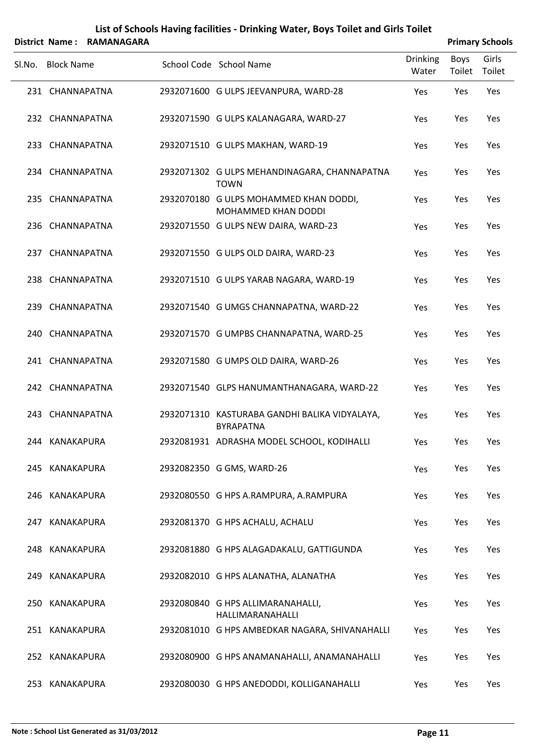|        |                   | District Name: RAMANAGARA |                                                                   |                          |                | <b>Primary Schools</b> |
|--------|-------------------|---------------------------|-------------------------------------------------------------------|--------------------------|----------------|------------------------|
| SI.No. | <b>Block Name</b> |                           | School Code School Name                                           | <b>Drinking</b><br>Water | Boys<br>Toilet | Girls<br>Toilet        |
|        | 231 CHANNAPATNA   |                           | 2932071600 G ULPS JEEVANPURA, WARD-28                             | Yes                      | Yes            | Yes                    |
|        | 232 CHANNAPATNA   |                           | 2932071590 G ULPS KALANAGARA, WARD-27                             | Yes                      | Yes            | Yes                    |
|        | 233 CHANNAPATNA   |                           | 2932071510 G ULPS MAKHAN, WARD-19                                 | Yes                      | Yes            | Yes                    |
|        | 234 CHANNAPATNA   |                           | 2932071302 G ULPS MEHANDINAGARA, CHANNAPATNA<br><b>TOWN</b>       | Yes                      | Yes            | Yes                    |
|        | 235 CHANNAPATNA   |                           | 2932070180 G ULPS MOHAMMED KHAN DODDI,<br>MOHAMMED KHAN DODDI     | Yes                      | Yes            | Yes                    |
|        | 236 CHANNAPATNA   |                           | 2932071550 G ULPS NEW DAIRA, WARD-23                              | Yes                      | Yes            | Yes                    |
|        | 237 CHANNAPATNA   |                           | 2932071550 G ULPS OLD DAIRA, WARD-23                              | Yes                      | Yes            | Yes                    |
|        | 238 CHANNAPATNA   |                           | 2932071510 G ULPS YARAB NAGARA, WARD-19                           | Yes                      | Yes            | Yes                    |
|        | 239 CHANNAPATNA   |                           | 2932071540 G UMGS CHANNAPATNA, WARD-22                            | Yes                      | Yes            | Yes                    |
|        | 240 CHANNAPATNA   |                           | 2932071570 G UMPBS CHANNAPATNA, WARD-25                           | Yes                      | Yes            | Yes                    |
|        | 241 CHANNAPATNA   |                           | 2932071580 G UMPS OLD DAIRA, WARD-26                              | Yes                      | Yes            | Yes                    |
|        | 242 CHANNAPATNA   |                           | 2932071540 GLPS HANUMANTHANAGARA, WARD-22                         | Yes                      | Yes            | Yes                    |
|        | 243 CHANNAPATNA   |                           | 2932071310 KASTURABA GANDHI BALIKA VIDYALAYA,<br><b>BYRAPATNA</b> | Yes                      | Yes            | Yes                    |
|        | 244 KANAKAPURA    |                           | 2932081931 ADRASHA MODEL SCHOOL, KODIHALLI                        | Yes                      | Yes            | Yes                    |
|        | 245 KANAKAPURA    |                           | 2932082350 G GMS, WARD-26                                         | Yes                      | Yes            | Yes                    |
|        | 246 KANAKAPURA    |                           | 2932080550 G HPS A.RAMPURA, A.RAMPURA                             | Yes                      | Yes            | Yes                    |
|        | 247 KANAKAPURA    |                           | 2932081370 G HPS ACHALU, ACHALU                                   | Yes                      | Yes            | Yes                    |
|        | 248 KANAKAPURA    |                           | 2932081880 G HPS ALAGADAKALU, GATTIGUNDA                          | Yes                      | Yes            | Yes                    |
|        | 249 KANAKAPURA    |                           | 2932082010 G HPS ALANATHA, ALANATHA                               | Yes                      | Yes            | Yes                    |
|        | 250 KANAKAPURA    |                           | 2932080840 G HPS ALLIMARANAHALLI,<br>HALLIMARANAHALLI             | Yes                      | Yes            | Yes                    |
|        | 251 KANAKAPURA    |                           | 2932081010 G HPS AMBEDKAR NAGARA, SHIVANAHALLI                    | Yes                      | Yes            | Yes                    |
|        | 252 KANAKAPURA    |                           | 2932080900 G HPS ANAMANAHALLI, ANAMANAHALLI                       | Yes                      | Yes            | Yes                    |
|        | 253 KANAKAPURA    |                           | 2932080030 G HPS ANEDODDI, KOLLIGANAHALLI                         | Yes                      | Yes            | Yes                    |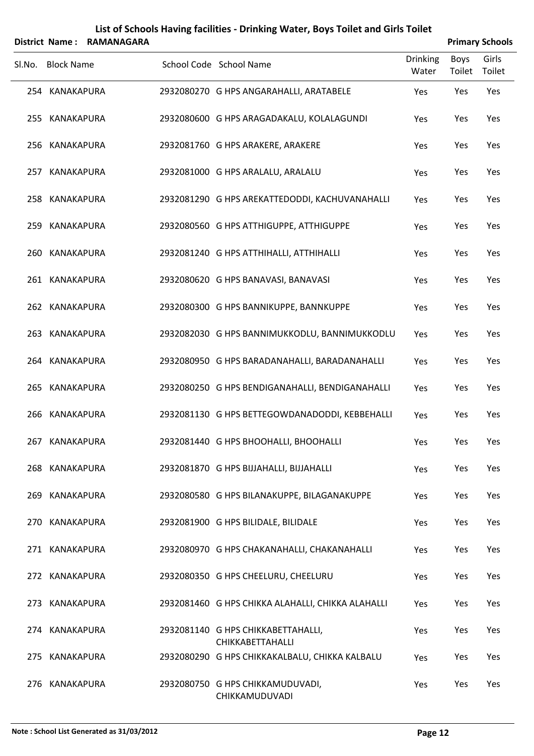|        | <b>District Name:</b> | <b>RAMANAGARA</b> |                                                        |                          |                | <b>Primary Schools</b> |
|--------|-----------------------|-------------------|--------------------------------------------------------|--------------------------|----------------|------------------------|
| SI.No. | <b>Block Name</b>     |                   | School Code School Name                                | <b>Drinking</b><br>Water | Boys<br>Toilet | Girls<br>Toilet        |
|        | 254 KANAKAPURA        |                   | 2932080270 G HPS ANGARAHALLI, ARATABELE                | Yes                      | Yes            | Yes                    |
|        | 255 KANAKAPURA        |                   | 2932080600 G HPS ARAGADAKALU, KOLALAGUNDI              | Yes                      | Yes            | Yes                    |
|        | 256 KANAKAPURA        |                   | 2932081760 G HPS ARAKERE, ARAKERE                      | Yes                      | Yes            | Yes                    |
|        | 257 KANAKAPURA        |                   | 2932081000 G HPS ARALALU, ARALALU                      | Yes                      | Yes            | Yes                    |
|        | 258 KANAKAPURA        |                   | 2932081290 G HPS AREKATTEDODDI, KACHUVANAHALLI         | Yes                      | Yes            | Yes                    |
|        | 259 KANAKAPURA        |                   | 2932080560 G HPS ATTHIGUPPE, ATTHIGUPPE                | Yes                      | Yes            | Yes                    |
| 260    | KANAKAPURA            |                   | 2932081240 G HPS ATTHIHALLI, ATTHIHALLI                | Yes                      | Yes            | Yes                    |
|        | 261 KANAKAPURA        |                   | 2932080620 G HPS BANAVASI, BANAVASI                    | Yes                      | Yes            | Yes                    |
|        | 262 KANAKAPURA        |                   | 2932080300 G HPS BANNIKUPPE, BANNKUPPE                 | Yes                      | Yes            | Yes                    |
|        | 263 KANAKAPURA        |                   | 2932082030 G HPS BANNIMUKKODLU, BANNIMUKKODLU          | Yes                      | Yes            | Yes                    |
|        | 264 KANAKAPURA        |                   | 2932080950 G HPS BARADANAHALLI, BARADANAHALLI          | Yes                      | Yes            | Yes                    |
| 265    | KANAKAPURA            |                   | 2932080250 G HPS BENDIGANAHALLI, BENDIGANAHALLI        | Yes                      | Yes            | Yes                    |
| 266    | KANAKAPURA            |                   | 2932081130 G HPS BETTEGOWDANADODDI, KEBBEHALLI         | Yes                      | Yes            | Yes                    |
|        | 267 KANAKAPURA        |                   | 2932081440 G HPS BHOOHALLI, BHOOHALLI                  | Yes                      | Yes            | Yes                    |
|        | 268 KANAKAPURA        |                   | 2932081870 G HPS BIJJAHALLI, BIJJAHALLI                | Yes                      | Yes            | Yes                    |
| 269    | KANAKAPURA            |                   | 2932080580 G HPS BILANAKUPPE, BILAGANAKUPPE            | Yes                      | Yes            | Yes                    |
|        | 270 KANAKAPURA        |                   | 2932081900 G HPS BILIDALE, BILIDALE                    | Yes                      | Yes            | Yes                    |
|        | 271 KANAKAPURA        |                   | 2932080970 G HPS CHAKANAHALLI, CHAKANAHALLI            | Yes                      | Yes            | Yes                    |
|        | 272 KANAKAPURA        |                   | 2932080350 G HPS CHEELURU, CHEELURU                    | Yes                      | Yes            | Yes                    |
| 273    | KANAKAPURA            |                   | 2932081460 G HPS CHIKKA ALAHALLI, CHIKKA ALAHALLI      | Yes                      | Yes            | Yes                    |
|        | 274 KANAKAPURA        |                   | 2932081140 G HPS CHIKKABETTAHALLI,<br>CHIKKABETTAHALLI | Yes                      | Yes            | Yes                    |
| 275    | KANAKAPURA            |                   | 2932080290 G HPS CHIKKAKALBALU, CHIKKA KALBALU         | Yes                      | Yes            | Yes                    |
|        | 276 KANAKAPURA        |                   | 2932080750 G HPS CHIKKAMUDUVADI,<br>CHIKKAMUDUVADI     | Yes                      | Yes            | Yes                    |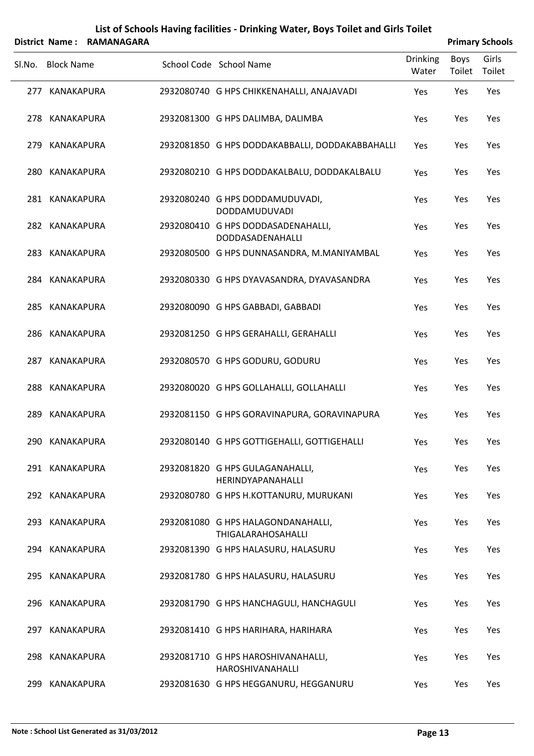|        |                   | District Name: RAMANAGARA |                                                          |                          |                | <b>Primary Schools</b> |
|--------|-------------------|---------------------------|----------------------------------------------------------|--------------------------|----------------|------------------------|
| SI.No. | <b>Block Name</b> |                           | School Code School Name                                  | <b>Drinking</b><br>Water | Boys<br>Toilet | Girls<br>Toilet        |
|        | 277 KANAKAPURA    |                           | 2932080740 G HPS CHIKKENAHALLI, ANAJAVADI                | Yes                      | Yes            | Yes                    |
|        | 278 KANAKAPURA    |                           | 2932081300 G HPS DALIMBA, DALIMBA                        | Yes                      | Yes            | Yes                    |
|        | 279 KANAKAPURA    |                           | 2932081850 G HPS DODDAKABBALLI, DODDAKABBAHALLI          | Yes                      | Yes            | Yes                    |
|        | 280 KANAKAPURA    |                           | 2932080210 G HPS DODDAKALBALU, DODDAKALBALU              | Yes                      | Yes            | Yes                    |
|        | 281 KANAKAPURA    |                           | 2932080240 G HPS DODDAMUDUVADI,<br>DODDAMUDUVADI         | Yes                      | Yes            | Yes                    |
|        | 282 KANAKAPURA    |                           | 2932080410 G HPS DODDASADENAHALLI,<br>DODDASADENAHALLI   | Yes                      | Yes            | Yes                    |
|        | 283 KANAKAPURA    |                           | 2932080500 G HPS DUNNASANDRA, M.MANIYAMBAL               | Yes                      | Yes            | Yes                    |
|        | 284 KANAKAPURA    |                           | 2932080330 G HPS DYAVASANDRA, DYAVASANDRA                | Yes                      | Yes            | Yes                    |
|        | 285 KANAKAPURA    |                           | 2932080090 G HPS GABBADI, GABBADI                        | Yes                      | Yes            | Yes                    |
|        | 286 KANAKAPURA    |                           | 2932081250 G HPS GERAHALLI, GERAHALLI                    | Yes                      | Yes            | Yes                    |
|        | 287 KANAKAPURA    |                           | 2932080570 G HPS GODURU, GODURU                          | Yes                      | Yes            | Yes                    |
|        | 288 KANAKAPURA    |                           | 2932080020 G HPS GOLLAHALLI, GOLLAHALLI                  | Yes                      | Yes            | Yes                    |
|        | 289 KANAKAPURA    |                           | 2932081150 G HPS GORAVINAPURA, GORAVINAPURA              | Yes                      | Yes            | Yes                    |
|        | 290 KANAKAPURA    |                           | 2932080140 G HPS GOTTIGEHALLI, GOTTIGEHALLI              | Yes                      | Yes            | Yes                    |
|        | 291 KANAKAPURA    |                           | 2932081820 G HPS GULAGANAHALLI,<br>HERINDYAPANAHALLI     | Yes                      | Yes            | Yes                    |
|        | 292 KANAKAPURA    |                           | 2932080780 G HPS H.KOTTANURU, MURUKANI                   | Yes                      | Yes            | Yes                    |
|        | 293 KANAKAPURA    |                           | 2932081080 G HPS HALAGONDANAHALLI,<br>THIGALARAHOSAHALLI | Yes                      | Yes            | Yes                    |
|        | 294 KANAKAPURA    |                           | 2932081390 G HPS HALASURU, HALASURU                      | Yes                      | Yes            | Yes                    |
|        | 295 KANAKAPURA    |                           | 2932081780 G HPS HALASURU, HALASURU                      | Yes                      | Yes            | Yes                    |
|        | 296 KANAKAPURA    |                           | 2932081790 G HPS HANCHAGULI, HANCHAGULI                  | Yes                      | Yes            | Yes                    |
|        | 297 KANAKAPURA    |                           | 2932081410 G HPS HARIHARA, HARIHARA                      | Yes                      | Yes            | Yes                    |
|        | 298 KANAKAPURA    |                           | 2932081710 G HPS HAROSHIVANAHALLI,<br>HAROSHIVANAHALLI   | Yes                      | Yes            | Yes                    |
|        | 299 KANAKAPURA    |                           | 2932081630 G HPS HEGGANURU, HEGGANURU                    | Yes                      | Yes            | Yes                    |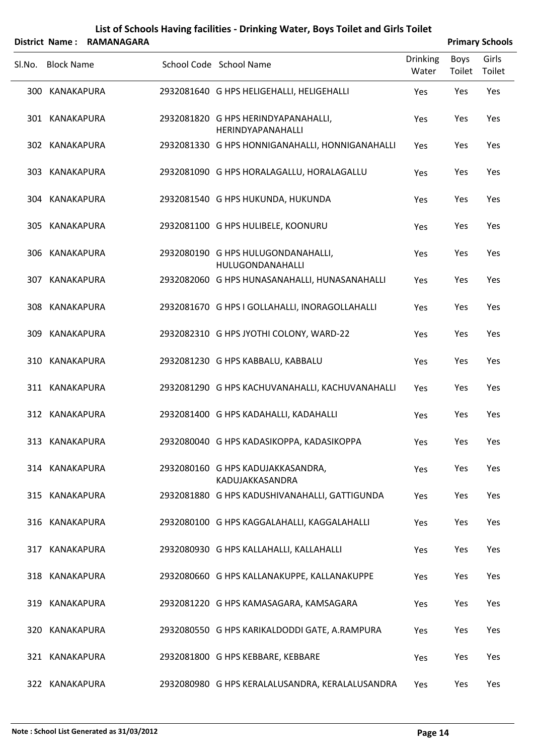|        | District Name: RAMANAGARA |                                                          |                   |                | <b>Primary Schools</b> |
|--------|---------------------------|----------------------------------------------------------|-------------------|----------------|------------------------|
| SI.No. | <b>Block Name</b>         | School Code School Name                                  | Drinking<br>Water | Boys<br>Toilet | Girls<br>Toilet        |
|        | 300 KANAKAPURA            | 2932081640 G HPS HELIGEHALLI, HELIGEHALLI                | Yes               | Yes            | Yes                    |
|        | 301 KANAKAPURA            | 2932081820 G HPS HERINDYAPANAHALLI,<br>HERINDYAPANAHALLI | Yes               | Yes            | Yes                    |
|        | 302 KANAKAPURA            | 2932081330 G HPS HONNIGANAHALLI, HONNIGANAHALLI          | Yes               | Yes            | Yes                    |
|        | 303 KANAKAPURA            | 2932081090 G HPS HORALAGALLU, HORALAGALLU                | Yes               | Yes            | Yes                    |
|        | 304 KANAKAPURA            | 2932081540 G HPS HUKUNDA, HUKUNDA                        | Yes               | Yes            | Yes                    |
|        | 305 KANAKAPURA            | 2932081100 G HPS HULIBELE, KOONURU                       | Yes               | Yes            | Yes                    |
|        | 306 KANAKAPURA            | 2932080190 G HPS HULUGONDANAHALLI,<br>HULUGONDANAHALLI   | Yes               | Yes            | Yes                    |
|        | 307 KANAKAPURA            | 2932082060 G HPS HUNASANAHALLI, HUNASANAHALLI            | Yes               | Yes            | Yes                    |
|        | 308 KANAKAPURA            | 2932081670 G HPS I GOLLAHALLI, INORAGOLLAHALLI           | Yes               | Yes            | Yes                    |
| 309    | KANAKAPURA                | 2932082310 G HPS JYOTHI COLONY, WARD-22                  | Yes               | Yes            | Yes                    |
| 310    | KANAKAPURA                | 2932081230 G HPS KABBALU, KABBALU                        | Yes               | Yes            | Yes                    |
|        | 311 KANAKAPURA            | 2932081290 G HPS KACHUVANAHALLI, KACHUVANAHALLI          | Yes               | Yes            | Yes                    |
|        | 312 KANAKAPURA            | 2932081400 G HPS KADAHALLI, KADAHALLI                    | Yes               | Yes            | Yes                    |
|        | 313 KANAKAPURA            | 2932080040 G HPS KADASIKOPPA, KADASIKOPPA                | Yes               | Yes            | Yes                    |
|        | 314 KANAKAPURA            | 2932080160 G HPS KADUJAKKASANDRA,<br>KADUJAKKASANDRA     | Yes               | Yes            | Yes                    |
|        | 315 KANAKAPURA            | 2932081880 G HPS KADUSHIVANAHALLI, GATTIGUNDA            | Yes               | Yes            | Yes                    |
|        | 316 KANAKAPURA            | 2932080100 G HPS KAGGALAHALLI, KAGGALAHALLI              | Yes               | Yes            | Yes                    |
|        | 317 KANAKAPURA            | 2932080930 G HPS KALLAHALLI, KALLAHALLI                  | Yes               | Yes            | Yes                    |
|        | 318 KANAKAPURA            | 2932080660 G HPS KALLANAKUPPE, KALLANAKUPPE              | Yes               | Yes            | Yes                    |
|        | 319 KANAKAPURA            | 2932081220 G HPS KAMASAGARA, KAMSAGARA                   | Yes               | Yes            | Yes                    |
|        | 320 KANAKAPURA            | 2932080550 G HPS KARIKALDODDI GATE, A.RAMPURA            | Yes               | Yes            | Yes                    |
|        | 321 KANAKAPURA            | 2932081800 G HPS KEBBARE, KEBBARE                        | Yes               | Yes            | Yes                    |
|        | 322 KANAKAPURA            | 2932080980 G HPS KERALALUSANDRA, KERALALUSANDRA          | Yes               | Yes            | Yes                    |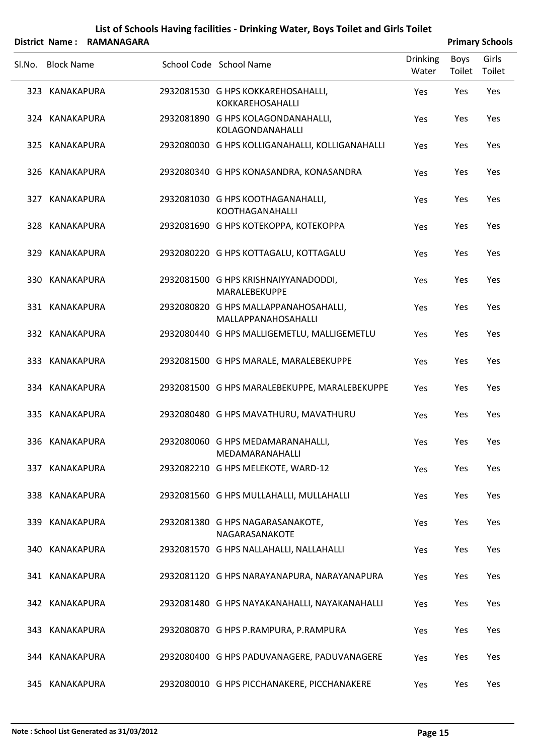|        | District Name: RAMANAGARA |  |                                                              |                          | <b>Primary Schools</b> |                 |  |  |
|--------|---------------------------|--|--------------------------------------------------------------|--------------------------|------------------------|-----------------|--|--|
| SI.No. | <b>Block Name</b>         |  | School Code School Name                                      | <b>Drinking</b><br>Water | <b>Boys</b><br>Toilet  | Girls<br>Toilet |  |  |
|        | 323 KANAKAPURA            |  | 2932081530 G HPS KOKKAREHOSAHALLI,<br>KOKKAREHOSAHALLI       | Yes                      | Yes                    | Yes             |  |  |
|        | 324 KANAKAPURA            |  | 2932081890 G HPS KOLAGONDANAHALLI,<br>KOLAGONDANAHALLI       | Yes                      | Yes                    | Yes             |  |  |
|        | 325 KANAKAPURA            |  | 2932080030 G HPS KOLLIGANAHALLI, KOLLIGANAHALLI              | Yes                      | Yes                    | Yes             |  |  |
|        | 326 KANAKAPURA            |  | 2932080340 G HPS KONASANDRA, KONASANDRA                      | Yes                      | Yes                    | Yes             |  |  |
|        | 327 KANAKAPURA            |  | 2932081030 G HPS KOOTHAGANAHALLI,<br><b>KOOTHAGANAHALLI</b>  | Yes                      | Yes                    | Yes             |  |  |
|        | 328 KANAKAPURA            |  | 2932081690 G HPS KOTEKOPPA, KOTEKOPPA                        | Yes                      | Yes                    | Yes             |  |  |
|        | 329 KANAKAPURA            |  | 2932080220 G HPS KOTTAGALU, KOTTAGALU                        | Yes                      | Yes                    | Yes             |  |  |
|        | 330 KANAKAPURA            |  | 2932081500 G HPS KRISHNAIYYANADODDI,<br>MARALEBEKUPPE        | Yes                      | Yes                    | Yes             |  |  |
|        | 331 KANAKAPURA            |  | 2932080820 G HPS MALLAPPANAHOSAHALLI,<br>MALLAPPANAHOSAHALLI | Yes                      | Yes                    | Yes             |  |  |
|        | 332 KANAKAPURA            |  | 2932080440 G HPS MALLIGEMETLU, MALLIGEMETLU                  | Yes                      | Yes                    | Yes             |  |  |
|        | 333 KANAKAPURA            |  | 2932081500 G HPS MARALE, MARALEBEKUPPE                       | Yes                      | Yes                    | Yes             |  |  |
|        | 334 KANAKAPURA            |  | 2932081500 G HPS MARALEBEKUPPE, MARALEBEKUPPE                | Yes                      | Yes                    | Yes             |  |  |
|        | 335 KANAKAPURA            |  | 2932080480 G HPS MAVATHURU, MAVATHURU                        | Yes                      | Yes                    | Yes             |  |  |
|        | 336 KANAKAPURA            |  | 2932080060 G HPS MEDAMARANAHALLI,<br>MEDAMARANAHALLI         | Yes                      | Yes                    | Yes             |  |  |
|        | 337 KANAKAPURA            |  | 2932082210 G HPS MELEKOTE, WARD-12                           | Yes                      | Yes                    | Yes             |  |  |
|        | 338 KANAKAPURA            |  | 2932081560 G HPS MULLAHALLI, MULLAHALLI                      | Yes                      | Yes                    | Yes             |  |  |
|        | 339 KANAKAPURA            |  | 2932081380 G HPS NAGARASANAKOTE,<br>NAGARASANAKOTE           | Yes                      | Yes                    | Yes             |  |  |
|        | 340 KANAKAPURA            |  | 2932081570 G HPS NALLAHALLI, NALLAHALLI                      | Yes                      | Yes                    | Yes             |  |  |
|        | 341 KANAKAPURA            |  | 2932081120 G HPS NARAYANAPURA, NARAYANAPURA                  | Yes                      | Yes                    | Yes             |  |  |
|        | 342 KANAKAPURA            |  | 2932081480 G HPS NAYAKANAHALLI, NAYAKANAHALLI                | Yes                      | Yes                    | Yes             |  |  |
|        | 343 KANAKAPURA            |  | 2932080870 G HPS P.RAMPURA, P.RAMPURA                        | Yes                      | Yes                    | Yes             |  |  |
|        | 344 KANAKAPURA            |  | 2932080400 G HPS PADUVANAGERE, PADUVANAGERE                  | Yes                      | Yes                    | Yes             |  |  |
|        | 345 KANAKAPURA            |  | 2932080010 G HPS PICCHANAKERE, PICCHANAKERE                  | Yes                      | Yes                    | Yes             |  |  |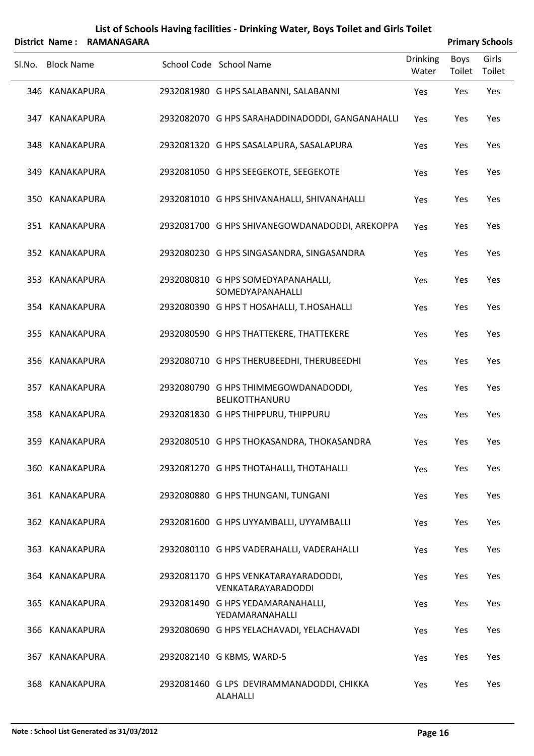|        |                   | District Name: RAMANAGARA |                                                              |                          |                | <b>Primary Schools</b> |
|--------|-------------------|---------------------------|--------------------------------------------------------------|--------------------------|----------------|------------------------|
| SI.No. | <b>Block Name</b> |                           | School Code School Name                                      | <b>Drinking</b><br>Water | Boys<br>Toilet | Girls<br>Toilet        |
|        | 346 KANAKAPURA    |                           | 2932081980 G HPS SALABANNI, SALABANNI                        | Yes                      | Yes            | Yes                    |
| 347    | KANAKAPURA        |                           | 2932082070 G HPS SARAHADDINADODDI, GANGANAHALLI              | Yes                      | Yes            | Yes                    |
|        | 348 KANAKAPURA    |                           | 2932081320 G HPS SASALAPURA, SASALAPURA                      | Yes                      | Yes            | Yes                    |
| 349    | KANAKAPURA        |                           | 2932081050 G HPS SEEGEKOTE, SEEGEKOTE                        | Yes                      | Yes            | Yes                    |
|        | 350 KANAKAPURA    |                           | 2932081010 G HPS SHIVANAHALLI, SHIVANAHALLI                  | Yes                      | Yes            | Yes                    |
|        | 351 KANAKAPURA    |                           | 2932081700 G HPS SHIVANEGOWDANADODDI, AREKOPPA               | Yes                      | Yes            | Yes                    |
|        | 352 KANAKAPURA    |                           | 2932080230 G HPS SINGASANDRA, SINGASANDRA                    | Yes                      | Yes            | Yes                    |
|        | 353 KANAKAPURA    |                           | 2932080810 G HPS SOMEDYAPANAHALLI,<br>SOMEDYAPANAHALLI       | Yes                      | Yes            | Yes                    |
|        | 354 KANAKAPURA    |                           | 2932080390 G HPS T HOSAHALLI, T.HOSAHALLI                    | Yes                      | Yes            | Yes                    |
|        | 355 KANAKAPURA    |                           | 2932080590 G HPS THATTEKERE, THATTEKERE                      | Yes                      | Yes            | Yes                    |
|        | 356 KANAKAPURA    |                           | 2932080710 G HPS THERUBEEDHI, THERUBEEDHI                    | Yes                      | Yes            | Yes                    |
| 357    | KANAKAPURA        |                           | 2932080790 G HPS THIMMEGOWDANADODDI,<br>BELIKOTTHANURU       | Yes                      | Yes            | Yes                    |
|        | 358 KANAKAPURA    |                           | 2932081830 G HPS THIPPURU, THIPPURU                          | Yes                      | Yes            | Yes                    |
|        | 359 KANAKAPURA    |                           | 2932080510 G HPS THOKASANDRA, THOKASANDRA                    | Yes                      | Yes            | Yes                    |
|        | 360 KANAKAPURA    |                           | 2932081270 G HPS THOTAHALLI, THOTAHALLI                      | Yes                      | Yes            | Yes                    |
|        | 361 KANAKAPURA    |                           | 2932080880 G HPS THUNGANI, TUNGANI                           | <b>Yes</b>               | Yes            | Yes                    |
|        | 362 KANAKAPURA    |                           | 2932081600 G HPS UYYAMBALLI, UYYAMBALLI                      | Yes                      | Yes            | Yes                    |
|        | 363 KANAKAPURA    |                           | 2932080110 G HPS VADERAHALLI, VADERAHALLI                    | Yes                      | Yes            | Yes                    |
|        | 364 KANAKAPURA    |                           | 2932081170 G HPS VENKATARAYARADODDI,<br>VENKATARAYARADODDI   | Yes                      | Yes            | Yes                    |
|        | 365 KANAKAPURA    |                           | 2932081490 G HPS YEDAMARANAHALLI,<br>YEDAMARANAHALLI         | Yes                      | Yes            | Yes                    |
|        | 366 KANAKAPURA    |                           | 2932080690 G HPS YELACHAVADI, YELACHAVADI                    | Yes                      | Yes            | Yes                    |
| 367    | KANAKAPURA        |                           | 2932082140 G KBMS, WARD-5                                    | <b>Yes</b>               | Yes            | Yes                    |
|        | 368 KANAKAPURA    |                           | 2932081460 G LPS DEVIRAMMANADODDI, CHIKKA<br><b>ALAHALLI</b> | Yes                      | Yes            | Yes                    |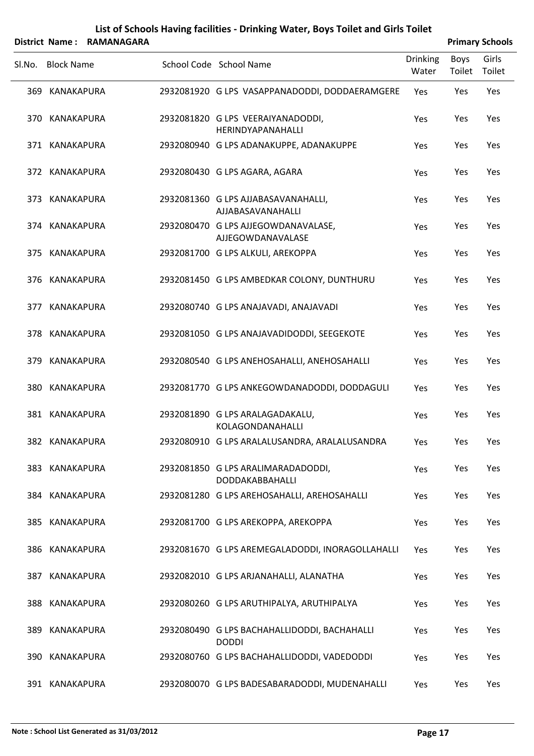|        |                   | District Name: RAMANAGARA |                                                              |                          |                | <b>Primary Schools</b> |
|--------|-------------------|---------------------------|--------------------------------------------------------------|--------------------------|----------------|------------------------|
| SI.No. | <b>Block Name</b> |                           | School Code School Name                                      | <b>Drinking</b><br>Water | Boys<br>Toilet | Girls<br>Toilet        |
|        | 369 KANAKAPURA    |                           | 2932081920 G LPS VASAPPANADODDI, DODDAERAMGERE               | Yes                      | Yes            | Yes                    |
|        | 370 KANAKAPURA    |                           | 2932081820 G LPS VEERAIYANADODDI,<br>HERINDYAPANAHALLI       | Yes                      | Yes            | Yes                    |
|        | 371 KANAKAPURA    |                           | 2932080940 G LPS ADANAKUPPE, ADANAKUPPE                      | Yes                      | Yes            | Yes                    |
|        | 372 KANAKAPURA    |                           | 2932080430 G LPS AGARA, AGARA                                | Yes                      | Yes            | Yes                    |
|        | 373 KANAKAPURA    |                           | 2932081360 G LPS AJJABASAVANAHALLI,<br>AJJABASAVANAHALLI     | Yes                      | Yes            | Yes                    |
|        | 374 KANAKAPURA    |                           | 2932080470 G LPS AJJEGOWDANAVALASE,<br>AJJEGOWDANAVALASE     | Yes                      | Yes            | Yes                    |
|        | 375 KANAKAPURA    |                           | 2932081700 G LPS ALKULI, AREKOPPA                            | Yes                      | Yes            | Yes                    |
|        | 376 KANAKAPURA    |                           | 2932081450 G LPS AMBEDKAR COLONY, DUNTHURU                   | Yes                      | Yes            | Yes                    |
| 377    | KANAKAPURA        |                           | 2932080740 G LPS ANAJAVADI, ANAJAVADI                        | Yes                      | Yes            | Yes                    |
|        | 378 KANAKAPURA    |                           | 2932081050 G LPS ANAJAVADIDODDI, SEEGEKOTE                   | Yes                      | Yes            | Yes                    |
| 379    | KANAKAPURA        |                           | 2932080540 G LPS ANEHOSAHALLI, ANEHOSAHALLI                  | Yes                      | Yes            | Yes                    |
| 380    | KANAKAPURA        |                           | 2932081770 G LPS ANKEGOWDANADODDI, DODDAGULI                 | Yes                      | Yes            | Yes                    |
|        | 381 KANAKAPURA    |                           | 2932081890 G LPS ARALAGADAKALU,<br>KOLAGONDANAHALLI          | Yes                      | Yes            | Yes                    |
|        | 382 KANAKAPURA    |                           | 2932080910 G LPS ARALALUSANDRA, ARALALUSANDRA                | Yes                      | Yes            | Yes                    |
|        | 383 KANAKAPURA    |                           | 2932081850 G LPS ARALIMARADADODDI,<br>DODDAKABBAHALLI        | Yes                      | Yes            | Yes                    |
|        | 384 KANAKAPURA    |                           | 2932081280 G LPS AREHOSAHALLI, AREHOSAHALLI                  | Yes                      | Yes            | Yes                    |
|        | 385 KANAKAPURA    |                           | 2932081700 G LPS AREKOPPA, AREKOPPA                          | Yes                      | Yes            | Yes                    |
|        | 386 KANAKAPURA    |                           | 2932081670 G LPS AREMEGALADODDI, INORAGOLLAHALLI             | Yes                      | Yes            | Yes                    |
|        | 387 KANAKAPURA    |                           | 2932082010 G LPS ARJANAHALLI, ALANATHA                       | Yes                      | Yes            | Yes                    |
|        | 388 KANAKAPURA    |                           | 2932080260 G LPS ARUTHIPALYA, ARUTHIPALYA                    | Yes                      | Yes            | Yes                    |
| 389    | KANAKAPURA        |                           | 2932080490 G LPS BACHAHALLIDODDI, BACHAHALLI<br><b>DODDI</b> | Yes                      | Yes            | Yes                    |
| 390    | KANAKAPURA        |                           | 2932080760 G LPS BACHAHALLIDODDI, VADEDODDI                  | Yes                      | Yes            | Yes                    |
|        | 391 KANAKAPURA    |                           | 2932080070 G LPS BADESABARADODDI, MUDENAHALLI                | Yes                      | Yes            | Yes                    |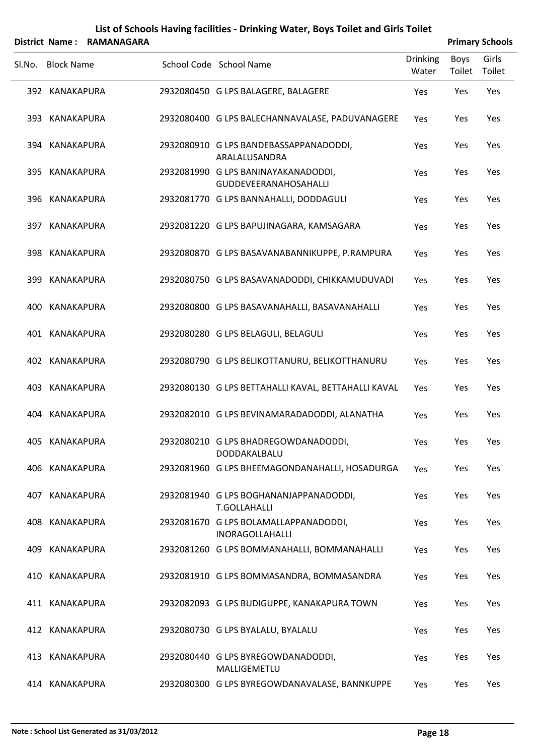|        |                   | District Name: RAMANAGARA |                                                                 |                          |                | <b>Primary Schools</b> |
|--------|-------------------|---------------------------|-----------------------------------------------------------------|--------------------------|----------------|------------------------|
| SI.No. | <b>Block Name</b> |                           | School Code School Name                                         | <b>Drinking</b><br>Water | Boys<br>Toilet | Girls<br>Toilet        |
|        | 392 KANAKAPURA    |                           | 2932080450 G LPS BALAGERE, BALAGERE                             | Yes                      | Yes            | Yes                    |
|        | 393 KANAKAPURA    |                           | 2932080400 G LPS BALECHANNAVALASE, PADUVANAGERE                 | Yes                      | Yes            | Yes                    |
|        | 394 KANAKAPURA    |                           | 2932080910 G LPS BANDEBASSAPPANADODDI,<br>ARALALUSANDRA         | Yes                      | Yes            | Yes                    |
|        | 395 KANAKAPURA    |                           | 2932081990 G LPS BANINAYAKANADODDI,<br>GUDDEVEERANAHOSAHALLI    | Yes                      | Yes            | Yes                    |
|        | 396 KANAKAPURA    |                           | 2932081770 G LPS BANNAHALLI, DODDAGULI                          | Yes                      | Yes            | Yes                    |
|        | 397 KANAKAPURA    |                           | 2932081220 G LPS BAPUJINAGARA, KAMSAGARA                        | Yes                      | Yes            | Yes                    |
|        | 398 KANAKAPURA    |                           | 2932080870 G LPS BASAVANABANNIKUPPE, P.RAMPURA                  | Yes                      | Yes            | Yes                    |
|        | 399 KANAKAPURA    |                           | 2932080750 G LPS BASAVANADODDI, CHIKKAMUDUVADI                  | Yes                      | Yes            | Yes                    |
| 400-   | KANAKAPURA        |                           | 2932080800 G LPS BASAVANAHALLI, BASAVANAHALLI                   | Yes                      | Yes            | Yes                    |
|        | 401 KANAKAPURA    |                           | 2932080280 G LPS BELAGULI, BELAGULI                             | Yes                      | Yes            | Yes                    |
|        | 402 KANAKAPURA    |                           | 2932080790 G LPS BELIKOTTANURU, BELIKOTTHANURU                  | Yes                      | Yes            | Yes                    |
|        | 403 KANAKAPURA    |                           | 2932080130 G LPS BETTAHALLI KAVAL, BETTAHALLI KAVAL             | Yes                      | Yes            | Yes                    |
|        | 404 KANAKAPURA    |                           | 2932082010 G LPS BEVINAMARADADODDI, ALANATHA                    | Yes                      | Yes            | Yes                    |
|        | 405 KANAKAPURA    |                           | 2932080210 G LPS BHADREGOWDANADODDI,<br>DODDAKALBALU            | Yes                      | Yes            | Yes                    |
|        | 406 KANAKAPURA    |                           | 2932081960 G LPS BHEEMAGONDANAHALLI, HOSADURGA                  | Yes                      | Yes            | Yes                    |
|        | 407 KANAKAPURA    |                           | 2932081940 G LPS BOGHANANJAPPANADODDI,<br><b>T.GOLLAHALLI</b>   | Yes                      | Yes            | Yes                    |
|        | 408 KANAKAPURA    |                           | 2932081670 G LPS BOLAMALLAPPANADODDI,<br><b>INORAGOLLAHALLI</b> | Yes                      | Yes            | Yes                    |
|        | 409 KANAKAPURA    |                           | 2932081260 G LPS BOMMANAHALLI, BOMMANAHALLI                     | Yes                      | Yes            | Yes                    |
|        | 410 KANAKAPURA    |                           | 2932081910 G LPS BOMMASANDRA, BOMMASANDRA                       | Yes                      | Yes            | Yes                    |
|        | 411 KANAKAPURA    |                           | 2932082093 G LPS BUDIGUPPE, KANAKAPURA TOWN                     | Yes                      | Yes            | Yes                    |
|        | 412 KANAKAPURA    |                           | 2932080730 G LPS BYALALU, BYALALU                               | Yes                      | Yes            | Yes                    |
|        | 413 KANAKAPURA    |                           | 2932080440 G LPS BYREGOWDANADODDI,<br>MALLIGEMETLU              | Yes                      | Yes            | Yes                    |
|        | 414 KANAKAPURA    |                           | 2932080300 G LPS BYREGOWDANAVALASE, BANNKUPPE                   | Yes                      | Yes            | Yes                    |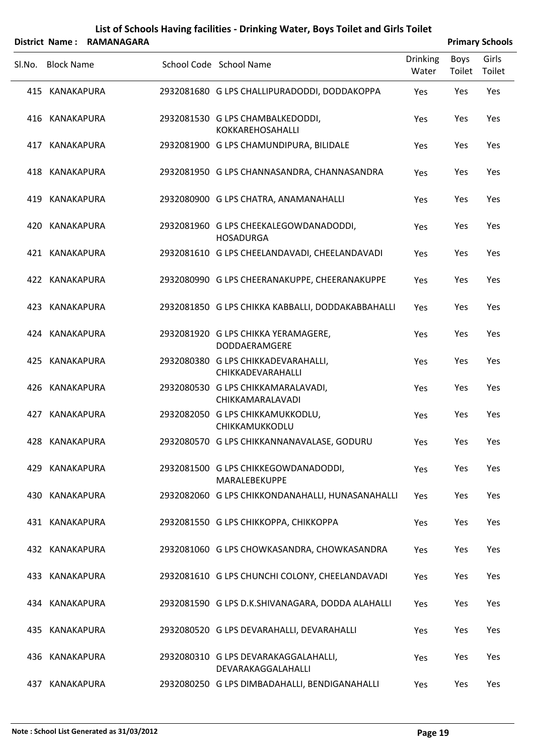|        |                   | District Name: RAMANAGARA |                                                            |                          |                | <b>Primary Schools</b> |
|--------|-------------------|---------------------------|------------------------------------------------------------|--------------------------|----------------|------------------------|
| SI.No. | <b>Block Name</b> |                           | School Code School Name                                    | <b>Drinking</b><br>Water | Boys<br>Toilet | Girls<br>Toilet        |
|        | 415 KANAKAPURA    |                           | 2932081680 G LPS CHALLIPURADODDI, DODDAKOPPA               | Yes                      | Yes            | Yes                    |
|        | 416 KANAKAPURA    |                           | 2932081530 G LPS CHAMBALKEDODDI,<br>KOKKAREHOSAHALLI       | Yes                      | Yes            | Yes                    |
|        | 417 KANAKAPURA    |                           | 2932081900 G LPS CHAMUNDIPURA, BILIDALE                    | Yes                      | Yes            | Yes                    |
|        | 418 KANAKAPURA    |                           | 2932081950 G LPS CHANNASANDRA, CHANNASANDRA                | Yes                      | Yes            | Yes                    |
|        | 419 KANAKAPURA    |                           | 2932080900 G LPS CHATRA, ANAMANAHALLI                      | Yes                      | Yes            | Yes                    |
|        | 420 KANAKAPURA    |                           | 2932081960 G LPS CHEEKALEGOWDANADODDI,<br><b>HOSADURGA</b> | Yes                      | Yes            | Yes                    |
|        | 421 KANAKAPURA    |                           | 2932081610 G LPS CHEELANDAVADI, CHEELANDAVADI              | Yes                      | Yes            | Yes                    |
|        | 422 KANAKAPURA    |                           | 2932080990 G LPS CHEERANAKUPPE, CHEERANAKUPPE              | Yes                      | Yes            | Yes                    |
|        | 423 KANAKAPURA    |                           | 2932081850 G LPS CHIKKA KABBALLI, DODDAKABBAHALLI          | Yes                      | Yes            | Yes                    |
|        | 424 KANAKAPURA    |                           | 2932081920 G LPS CHIKKA YERAMAGERE,<br>DODDAERAMGERE       | Yes                      | Yes            | Yes                    |
|        | 425 KANAKAPURA    |                           | 2932080380 G LPS CHIKKADEVARAHALLI,<br>CHIKKADEVARAHALLI   | Yes                      | Yes            | Yes                    |
|        | 426 KANAKAPURA    |                           | 2932080530 G LPS CHIKKAMARALAVADI,<br>CHIKKAMARALAVADI     | Yes                      | Yes            | Yes                    |
|        | 427 KANAKAPURA    |                           | 2932082050 G LPS CHIKKAMUKKODLU,<br>CHIKKAMUKKODLU         | Yes                      | Yes            | Yes                    |
|        | 428 KANAKAPURA    |                           | 2932080570 G LPS CHIKKANNANAVALASE, GODURU                 | Yes                      | Yes            | Yes                    |
|        | 429 KANAKAPURA    |                           | 2932081500 G LPS CHIKKEGOWDANADODDI,<br>MARALEBEKUPPE      | Yes                      | Yes            | Yes                    |
|        | 430 KANAKAPURA    |                           | 2932082060 G LPS CHIKKONDANAHALLI, HUNASANAHALLI           | Yes                      | Yes            | Yes                    |
|        | 431 KANAKAPURA    |                           | 2932081550 G LPS CHIKKOPPA, CHIKKOPPA                      | Yes                      | Yes            | Yes                    |
|        | 432 KANAKAPURA    |                           | 2932081060 G LPS CHOWKASANDRA, CHOWKASANDRA                | Yes                      | Yes            | Yes                    |
|        | 433 KANAKAPURA    |                           | 2932081610 G LPS CHUNCHI COLONY, CHEELANDAVADI             | Yes                      | Yes            | Yes                    |
|        | 434 KANAKAPURA    |                           | 2932081590 G LPS D.K.SHIVANAGARA, DODDA ALAHALLI           | Yes                      | Yes            | Yes                    |
|        | 435 KANAKAPURA    |                           | 2932080520 G LPS DEVARAHALLI, DEVARAHALLI                  | Yes                      | Yes            | Yes                    |
|        | 436 KANAKAPURA    |                           | 2932080310 G LPS DEVARAKAGGALAHALLI,<br>DEVARAKAGGALAHALLI | Yes                      | Yes            | Yes                    |
|        | 437 KANAKAPURA    |                           | 2932080250 G LPS DIMBADAHALLI, BENDIGANAHALLI              | Yes                      | Yes            | Yes                    |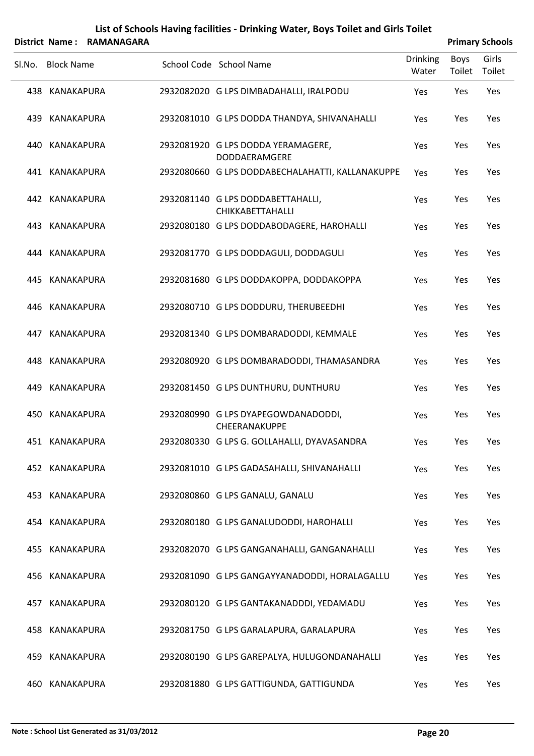|        |                   | District Name: RAMANAGARA |                                                            |                          |                | <b>Primary Schools</b> |
|--------|-------------------|---------------------------|------------------------------------------------------------|--------------------------|----------------|------------------------|
| Sl.No. | <b>Block Name</b> |                           | School Code School Name                                    | <b>Drinking</b><br>Water | Boys<br>Toilet | Girls<br>Toilet        |
|        | 438 KANAKAPURA    |                           | 2932082020 G LPS DIMBADAHALLI, IRALPODU                    | Yes                      | Yes            | Yes                    |
|        | 439 KANAKAPURA    |                           | 2932081010 G LPS DODDA THANDYA, SHIVANAHALLI               | Yes                      | Yes            | Yes                    |
|        | 440 KANAKAPURA    |                           | 2932081920 G LPS DODDA YERAMAGERE,<br><b>DODDAERAMGERE</b> | Yes                      | Yes            | Yes                    |
|        | 441 KANAKAPURA    |                           | 2932080660 G LPS DODDABECHALAHATTI, KALLANAKUPPE           | Yes                      | Yes            | Yes                    |
|        | 442 KANAKAPURA    |                           | 2932081140 G LPS DODDABETTAHALLI,<br>CHIKKABETTAHALLI      | Yes                      | Yes            | Yes                    |
|        | 443 KANAKAPURA    |                           | 2932080180 G LPS DODDABODAGERE, HAROHALLI                  | Yes                      | Yes            | Yes                    |
|        | 444 KANAKAPURA    |                           | 2932081770 G LPS DODDAGULI, DODDAGULI                      | Yes                      | Yes            | Yes                    |
|        | 445 KANAKAPURA    |                           | 2932081680 G LPS DODDAKOPPA, DODDAKOPPA                    | Yes                      | Yes            | Yes                    |
|        | 446 KANAKAPURA    |                           | 2932080710 G LPS DODDURU, THERUBEEDHI                      | Yes                      | Yes            | Yes                    |
|        | 447 KANAKAPURA    |                           | 2932081340 G LPS DOMBARADODDI, KEMMALE                     | Yes                      | Yes            | Yes                    |
|        | 448 KANAKAPURA    |                           | 2932080920 G LPS DOMBARADODDI, THAMASANDRA                 | Yes                      | Yes            | Yes                    |
| 449    | KANAKAPURA        |                           | 2932081450 G LPS DUNTHURU, DUNTHURU                        | Yes                      | Yes            | Yes                    |
|        | 450 KANAKAPURA    |                           | 2932080990 G LPS DYAPEGOWDANADODDI,<br>CHEERANAKUPPE       | Yes                      | Yes            | Yes                    |
|        | 451 KANAKAPURA    |                           | 2932080330 G LPS G. GOLLAHALLI, DYAVASANDRA                | Yes                      | Yes            | Yes                    |
|        | 452 KANAKAPURA    |                           | 2932081010 G LPS GADASAHALLI, SHIVANAHALLI                 | Yes                      | Yes            | Yes                    |
|        | 453 KANAKAPURA    |                           | 2932080860 G LPS GANALU, GANALU                            | Yes                      | Yes            | Yes                    |
|        | 454 KANAKAPURA    |                           | 2932080180 G LPS GANALUDODDI, HAROHALLI                    | Yes                      | Yes            | Yes                    |
|        | 455 KANAKAPURA    |                           | 2932082070 G LPS GANGANAHALLI, GANGANAHALLI                | Yes                      | Yes            | Yes                    |
|        | 456 KANAKAPURA    |                           | 2932081090 G LPS GANGAYYANADODDI, HORALAGALLU              | Yes                      | Yes            | Yes                    |
|        | 457 KANAKAPURA    |                           | 2932080120 G LPS GANTAKANADDDI, YEDAMADU                   | Yes                      | Yes            | Yes                    |
|        | 458 KANAKAPURA    |                           | 2932081750 G LPS GARALAPURA, GARALAPURA                    | Yes                      | Yes            | Yes                    |
|        | 459 KANAKAPURA    |                           | 2932080190 G LPS GAREPALYA, HULUGONDANAHALLI               | Yes                      | Yes            | Yes                    |
|        | 460 KANAKAPURA    |                           | 2932081880 G LPS GATTIGUNDA, GATTIGUNDA                    | Yes                      | Yes            | Yes                    |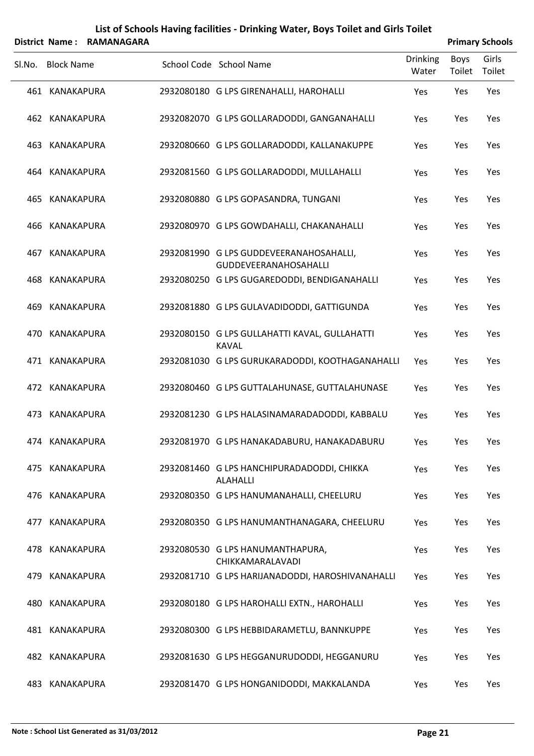|        |                   | District Name: RAMANAGARA |                                                                         |                   |                       | <b>Primary Schools</b> |
|--------|-------------------|---------------------------|-------------------------------------------------------------------------|-------------------|-----------------------|------------------------|
| SI.No. | <b>Block Name</b> |                           | School Code School Name                                                 | Drinking<br>Water | <b>Boys</b><br>Toilet | Girls<br>Toilet        |
|        | 461 KANAKAPURA    |                           | 2932080180 G LPS GIRENAHALLI, HAROHALLI                                 | Yes               | Yes                   | Yes                    |
|        | 462 KANAKAPURA    |                           | 2932082070 G LPS GOLLARADODDI, GANGANAHALLI                             | Yes               | Yes                   | Yes                    |
|        | 463 KANAKAPURA    |                           | 2932080660 G LPS GOLLARADODDI, KALLANAKUPPE                             | Yes               | Yes                   | Yes                    |
|        | 464 KANAKAPURA    |                           | 2932081560 G LPS GOLLARADODDI, MULLAHALLI                               | Yes               | Yes                   | Yes                    |
|        | 465 KANAKAPURA    |                           | 2932080880 G LPS GOPASANDRA, TUNGANI                                    | Yes               | Yes                   | Yes                    |
| 466    | KANAKAPURA        |                           | 2932080970 G LPS GOWDAHALLI, CHAKANAHALLI                               | Yes               | Yes                   | Yes                    |
| 467    | KANAKAPURA        |                           | 2932081990 G LPS GUDDEVEERANAHOSAHALLI,<br><b>GUDDEVEERANAHOSAHALLI</b> | Yes               | Yes                   | Yes                    |
| 468    | KANAKAPURA        |                           | 2932080250 G LPS GUGAREDODDI, BENDIGANAHALLI                            | Yes               | Yes                   | Yes                    |
| 469    | KANAKAPURA        |                           | 2932081880 G LPS GULAVADIDODDI, GATTIGUNDA                              | Yes               | Yes                   | Yes                    |
| 470    | KANAKAPURA        |                           | 2932080150 G LPS GULLAHATTI KAVAL, GULLAHATTI<br><b>KAVAL</b>           | Yes               | Yes                   | Yes                    |
|        | 471 KANAKAPURA    |                           | 2932081030 G LPS GURUKARADODDI, KOOTHAGANAHALLI                         | Yes               | Yes                   | Yes                    |
|        | 472 KANAKAPURA    |                           | 2932080460 G LPS GUTTALAHUNASE, GUTTALAHUNASE                           | Yes               | Yes                   | Yes                    |
|        | 473 KANAKAPURA    |                           | 2932081230 G LPS HALASINAMARADADODDI, KABBALU                           | Yes               | Yes                   | Yes                    |
|        | 474 KANAKAPURA    |                           | 2932081970 G LPS HANAKADABURU, HANAKADABURU                             | Yes               | Yes                   | Yes                    |
|        | 475 KANAKAPURA    |                           | 2932081460 G LPS HANCHIPURADADODDI, CHIKKA<br><b>ALAHALLI</b>           | Yes               | Yes                   | Yes                    |
|        | 476 KANAKAPURA    |                           | 2932080350 G LPS HANUMANAHALLI, CHEELURU                                | Yes               | Yes                   | Yes                    |
|        | 477 KANAKAPURA    |                           | 2932080350 G LPS HANUMANTHANAGARA, CHEELURU                             | Yes               | Yes                   | Yes                    |
|        | 478 KANAKAPURA    |                           | 2932080530 G LPS HANUMANTHAPURA,<br>CHIKKAMARALAVADI                    | Yes               | Yes                   | Yes                    |
| 479    | KANAKAPURA        |                           | 2932081710 G LPS HARIJANADODDI, HAROSHIVANAHALLI                        | Yes               | Yes                   | Yes                    |
|        | 480 KANAKAPURA    |                           | 2932080180 G LPS HAROHALLI EXTN., HAROHALLI                             | Yes               | Yes                   | Yes                    |
|        | 481 KANAKAPURA    |                           | 2932080300 G LPS HEBBIDARAMETLU, BANNKUPPE                              | Yes               | Yes                   | Yes                    |
|        | 482 KANAKAPURA    |                           | 2932081630 G LPS HEGGANURUDODDI, HEGGANURU                              | Yes               | Yes                   | Yes                    |
|        | 483 KANAKAPURA    |                           | 2932081470 G LPS HONGANIDODDI, MAKKALANDA                               | Yes               | Yes                   | Yes                    |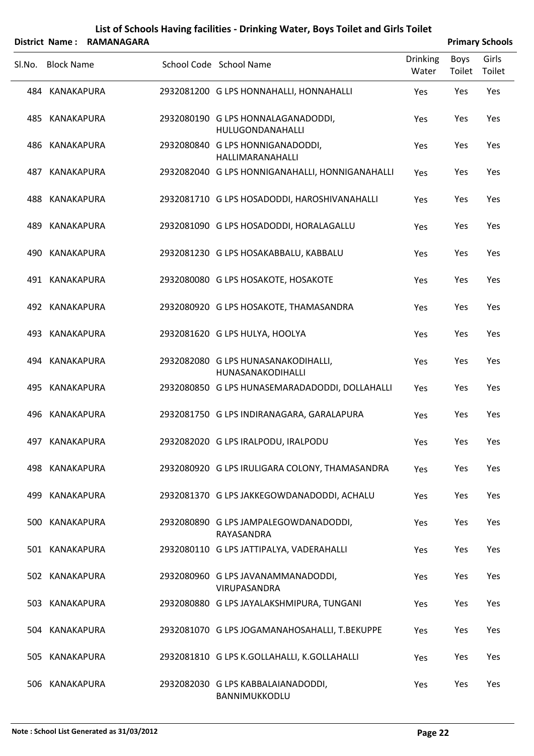|        |                   | District Name: RAMANAGARA |                                                          |                          |                | <b>Primary Schools</b> |
|--------|-------------------|---------------------------|----------------------------------------------------------|--------------------------|----------------|------------------------|
| Sl.No. | <b>Block Name</b> |                           | School Code School Name                                  | <b>Drinking</b><br>Water | Boys<br>Toilet | Girls<br>Toilet        |
|        | 484 KANAKAPURA    |                           | 2932081200 G LPS HONNAHALLI, HONNAHALLI                  | Yes                      | Yes            | Yes                    |
|        | 485 KANAKAPURA    |                           | 2932080190 G LPS HONNALAGANADODDI,<br>HULUGONDANAHALLI   | Yes                      | Yes            | Yes                    |
|        | 486 KANAKAPURA    |                           | 2932080840 G LPS HONNIGANADODDI,<br>HALLIMARANAHALLI     | Yes                      | Yes            | Yes                    |
| 487    | KANAKAPURA        |                           | 2932082040 G LPS HONNIGANAHALLI, HONNIGANAHALLI          | Yes                      | Yes            | Yes                    |
| 488    | KANAKAPURA        |                           | 2932081710 G LPS HOSADODDI, HAROSHIVANAHALLI             | Yes                      | Yes            | Yes                    |
| 489    | KANAKAPURA        |                           | 2932081090 G LPS HOSADODDI, HORALAGALLU                  | Yes                      | Yes            | Yes                    |
| 490    | KANAKAPURA        |                           | 2932081230 G LPS HOSAKABBALU, KABBALU                    | Yes                      | Yes            | Yes                    |
|        | 491 KANAKAPURA    |                           | 2932080080 G LPS HOSAKOTE, HOSAKOTE                      | Yes                      | Yes            | Yes                    |
| 492    | KANAKAPURA        |                           | 2932080920 G LPS HOSAKOTE, THAMASANDRA                   | Yes                      | Yes            | Yes                    |
|        | 493 KANAKAPURA    |                           | 2932081620 G LPS HULYA, HOOLYA                           | Yes                      | Yes            | Yes                    |
|        | 494 KANAKAPURA    |                           | 2932082080 G LPS HUNASANAKODIHALLI,<br>HUNASANAKODIHALLI | Yes                      | Yes            | Yes                    |
|        | 495 KANAKAPURA    |                           | 2932080850 G LPS HUNASEMARADADODDI, DOLLAHALLI           | Yes                      | Yes            | Yes                    |
| 496    | KANAKAPURA        |                           | 2932081750 G LPS INDIRANAGARA, GARALAPURA                | Yes                      | Yes            | Yes                    |
|        | 497 KANAKAPURA    |                           | 2932082020 G LPS IRALPODU, IRALPODU                      | Yes                      | Yes            | Yes                    |
|        | 498 KANAKAPURA    |                           | 2932080920 G LPS IRULIGARA COLONY, THAMASANDRA           | Yes                      | Yes            | Yes                    |
|        | 499 KANAKAPURA    |                           | 2932081370 G LPS JAKKEGOWDANADODDI, ACHALU               | Yes                      | Yes            | Yes                    |
|        | 500 KANAKAPURA    |                           | 2932080890 G LPS JAMPALEGOWDANADODDI,<br>RAYASANDRA      | Yes                      | Yes            | Yes                    |
|        | 501 KANAKAPURA    |                           | 2932080110 G LPS JATTIPALYA, VADERAHALLI                 | Yes                      | Yes            | Yes                    |
|        | 502 KANAKAPURA    |                           | 2932080960 G LPS JAVANAMMANADODDI,<br>VIRUPASANDRA       | Yes                      | Yes            | Yes                    |
|        | 503 KANAKAPURA    |                           | 2932080880 G LPS JAYALAKSHMIPURA, TUNGANI                | Yes                      | Yes            | Yes                    |
|        | 504 KANAKAPURA    |                           | 2932081070 G LPS JOGAMANAHOSAHALLI, T.BEKUPPE            | Yes                      | Yes            | Yes                    |
|        | 505 KANAKAPURA    |                           | 2932081810 G LPS K.GOLLAHALLI, K.GOLLAHALLI              | Yes                      | Yes            | Yes                    |
|        | 506 KANAKAPURA    |                           | 2932082030 G LPS KABBALAIANADODDI,<br>BANNIMUKKODLU      | Yes                      | Yes            | Yes                    |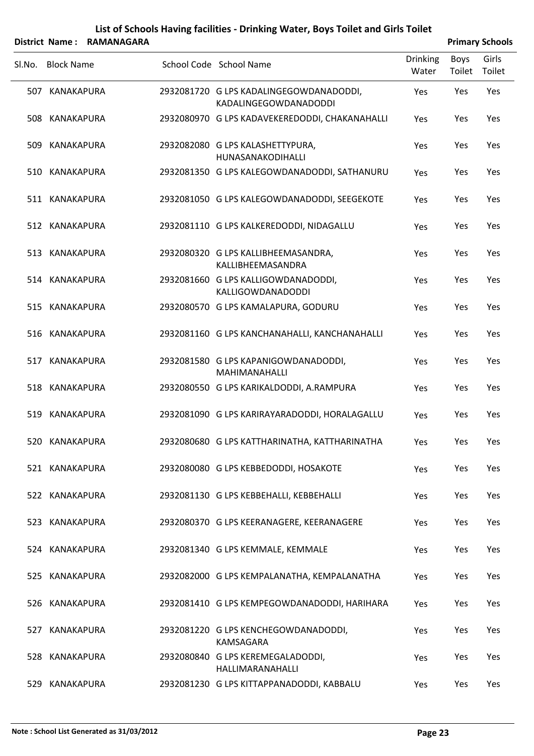|        |                   | District Name: RAMANAGARA |                                                                  |                          |                | <b>Primary Schools</b> |
|--------|-------------------|---------------------------|------------------------------------------------------------------|--------------------------|----------------|------------------------|
| SI.No. | <b>Block Name</b> |                           | School Code School Name                                          | <b>Drinking</b><br>Water | Boys<br>Toilet | Girls<br>Toilet        |
|        | 507 KANAKAPURA    |                           | 2932081720 G LPS KADALINGEGOWDANADODDI,<br>KADALINGEGOWDANADODDI | Yes                      | Yes            | Yes                    |
| 508    | KANAKAPURA        |                           | 2932080970 G LPS KADAVEKEREDODDI, CHAKANAHALLI                   | Yes                      | Yes            | Yes                    |
|        | 509 KANAKAPURA    |                           | 2932082080 G LPS KALASHETTYPURA,<br>HUNASANAKODIHALLI            | Yes                      | Yes            | Yes                    |
|        | 510 KANAKAPURA    |                           | 2932081350 G LPS KALEGOWDANADODDI, SATHANURU                     | <b>Yes</b>               | Yes            | Yes                    |
|        | 511 KANAKAPURA    |                           | 2932081050 G LPS KALEGOWDANADODDI, SEEGEKOTE                     | <b>Yes</b>               | Yes            | Yes                    |
|        | 512 KANAKAPURA    |                           | 2932081110 G LPS KALKEREDODDI, NIDAGALLU                         | Yes                      | Yes            | Yes                    |
|        | 513 KANAKAPURA    |                           | 2932080320 G LPS KALLIBHEEMASANDRA,<br>KALLIBHEEMASANDRA         | Yes                      | Yes            | Yes                    |
|        | 514 KANAKAPURA    |                           | 2932081660 G LPS KALLIGOWDANADODDI,<br><b>KALLIGOWDANADODDI</b>  | Yes                      | Yes            | Yes                    |
|        | 515 KANAKAPURA    |                           | 2932080570 G LPS KAMALAPURA, GODURU                              | Yes                      | Yes            | Yes                    |
|        | 516 KANAKAPURA    |                           | 2932081160 G LPS KANCHANAHALLI, KANCHANAHALLI                    | Yes                      | Yes            | Yes                    |
|        | 517 KANAKAPURA    |                           | 2932081580 G LPS KAPANIGOWDANADODDI,<br>MAHIMANAHALLI            | Yes                      | Yes            | Yes                    |
|        | 518 KANAKAPURA    |                           | 2932080550 G LPS KARIKALDODDI, A.RAMPURA                         | Yes                      | Yes            | Yes                    |
|        | 519 KANAKAPURA    |                           | 2932081090 G LPS KARIRAYARADODDI, HORALAGALLU                    | Yes                      | Yes            | Yes                    |
|        | 520 KANAKAPURA    |                           | 2932080680 G LPS KATTHARINATHA, KATTHARINATHA                    | Yes                      | Yes            | Yes                    |
|        | 521 KANAKAPURA    |                           | 2932080080 G LPS KEBBEDODDI, HOSAKOTE                            | Yes                      | Yes            | Yes                    |
|        | 522 KANAKAPURA    |                           | 2932081130 G LPS KEBBEHALLI, KEBBEHALLI                          | Yes                      | Yes            | Yes                    |
|        | 523 KANAKAPURA    |                           | 2932080370 G LPS KEERANAGERE, KEERANAGERE                        | Yes                      | Yes            | Yes                    |
|        | 524 KANAKAPURA    |                           | 2932081340 G LPS KEMMALE, KEMMALE                                | <b>Yes</b>               | Yes            | Yes                    |
|        | 525 KANAKAPURA    |                           | 2932082000 G LPS KEMPALANATHA, KEMPALANATHA                      | Yes                      | Yes            | Yes                    |
|        | 526 KANAKAPURA    |                           | 2932081410 G LPS KEMPEGOWDANADODDI, HARIHARA                     | Yes                      | Yes            | Yes                    |
|        | 527 KANAKAPURA    |                           | 2932081220 G LPS KENCHEGOWDANADODDI,<br>KAMSAGARA                | Yes                      | Yes            | Yes                    |
|        | 528 KANAKAPURA    |                           | 2932080840 G LPS KEREMEGALADODDI,<br>HALLIMARANAHALLI            | Yes                      | Yes            | Yes                    |
|        | 529 KANAKAPURA    |                           | 2932081230 G LPS KITTAPPANADODDI, KABBALU                        | Yes                      | Yes            | Yes                    |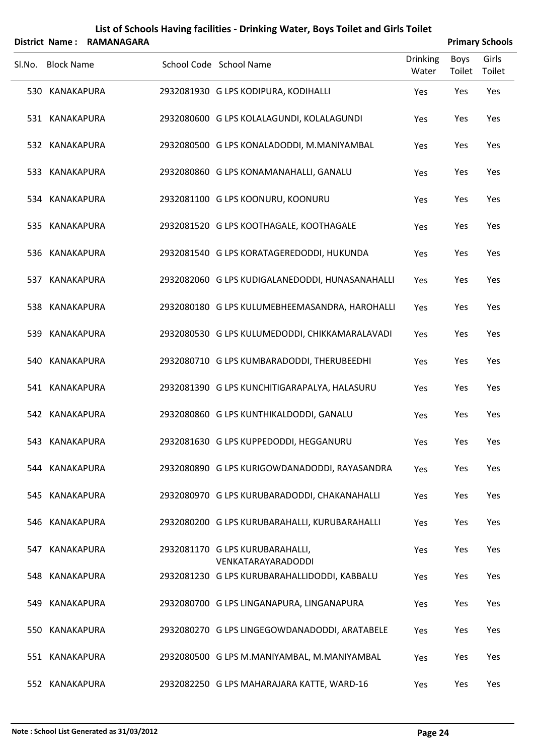|        | <b>District Name:</b> | <b>RAMANAGARA</b> |                                                                    |                          |                       | <b>Primary Schools</b> |
|--------|-----------------------|-------------------|--------------------------------------------------------------------|--------------------------|-----------------------|------------------------|
| SI.No. | <b>Block Name</b>     |                   | School Code School Name                                            | <b>Drinking</b><br>Water | <b>Boys</b><br>Toilet | Girls<br>Toilet        |
|        | 530 KANAKAPURA        |                   | 2932081930 G LPS KODIPURA, KODIHALLI                               | Yes                      | Yes                   | Yes                    |
|        | 531 KANAKAPURA        |                   | 2932080600 G LPS KOLALAGUNDI, KOLALAGUNDI                          | Yes                      | Yes                   | Yes                    |
|        | 532 KANAKAPURA        |                   | 2932080500 G LPS KONALADODDI, M.MANIYAMBAL                         | Yes                      | Yes                   | Yes                    |
|        | 533 KANAKAPURA        |                   | 2932080860 G LPS KONAMANAHALLI, GANALU                             | Yes                      | Yes                   | Yes                    |
|        | 534 KANAKAPURA        |                   | 2932081100 G LPS KOONURU, KOONURU                                  | Yes                      | Yes                   | Yes                    |
|        | 535 KANAKAPURA        |                   | 2932081520 G LPS KOOTHAGALE, KOOTHAGALE                            | Yes                      | Yes                   | Yes                    |
|        | 536 KANAKAPURA        |                   | 2932081540 G LPS KORATAGEREDODDI, HUKUNDA                          | Yes                      | Yes                   | Yes                    |
|        | 537 KANAKAPURA        |                   | 2932082060 G LPS KUDIGALANEDODDI, HUNASANAHALLI                    | Yes                      | Yes                   | Yes                    |
|        | 538 KANAKAPURA        |                   | 2932080180 G LPS KULUMEBHEEMASANDRA, HAROHALLI                     | Yes                      | Yes                   | Yes                    |
|        | 539 KANAKAPURA        |                   | 2932080530 G LPS KULUMEDODDI, CHIKKAMARALAVADI                     | Yes                      | Yes                   | Yes                    |
|        | 540 KANAKAPURA        |                   | 2932080710 G LPS KUMBARADODDI, THERUBEEDHI                         | Yes                      | Yes                   | Yes                    |
|        | 541 KANAKAPURA        |                   | 2932081390 G LPS KUNCHITIGARAPALYA, HALASURU                       | Yes                      | Yes                   | Yes                    |
|        | 542 KANAKAPURA        |                   | 2932080860 G LPS KUNTHIKALDODDI, GANALU                            | Yes                      | Yes                   | Yes                    |
|        | 543 KANAKAPURA        |                   | 2932081630 G LPS KUPPEDODDI, HEGGANURU                             | Yes                      | Yes                   | Yes                    |
|        | 544 KANAKAPURA        |                   | 2932080890 G LPS KURIGOWDANADODDI, RAYASANDRA                      | Yes                      | Yes                   | Yes                    |
|        | 545 KANAKAPURA        |                   | 2932080970 G LPS KURUBARADODDI, CHAKANAHALLI                       | Yes                      | Yes                   | Yes                    |
|        | 546 KANAKAPURA        |                   | 2932080200 G LPS KURUBARAHALLI, KURUBARAHALLI                      | Yes                      | Yes                   | Yes                    |
|        | 547 KANAKAPURA        |                   | 2932081170 G LPS KURUBARAHALLI,                                    | Yes                      | Yes                   | Yes                    |
|        | 548 KANAKAPURA        |                   | VENKATARAYARADODDI<br>2932081230 G LPS KURUBARAHALLIDODDI, KABBALU | Yes                      | Yes                   | Yes                    |
|        | 549 KANAKAPURA        |                   | 2932080700 G LPS LINGANAPURA, LINGANAPURA                          | Yes                      | Yes                   | Yes                    |
|        | 550 KANAKAPURA        |                   | 2932080270 G LPS LINGEGOWDANADODDI, ARATABELE                      | Yes                      | Yes                   | Yes                    |
|        | 551 KANAKAPURA        |                   | 2932080500 G LPS M.MANIYAMBAL, M.MANIYAMBAL                        | Yes                      | Yes                   | Yes                    |
|        | 552 KANAKAPURA        |                   | 2932082250 G LPS MAHARAJARA KATTE, WARD-16                         | Yes                      | Yes                   | Yes                    |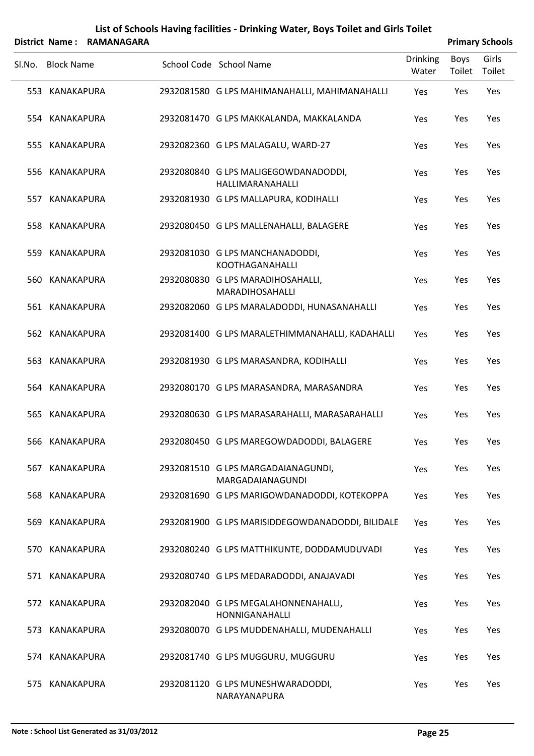|        |                   | District Name: RAMANAGARA |                                                          |                          |                       | <b>Primary Schools</b> |
|--------|-------------------|---------------------------|----------------------------------------------------------|--------------------------|-----------------------|------------------------|
| SI.No. | <b>Block Name</b> |                           | School Code School Name                                  | <b>Drinking</b><br>Water | <b>Boys</b><br>Toilet | Girls<br>Toilet        |
|        | 553 KANAKAPURA    |                           | 2932081580 G LPS MAHIMANAHALLI, MAHIMANAHALLI            | Yes                      | Yes                   | Yes                    |
|        | 554 KANAKAPURA    |                           | 2932081470 G LPS MAKKALANDA, MAKKALANDA                  | Yes                      | Yes                   | Yes                    |
|        | 555 KANAKAPURA    |                           | 2932082360 G LPS MALAGALU, WARD-27                       | Yes                      | Yes                   | Yes                    |
|        | 556 KANAKAPURA    |                           | 2932080840 G LPS MALIGEGOWDANADODDI,<br>HALLIMARANAHALLI | Yes                      | Yes                   | Yes                    |
| 557    | KANAKAPURA        |                           | 2932081930 G LPS MALLAPURA, KODIHALLI                    | Yes                      | Yes                   | Yes                    |
|        | 558 KANAKAPURA    |                           | 2932080450 G LPS MALLENAHALLI, BALAGERE                  | Yes                      | Yes                   | Yes                    |
|        | 559 KANAKAPURA    |                           | 2932081030 G LPS MANCHANADODDI,<br>KOOTHAGANAHALLI       | Yes                      | Yes                   | Yes                    |
|        | 560 KANAKAPURA    |                           | 2932080830 G LPS MARADIHOSAHALLI,<br>MARADIHOSAHALLI     | Yes                      | Yes                   | Yes                    |
|        | 561 KANAKAPURA    |                           | 2932082060 G LPS MARALADODDI, HUNASANAHALLI              | Yes                      | Yes                   | Yes                    |
|        | 562 KANAKAPURA    |                           | 2932081400 G LPS MARALETHIMMANAHALLI, KADAHALLI          | Yes                      | Yes                   | Yes                    |
|        | 563 KANAKAPURA    |                           | 2932081930 G LPS MARASANDRA, KODIHALLI                   | Yes                      | Yes                   | Yes                    |
|        | 564 KANAKAPURA    |                           | 2932080170 G LPS MARASANDRA, MARASANDRA                  | Yes                      | Yes                   | Yes                    |
|        | 565 KANAKAPURA    |                           | 2932080630 G LPS MARASARAHALLI, MARASARAHALLI            | Yes                      | Yes                   | Yes                    |
|        | 566 KANAKAPURA    |                           | 2932080450 G LPS MAREGOWDADODDI, BALAGERE                | Yes                      | Yes                   | Yes                    |
| 567    | KANAKAPURA        |                           | 2932081510 G LPS MARGADAIANAGUNDI,<br>MARGADAIANAGUNDI   | Yes                      | Yes                   | Yes                    |
|        | 568 KANAKAPURA    |                           | 2932081690 G LPS MARIGOWDANADODDI, KOTEKOPPA             | Yes                      | Yes                   | Yes                    |
|        | 569 KANAKAPURA    |                           | 2932081900 G LPS MARISIDDEGOWDANADODDI, BILIDALE         | Yes                      | Yes                   | Yes                    |
|        | 570 KANAKAPURA    |                           | 2932080240 G LPS MATTHIKUNTE, DODDAMUDUVADI              | Yes                      | Yes                   | Yes                    |
|        | 571 KANAKAPURA    |                           | 2932080740 G LPS MEDARADODDI, ANAJAVADI                  | Yes                      | Yes                   | Yes                    |
|        | 572 KANAKAPURA    |                           | 2932082040 G LPS MEGALAHONNENAHALLI,<br>HONNIGANAHALLI   | Yes                      | Yes                   | Yes                    |
|        | 573 KANAKAPURA    |                           | 2932080070 G LPS MUDDENAHALLI, MUDENAHALLI               | Yes                      | Yes                   | Yes                    |
|        | 574 KANAKAPURA    |                           | 2932081740 G LPS MUGGURU, MUGGURU                        | Yes                      | Yes                   | Yes                    |
| 575    | KANAKAPURA        |                           | 2932081120 G LPS MUNESHWARADODDI,<br>NARAYANAPURA        | Yes                      | Yes                   | Yes                    |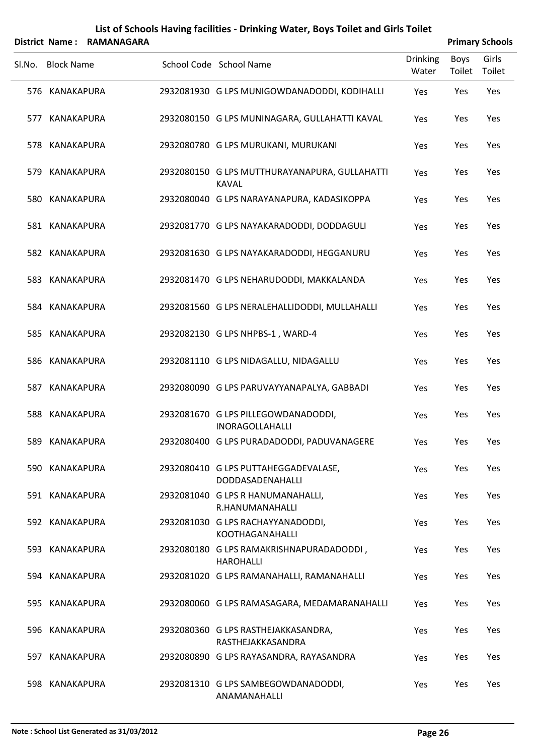|        |                   | District Name: RAMANAGARA |                                                               |                          |                       | <b>Primary Schools</b> |
|--------|-------------------|---------------------------|---------------------------------------------------------------|--------------------------|-----------------------|------------------------|
| SI.No. | <b>Block Name</b> |                           | School Code School Name                                       | <b>Drinking</b><br>Water | <b>Boys</b><br>Toilet | Girls<br>Toilet        |
|        | 576 KANAKAPURA    |                           | 2932081930 G LPS MUNIGOWDANADODDI, KODIHALLI                  | Yes                      | Yes                   | Yes                    |
| 577    | KANAKAPURA        |                           | 2932080150 G LPS MUNINAGARA, GULLAHATTI KAVAL                 | Yes                      | Yes                   | Yes                    |
|        | 578 KANAKAPURA    |                           | 2932080780 G LPS MURUKANI, MURUKANI                           | Yes                      | Yes                   | Yes                    |
| 579.   | KANAKAPURA        |                           | 2932080150 G LPS MUTTHURAYANAPURA, GULLAHATTI<br><b>KAVAL</b> | Yes                      | Yes                   | Yes                    |
|        | 580 KANAKAPURA    |                           | 2932080040 G LPS NARAYANAPURA, KADASIKOPPA                    | Yes                      | Yes                   | Yes                    |
|        | 581 KANAKAPURA    |                           | 2932081770 G LPS NAYAKARADODDI, DODDAGULI                     | Yes                      | Yes                   | Yes                    |
|        | 582 KANAKAPURA    |                           | 2932081630 G LPS NAYAKARADODDI, HEGGANURU                     | Yes                      | Yes                   | Yes                    |
|        | 583 KANAKAPURA    |                           | 2932081470 G LPS NEHARUDODDI, MAKKALANDA                      | Yes                      | Yes                   | Yes                    |
|        | 584 KANAKAPURA    |                           | 2932081560 G LPS NERALEHALLIDODDI, MULLAHALLI                 | Yes                      | Yes                   | Yes                    |
|        | 585 KANAKAPURA    |                           | 2932082130 G LPS NHPBS-1, WARD-4                              | Yes                      | Yes                   | Yes                    |
|        | 586 KANAKAPURA    |                           | 2932081110 G LPS NIDAGALLU, NIDAGALLU                         | Yes                      | Yes                   | Yes                    |
|        | 587 KANAKAPURA    |                           | 2932080090 G LPS PARUVAYYANAPALYA, GABBADI                    | Yes                      | Yes                   | Yes                    |
|        | 588 KANAKAPURA    |                           | 2932081670 G LPS PILLEGOWDANADODDI,<br><b>INORAGOLLAHALLI</b> | Yes                      | Yes                   | Yes                    |
|        | 589 KANAKAPURA    |                           | 2932080400 G LPS PURADADODDI, PADUVANAGERE                    | Yes                      | Yes                   | Yes                    |
|        | 590 KANAKAPURA    |                           | 2932080410 G LPS PUTTAHEGGADEVALASE,<br>DODDASADENAHALLI      | Yes                      | Yes                   | Yes                    |
|        | 591 KANAKAPURA    |                           | 2932081040 G LPS R HANUMANAHALLI,<br>R.HANUMANAHALLI          | Yes                      | Yes                   | Yes                    |
|        | 592 KANAKAPURA    |                           | 2932081030 G LPS RACHAYYANADODDI,<br>KOOTHAGANAHALLI          | Yes                      | Yes                   | Yes                    |
|        | 593 KANAKAPURA    |                           | 2932080180 G LPS RAMAKRISHNAPURADADODDI,<br><b>HAROHALLI</b>  | Yes                      | Yes                   | Yes                    |
|        | 594 KANAKAPURA    |                           | 2932081020 G LPS RAMANAHALLI, RAMANAHALLI                     | Yes                      | Yes                   | Yes                    |
|        | 595 KANAKAPURA    |                           | 2932080060 G LPS RAMASAGARA, MEDAMARANAHALLI                  | Yes                      | Yes                   | Yes                    |
| 596    | KANAKAPURA        |                           | 2932080360 G LPS RASTHEJAKKASANDRA,<br>RASTHEJAKKASANDRA      | Yes                      | Yes                   | Yes                    |
|        | 597 KANAKAPURA    |                           | 2932080890 G LPS RAYASANDRA, RAYASANDRA                       | Yes                      | Yes                   | Yes                    |
|        | 598 KANAKAPURA    |                           | 2932081310 G LPS SAMBEGOWDANADODDI,<br>ANAMANAHALLI           | Yes                      | Yes                   | Yes                    |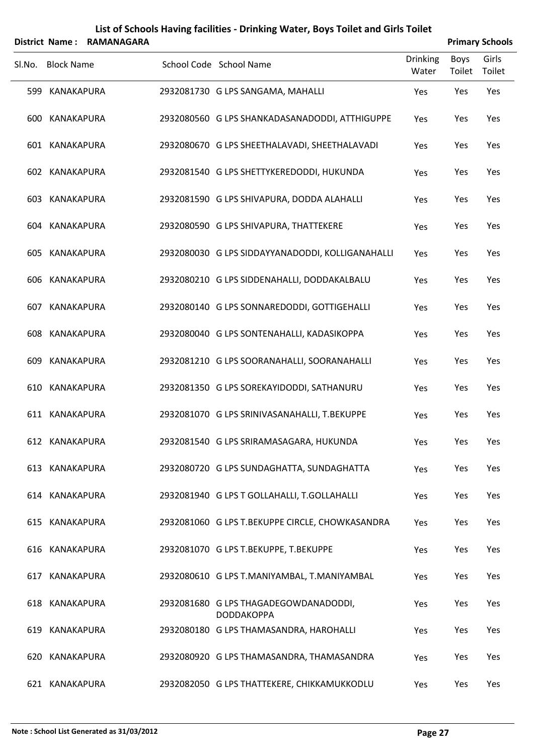| List of Schools Having facilities - Drinking Water, Boys Toilet and Girls Toilet |  |  |
|----------------------------------------------------------------------------------|--|--|
|                                                                                  |  |  |

|        |                   | District Name: RAMANAGARA |                                                            |                   |                | <b>Primary Schools</b> |
|--------|-------------------|---------------------------|------------------------------------------------------------|-------------------|----------------|------------------------|
| SI.No. | <b>Block Name</b> |                           | School Code School Name                                    | Drinking<br>Water | Boys<br>Toilet | Girls<br>Toilet        |
|        | 599 KANAKAPURA    |                           | 2932081730 G LPS SANGAMA, MAHALLI                          | Yes               | Yes            | Yes                    |
|        | 600 KANAKAPURA    |                           | 2932080560 G LPS SHANKADASANADODDI, ATTHIGUPPE             | Yes               | Yes            | Yes                    |
|        | 601 KANAKAPURA    |                           | 2932080670 G LPS SHEETHALAVADI, SHEETHALAVADI              | Yes               | Yes            | Yes                    |
|        | 602 KANAKAPURA    |                           | 2932081540 G LPS SHETTYKEREDODDI, HUKUNDA                  | Yes               | Yes            | Yes                    |
|        | 603 KANAKAPURA    |                           | 2932081590 G LPS SHIVAPURA, DODDA ALAHALLI                 | Yes               | Yes            | Yes                    |
|        | 604 KANAKAPURA    |                           | 2932080590 G LPS SHIVAPURA, THATTEKERE                     | Yes               | Yes            | Yes                    |
|        | 605 KANAKAPURA    |                           | 2932080030 G LPS SIDDAYYANADODDI, KOLLIGANAHALLI           | Yes               | Yes            | Yes                    |
|        | 606 KANAKAPURA    |                           | 2932080210 G LPS SIDDENAHALLI, DODDAKALBALU                | Yes               | Yes            | Yes                    |
|        | 607 KANAKAPURA    |                           | 2932080140 G LPS SONNAREDODDI, GOTTIGEHALLI                | Yes               | Yes            | Yes                    |
|        | 608 KANAKAPURA    |                           | 2932080040 G LPS SONTENAHALLI, KADASIKOPPA                 | Yes               | Yes            | Yes                    |
| 609    | KANAKAPURA        |                           | 2932081210 G LPS SOORANAHALLI, SOORANAHALLI                | Yes               | Yes            | Yes                    |
|        | 610 KANAKAPURA    |                           | 2932081350 G LPS SOREKAYIDODDI, SATHANURU                  | Yes               | Yes            | Yes                    |
|        | 611 KANAKAPURA    |                           | 2932081070 G LPS SRINIVASANAHALLI, T.BEKUPPE               | Yes               | Yes            | Yes                    |
|        | 612 KANAKAPURA    |                           | 2932081540 G LPS SRIRAMASAGARA, HUKUNDA                    | Yes               | Yes            | Yes                    |
|        | 613 KANAKAPURA    |                           | 2932080720 G LPS SUNDAGHATTA, SUNDAGHATTA                  | Yes               | Yes            | Yes                    |
|        | 614 KANAKAPURA    |                           | 2932081940 G LPS T GOLLAHALLI, T.GOLLAHALLI                | Yes               | Yes            | Yes                    |
|        | 615 KANAKAPURA    |                           | 2932081060 G LPS T.BEKUPPE CIRCLE, CHOWKASANDRA            | Yes               | Yes            | Yes                    |
|        | 616 KANAKAPURA    |                           | 2932081070 G LPS T.BEKUPPE, T.BEKUPPE                      | Yes               | Yes            | Yes                    |
|        | 617 KANAKAPURA    |                           | 2932080610 G LPS T.MANIYAMBAL, T.MANIYAMBAL                | Yes               | Yes            | Yes                    |
|        | 618 KANAKAPURA    |                           | 2932081680 G LPS THAGADEGOWDANADODDI,<br><b>DODDAKOPPA</b> | Yes               | Yes            | Yes                    |
|        | 619 KANAKAPURA    |                           | 2932080180 G LPS THAMASANDRA, HAROHALLI                    | Yes               | Yes            | Yes                    |
|        | 620 KANAKAPURA    |                           | 2932080920 G LPS THAMASANDRA, THAMASANDRA                  | Yes               | Yes            | Yes                    |
|        | 621 KANAKAPURA    |                           | 2932082050 G LPS THATTEKERE, CHIKKAMUKKODLU                | Yes               | Yes            | Yes                    |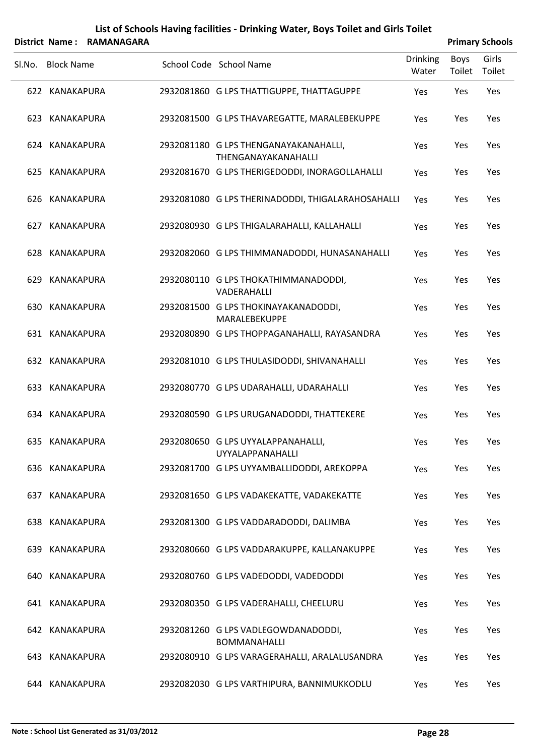|        |                   | District Name: RAMANAGARA |                                                               |                          |                | <b>Primary Schools</b> |
|--------|-------------------|---------------------------|---------------------------------------------------------------|--------------------------|----------------|------------------------|
| SI.No. | <b>Block Name</b> |                           | School Code School Name                                       | <b>Drinking</b><br>Water | Boys<br>Toilet | Girls<br>Toilet        |
|        | 622 KANAKAPURA    |                           | 2932081860 G LPS THATTIGUPPE, THATTAGUPPE                     | Yes                      | Yes            | Yes                    |
| 623    | KANAKAPURA        |                           | 2932081500 G LPS THAVAREGATTE, MARALEBEKUPPE                  | Yes                      | Yes            | Yes                    |
|        | 624 KANAKAPURA    |                           | 2932081180 G LPS THENGANAYAKANAHALLI,<br>THENGANAYAKANAHALLI  | Yes                      | Yes            | Yes                    |
| 625    | KANAKAPURA        |                           | 2932081670 G LPS THERIGEDODDI, INORAGOLLAHALLI                | Yes                      | Yes            | Yes                    |
| 626    | KANAKAPURA        |                           | 2932081080 G LPS THERINADODDI, THIGALARAHOSAHALLI             | Yes                      | Yes            | Yes                    |
| 627    | <b>KANAKAPURA</b> |                           | 2932080930 G LPS THIGALARAHALLI, KALLAHALLI                   | Yes                      | Yes            | Yes                    |
| 628    | KANAKAPURA        |                           | 2932082060 G LPS THIMMANADODDI, HUNASANAHALLI                 | Yes                      | Yes            | Yes                    |
| 629    | KANAKAPURA        |                           | 2932080110 G LPS THOKATHIMMANADODDI,<br>VADERAHALLI           | Yes                      | Yes            | Yes                    |
| 630    | KANAKAPURA        |                           | 2932081500 G LPS THOKINAYAKANADODDI,<br>MARALEBEKUPPE         | Yes                      | Yes            | Yes                    |
|        | 631 KANAKAPURA    |                           | 2932080890 G LPS THOPPAGANAHALLI, RAYASANDRA                  | Yes                      | Yes            | Yes                    |
|        | 632 KANAKAPURA    |                           | 2932081010 G LPS THULASIDODDI, SHIVANAHALLI                   | Yes                      | Yes            | Yes                    |
| 633    | <b>KANAKAPURA</b> |                           | 2932080770 G LPS UDARAHALLI, UDARAHALLI                       | Yes                      | Yes            | Yes                    |
| 634    | KANAKAPURA        |                           | 2932080590 G LPS URUGANADODDI, THATTEKERE                     | Yes                      | Yes            | Yes                    |
|        | 635 KANAKAPURA    |                           | 2932080650 G LPS UYYALAPPANAHALLI,<br><b>UYYALAPPANAHALLI</b> | Yes                      | Yes            | Yes                    |
| 636    | KANAKAPURA        |                           | 2932081700 G LPS UYYAMBALLIDODDI, AREKOPPA                    | Yes                      | Yes            | Yes                    |
|        | 637 KANAKAPURA    |                           | 2932081650 G LPS VADAKEKATTE, VADAKEKATTE                     | Yes                      | Yes            | Yes                    |
| 638    | KANAKAPURA        |                           | 2932081300 G LPS VADDARADODDI, DALIMBA                        | Yes                      | Yes            | Yes                    |
| 639    | KANAKAPURA        |                           | 2932080660 G LPS VADDARAKUPPE, KALLANAKUPPE                   | Yes                      | Yes            | Yes                    |
|        | 640 KANAKAPURA    |                           | 2932080760 G LPS VADEDODDI, VADEDODDI                         | Yes                      | Yes            | Yes                    |
|        | 641 KANAKAPURA    |                           | 2932080350 G LPS VADERAHALLI, CHEELURU                        | Yes                      | Yes            | Yes                    |
|        | 642 KANAKAPURA    |                           | 2932081260 G LPS VADLEGOWDANADODDI,<br><b>BOMMANAHALLI</b>    | Yes                      | Yes            | Yes                    |
| 643    | KANAKAPURA        |                           | 2932080910 G LPS VARAGERAHALLI, ARALALUSANDRA                 | Yes                      | Yes            | Yes                    |
|        | 644 KANAKAPURA    |                           | 2932082030 G LPS VARTHIPURA, BANNIMUKKODLU                    | Yes                      | Yes            | Yes                    |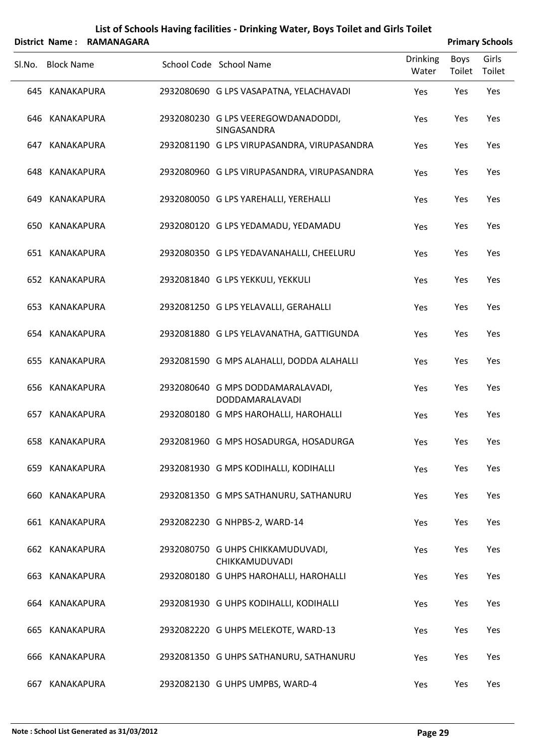|        |                   | District Name: RAMANAGARA |                                                             |                          |                | <b>Primary Schools</b> |
|--------|-------------------|---------------------------|-------------------------------------------------------------|--------------------------|----------------|------------------------|
| SI.No. | <b>Block Name</b> |                           | School Code School Name                                     | <b>Drinking</b><br>Water | Boys<br>Toilet | Girls<br>Toilet        |
|        | 645 KANAKAPURA    |                           | 2932080690 G LPS VASAPATNA, YELACHAVADI                     | Yes                      | Yes            | Yes                    |
|        | 646 KANAKAPURA    |                           | 2932080230 G LPS VEEREGOWDANADODDI,<br>SINGASANDRA          | Yes                      | Yes            | Yes                    |
|        | 647 KANAKAPURA    |                           | 2932081190 G LPS VIRUPASANDRA, VIRUPASANDRA                 | Yes                      | Yes            | Yes                    |
|        | 648 KANAKAPURA    |                           | 2932080960 G LPS VIRUPASANDRA, VIRUPASANDRA                 | Yes                      | Yes            | Yes                    |
|        | 649 KANAKAPURA    |                           | 2932080050 G LPS YAREHALLI, YEREHALLI                       | Yes                      | Yes            | Yes                    |
|        | 650 KANAKAPURA    |                           | 2932080120 G LPS YEDAMADU, YEDAMADU                         | Yes                      | Yes            | Yes                    |
|        | 651 KANAKAPURA    |                           | 2932080350 G LPS YEDAVANAHALLI, CHEELURU                    | Yes                      | Yes            | Yes                    |
|        | 652 KANAKAPURA    |                           | 2932081840 G LPS YEKKULI, YEKKULI                           | Yes                      | Yes            | Yes                    |
|        | 653 KANAKAPURA    |                           | 2932081250 G LPS YELAVALLI, GERAHALLI                       | Yes                      | Yes            | Yes                    |
|        | 654 KANAKAPURA    |                           | 2932081880 G LPS YELAVANATHA, GATTIGUNDA                    | Yes                      | Yes            | Yes                    |
|        | 655 KANAKAPURA    |                           | 2932081590 G MPS ALAHALLI, DODDA ALAHALLI                   | Yes                      | Yes            | Yes                    |
|        | 656 KANAKAPURA    |                           | 2932080640 G MPS DODDAMARALAVADI,<br><b>DODDAMARALAVADI</b> | Yes                      | Yes            | Yes                    |
|        | 657 KANAKAPURA    |                           | 2932080180 G MPS HAROHALLI, HAROHALLI                       | Yes                      | Yes            | Yes                    |
|        | 658 KANAKAPURA    |                           | 2932081960 G MPS HOSADURGA, HOSADURGA                       | Yes                      | Yes            | Yes                    |
|        | 659 KANAKAPURA    |                           | 2932081930 G MPS KODIHALLI, KODIHALLI                       | Yes                      | Yes            | Yes                    |
|        | 660 KANAKAPURA    |                           | 2932081350 G MPS SATHANURU, SATHANURU                       | Yes                      | Yes            | Yes                    |
|        | 661 KANAKAPURA    |                           | 2932082230 G NHPBS-2, WARD-14                               | Yes                      | Yes            | Yes                    |
|        | 662 KANAKAPURA    |                           | 2932080750 G UHPS CHIKKAMUDUVADI,<br>CHIKKAMUDUVADI         | Yes                      | Yes            | Yes                    |
|        | 663 KANAKAPURA    |                           | 2932080180 G UHPS HAROHALLI, HAROHALLI                      | Yes                      | Yes            | Yes                    |
|        | 664 KANAKAPURA    |                           | 2932081930 G UHPS KODIHALLI, KODIHALLI                      | Yes                      | Yes            | Yes                    |
|        | 665 KANAKAPURA    |                           | 2932082220 G UHPS MELEKOTE, WARD-13                         | Yes                      | Yes            | Yes                    |
|        | 666 KANAKAPURA    |                           | 2932081350 G UHPS SATHANURU, SATHANURU                      | Yes                      | Yes            | Yes                    |
|        | 667 KANAKAPURA    |                           | 2932082130 G UHPS UMPBS, WARD-4                             | Yes                      | Yes            | Yes                    |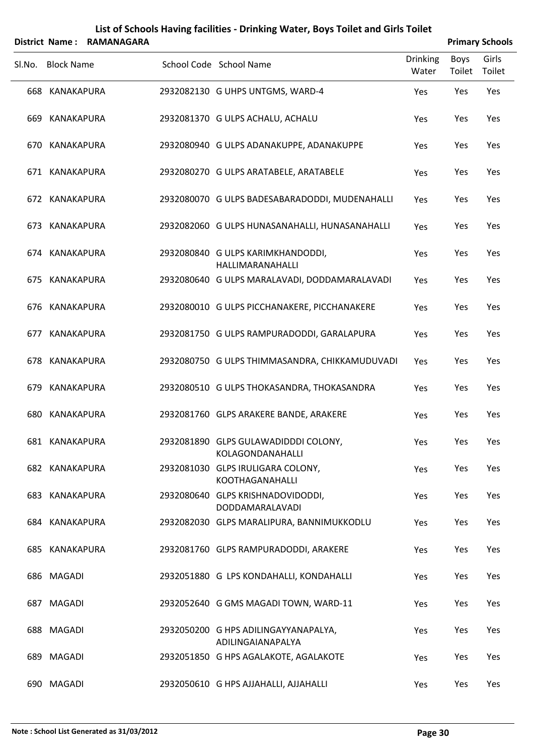| List of Schools Having facilities - Drinking Water, Boys Toilet and Girls Toilet |  |
|----------------------------------------------------------------------------------|--|
|----------------------------------------------------------------------------------|--|

|        |                   | District Name: RAMANAGARA |                                                           |                          |                | <b>Primary Schools</b> |
|--------|-------------------|---------------------------|-----------------------------------------------------------|--------------------------|----------------|------------------------|
| Sl.No. | <b>Block Name</b> |                           | School Code School Name                                   | <b>Drinking</b><br>Water | Boys<br>Toilet | Girls<br>Toilet        |
|        | 668 KANAKAPURA    |                           | 2932082130 G UHPS UNTGMS, WARD-4                          | Yes                      | Yes            | Yes                    |
|        | 669 KANAKAPURA    |                           | 2932081370 G ULPS ACHALU, ACHALU                          | Yes                      | Yes            | Yes                    |
|        | 670 KANAKAPURA    |                           | 2932080940 G ULPS ADANAKUPPE, ADANAKUPPE                  | Yes                      | Yes            | Yes                    |
|        | 671 KANAKAPURA    |                           | 2932080270 G ULPS ARATABELE, ARATABELE                    | Yes                      | Yes            | Yes                    |
|        | 672 KANAKAPURA    |                           | 2932080070 G ULPS BADESABARADODDI, MUDENAHALLI            | Yes                      | Yes            | Yes                    |
|        | 673 KANAKAPURA    |                           | 2932082060 G ULPS HUNASANAHALLI, HUNASANAHALLI            | Yes                      | Yes            | Yes                    |
|        | 674 KANAKAPURA    |                           | 2932080840 G ULPS KARIMKHANDODDI,<br>HALLIMARANAHALLI     | Yes                      | Yes            | Yes                    |
|        | 675 KANAKAPURA    |                           | 2932080640 G ULPS MARALAVADI, DODDAMARALAVADI             | Yes                      | Yes            | Yes                    |
|        | 676 KANAKAPURA    |                           | 2932080010 G ULPS PICCHANAKERE, PICCHANAKERE              | Yes                      | Yes            | Yes                    |
|        | 677 KANAKAPURA    |                           | 2932081750 G ULPS RAMPURADODDI, GARALAPURA                | Yes                      | Yes            | Yes                    |
|        | 678 KANAKAPURA    |                           | 2932080750 G ULPS THIMMASANDRA, CHIKKAMUDUVADI            | Yes                      | Yes            | Yes                    |
|        | 679 KANAKAPURA    |                           | 2932080510 G ULPS THOKASANDRA, THOKASANDRA                | Yes                      | Yes            | Yes                    |
|        | 680 KANAKAPURA    |                           | 2932081760 GLPS ARAKERE BANDE, ARAKERE                    | Yes                      | Yes            | Yes                    |
|        | 681 KANAKAPURA    |                           | 2932081890 GLPS GULAWADIDDDI COLONY,<br>KOLAGONDANAHALLI  | Yes                      | Yes            | Yes                    |
|        | 682 KANAKAPURA    |                           | 2932081030 GLPS IRULIGARA COLONY,<br>KOOTHAGANAHALLI      | Yes                      | Yes            | Yes                    |
|        | 683 KANAKAPURA    |                           | 2932080640 GLPS KRISHNADOVIDODDI,<br>DODDAMARALAVADI      | Yes                      | Yes            | Yes                    |
|        | 684 KANAKAPURA    |                           | 2932082030 GLPS MARALIPURA, BANNIMUKKODLU                 | Yes                      | Yes            | Yes                    |
|        | 685 KANAKAPURA    |                           | 2932081760 GLPS RAMPURADODDI, ARAKERE                     | Yes                      | Yes            | Yes                    |
|        | 686 MAGADI        |                           | 2932051880 G LPS KONDAHALLI, KONDAHALLI                   | Yes                      | Yes            | Yes                    |
|        | 687 MAGADI        |                           | 2932052640 G GMS MAGADI TOWN, WARD-11                     | Yes                      | Yes            | Yes                    |
|        | 688 MAGADI        |                           | 2932050200 G HPS ADILINGAYYANAPALYA,<br>ADILINGAIANAPALYA | Yes                      | Yes            | Yes                    |
|        | 689 MAGADI        |                           | 2932051850 G HPS AGALAKOTE, AGALAKOTE                     | Yes                      | Yes            | Yes                    |
|        | 690 MAGADI        |                           | 2932050610 G HPS AJJAHALLI, AJJAHALLI                     | Yes                      | Yes            | Yes                    |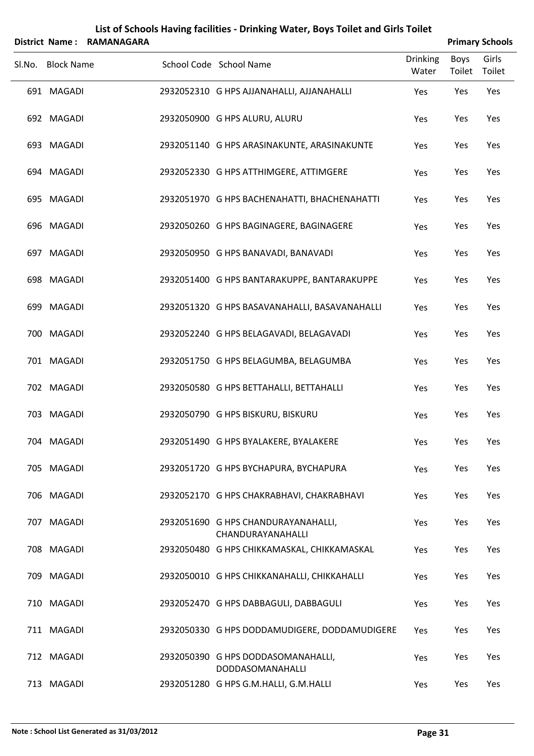|        | <b>District Name:</b> | <b>RAMANAGARA</b> |                                                          |                          |                       | <b>Primary Schools</b> |
|--------|-----------------------|-------------------|----------------------------------------------------------|--------------------------|-----------------------|------------------------|
| Sl.No. | <b>Block Name</b>     |                   | School Code School Name                                  | <b>Drinking</b><br>Water | <b>Boys</b><br>Toilet | Girls<br>Toilet        |
|        | 691 MAGADI            |                   | 2932052310 G HPS AJJANAHALLI, AJJANAHALLI                | Yes                      | Yes                   | Yes                    |
|        | 692 MAGADI            |                   | 2932050900 G HPS ALURU, ALURU                            | Yes                      | Yes                   | Yes                    |
|        | 693 MAGADI            |                   | 2932051140 G HPS ARASINAKUNTE, ARASINAKUNTE              | Yes                      | Yes                   | Yes                    |
|        | 694 MAGADI            |                   | 2932052330 G HPS ATTHIMGERE, ATTIMGERE                   | Yes                      | Yes                   | Yes                    |
|        | 695 MAGADI            |                   | 2932051970 G HPS BACHENAHATTI, BHACHENAHATTI             | Yes                      | Yes                   | Yes                    |
|        | 696 MAGADI            |                   | 2932050260 G HPS BAGINAGERE, BAGINAGERE                  | Yes                      | Yes                   | Yes                    |
|        | 697 MAGADI            |                   | 2932050950 G HPS BANAVADI, BANAVADI                      | Yes                      | Yes                   | Yes                    |
|        | 698 MAGADI            |                   | 2932051400 G HPS BANTARAKUPPE, BANTARAKUPPE              | Yes                      | Yes                   | Yes                    |
|        | 699 MAGADI            |                   | 2932051320 G HPS BASAVANAHALLI, BASAVANAHALLI            | Yes                      | Yes                   | Yes                    |
|        | 700 MAGADI            |                   | 2932052240 G HPS BELAGAVADI, BELAGAVADI                  | Yes                      | Yes                   | Yes                    |
|        | 701 MAGADI            |                   | 2932051750 G HPS BELAGUMBA, BELAGUMBA                    | Yes                      | Yes                   | Yes                    |
|        | 702 MAGADI            |                   | 2932050580 G HPS BETTAHALLI, BETTAHALLI                  | Yes                      | Yes                   | Yes                    |
|        | 703 MAGADI            |                   | 2932050790 G HPS BISKURU, BISKURU                        | Yes                      | Yes                   | Yes                    |
|        | 704 MAGADI            |                   | 2932051490 G HPS BYALAKERE, BYALAKERE                    | Yes                      | Yes                   | Yes                    |
|        | 705 MAGADI            |                   | 2932051720 G HPS BYCHAPURA, BYCHAPURA                    | Yes                      | Yes                   | Yes                    |
|        | 706 MAGADI            |                   | 2932052170 G HPS CHAKRABHAVI, CHAKRABHAVI                | Yes                      | Yes                   | Yes                    |
|        | 707 MAGADI            |                   | 2932051690 G HPS CHANDURAYANAHALLI,<br>CHANDURAYANAHALLI | Yes                      | Yes                   | Yes                    |
|        | 708 MAGADI            |                   | 2932050480 G HPS CHIKKAMASKAL, CHIKKAMASKAL              | Yes                      | Yes                   | Yes                    |
|        | 709 MAGADI            |                   | 2932050010 G HPS CHIKKANAHALLI, CHIKKAHALLI              | Yes                      | Yes                   | Yes                    |
|        | 710 MAGADI            |                   | 2932052470 G HPS DABBAGULI, DABBAGULI                    | Yes                      | Yes                   | Yes                    |
|        | 711 MAGADI            |                   | 2932050330 G HPS DODDAMUDIGERE, DODDAMUDIGERE            | Yes                      | Yes                   | Yes                    |
|        | 712 MAGADI            |                   | 2932050390 G HPS DODDASOMANAHALLI,<br>DODDASOMANAHALLI   | Yes                      | Yes                   | Yes                    |
|        | 713 MAGADI            |                   | 2932051280 G HPS G.M.HALLI, G.M.HALLI                    | Yes                      | Yes                   | Yes                    |

L,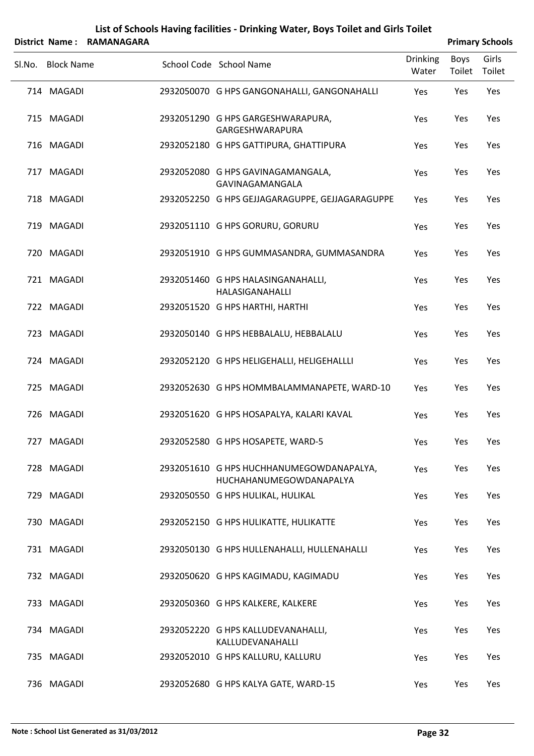|        | District Name:    | <b>RAMANAGARA</b> |                                                                     |                          |                       | <b>Primary Schools</b> |
|--------|-------------------|-------------------|---------------------------------------------------------------------|--------------------------|-----------------------|------------------------|
| SI.No. | <b>Block Name</b> |                   | School Code School Name                                             | <b>Drinking</b><br>Water | <b>Boys</b><br>Toilet | Girls<br>Toilet        |
|        | 714 MAGADI        |                   | 2932050070 G HPS GANGONAHALLI, GANGONAHALLI                         | Yes                      | Yes                   | Yes                    |
|        | 715 MAGADI        |                   | 2932051290 G HPS GARGESHWARAPURA,<br>GARGESHWARAPURA                | Yes                      | Yes                   | Yes                    |
|        | 716 MAGADI        |                   | 2932052180 G HPS GATTIPURA, GHATTIPURA                              | Yes                      | Yes                   | Yes                    |
|        | 717 MAGADI        |                   | 2932052080 G HPS GAVINAGAMANGALA,<br>GAVINAGAMANGALA                | Yes                      | Yes                   | Yes                    |
|        | 718 MAGADI        |                   | 2932052250 G HPS GEJJAGARAGUPPE, GEJJAGARAGUPPE                     | Yes                      | Yes                   | Yes                    |
|        | 719 MAGADI        |                   | 2932051110 G HPS GORURU, GORURU                                     | Yes                      | Yes                   | Yes                    |
|        | 720 MAGADI        |                   | 2932051910 G HPS GUMMASANDRA, GUMMASANDRA                           | Yes                      | Yes                   | Yes                    |
|        | 721 MAGADI        |                   | 2932051460 G HPS HALASINGANAHALLI,<br>HALASIGANAHALLI               | Yes                      | Yes                   | Yes                    |
|        | 722 MAGADI        |                   | 2932051520 G HPS HARTHI, HARTHI                                     | Yes                      | Yes                   | Yes                    |
|        | 723 MAGADI        |                   | 2932050140 G HPS HEBBALALU, HEBBALALU                               | Yes                      | Yes                   | Yes                    |
|        | 724 MAGADI        |                   | 2932052120 G HPS HELIGEHALLI, HELIGEHALLLI                          | Yes                      | Yes                   | Yes                    |
|        | 725 MAGADI        |                   | 2932052630 G HPS HOMMBALAMMANAPETE, WARD-10                         | Yes                      | Yes                   | Yes                    |
|        | 726 MAGADI        |                   | 2932051620 G HPS HOSAPALYA, KALARI KAVAL                            | Yes                      | Yes                   | Yes                    |
|        | 727 MAGADI        |                   | 2932052580 G HPS HOSAPETE, WARD-5                                   | Yes                      | Yes                   | Yes                    |
|        | 728 MAGADI        |                   | 2932051610 G HPS HUCHHANUMEGOWDANAPALYA,<br>HUCHAHANUMEGOWDANAPALYA | Yes                      | Yes                   | Yes                    |
|        | 729 MAGADI        |                   | 2932050550 G HPS HULIKAL, HULIKAL                                   | Yes                      | Yes                   | Yes                    |
|        | 730 MAGADI        |                   | 2932052150 G HPS HULIKATTE, HULIKATTE                               | Yes                      | Yes                   | Yes                    |
|        | 731 MAGADI        |                   | 2932050130 G HPS HULLENAHALLI, HULLENAHALLI                         | Yes                      | Yes                   | Yes                    |
|        | 732 MAGADI        |                   | 2932050620 G HPS KAGIMADU, KAGIMADU                                 | Yes                      | Yes                   | Yes                    |
|        | 733 MAGADI        |                   | 2932050360 G HPS KALKERE, KALKERE                                   | Yes                      | Yes                   | Yes                    |
|        | 734 MAGADI        |                   | 2932052220 G HPS KALLUDEVANAHALLI,<br>KALLUDEVANAHALLI              | Yes                      | Yes                   | Yes                    |
|        | 735 MAGADI        |                   | 2932052010 G HPS KALLURU, KALLURU                                   | Yes                      | Yes                   | Yes                    |
|        | 736 MAGADI        |                   | 2932052680 G HPS KALYA GATE, WARD-15                                | Yes                      | Yes                   | Yes                    |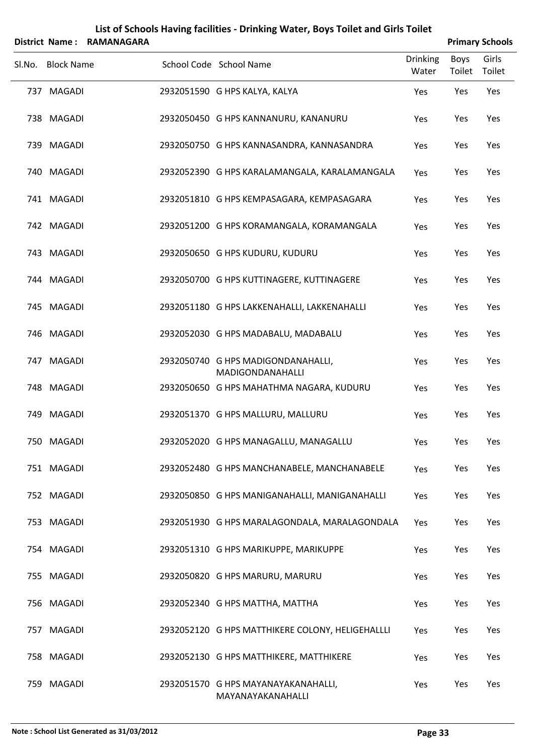|        | District Name:    | <b>RAMANAGARA</b> | List of Schools Having facilities - Drinking Water, Boys Toilet and Girls Toilet |                          |                       | <b>Primary Schools</b> |
|--------|-------------------|-------------------|----------------------------------------------------------------------------------|--------------------------|-----------------------|------------------------|
| Sl.No. | <b>Block Name</b> |                   | School Code School Name                                                          | <b>Drinking</b><br>Water | <b>Boys</b><br>Toilet | Girls<br>Toilet        |
|        | 737 MAGADI        |                   | 2932051590 G HPS KALYA, KALYA                                                    | Yes                      | Yes                   | Yes                    |
|        | 738 MAGADI        |                   | 2932050450 G HPS KANNANURU, KANANURU                                             | Yes                      | Yes                   | Yes                    |
|        | 739 MAGADI        |                   | 2932050750 G HPS KANNASANDRA, KANNASANDRA                                        | Yes                      | Yes                   | Yes                    |
|        | 740 MAGADI        |                   | 2932052390 G HPS KARALAMANGALA, KARALAMANGALA                                    | Yes                      | Yes                   | Yes                    |
|        | 741 MAGADI        |                   | 2932051810 G HPS KEMPASAGARA, KEMPASAGARA                                        | Yes                      | Yes                   | Yes                    |
|        | 742 MAGADI        |                   | 2932051200 G HPS KORAMANGALA, KORAMANGALA                                        | Yes                      | Yes                   | Yes                    |
|        | 743 MAGADI        |                   | 2932050650 G HPS KUDURU, KUDURU                                                  | Yes                      | Yes                   | Yes                    |
|        | 744 MAGADI        |                   | 2932050700 G HPS KUTTINAGERE, KUTTINAGERE                                        | Yes                      | Yes                   | Yes                    |
|        | 745 MAGADI        |                   | 2932051180 G HPS LAKKENAHALLI, LAKKENAHALLI                                      | Yes                      | Yes                   | Yes                    |
|        | 746 MAGADI        |                   | 2932052030 G HPS MADABALU, MADABALU                                              | Yes                      | Yes                   | Yes                    |
|        | 747 MAGADI        |                   | 2932050740 G HPS MADIGONDANAHALLI,<br>MADIGONDANAHALLI                           | Yes                      | Yes                   | Yes                    |
|        | 748 MAGADI        |                   | 2932050650 G HPS MAHATHMA NAGARA, KUDURU                                         | Yes                      | Yes                   | Yes                    |
|        | 749 MAGADI        |                   | 2932051370 G HPS MALLURU, MALLURU                                                | Yes                      | Yes                   | Yes                    |
|        | 750 MAGADI        |                   | 2932052020 G HPS MANAGALLU, MANAGALLU                                            | Yes                      | Yes                   | Yes                    |
|        | 751 MAGADI        |                   | 2932052480 G HPS MANCHANABELE, MANCHANABELE                                      | Yes                      | Yes                   | Yes                    |
|        | 752 MAGADI        |                   | 2932050850 G HPS MANIGANAHALLI, MANIGANAHALLI                                    | Yes                      | Yes                   | Yes                    |
|        | 753 MAGADI        |                   | 2932051930 G HPS MARALAGONDALA, MARALAGONDALA                                    | Yes                      | Yes                   | Yes                    |
|        | 754 MAGADI        |                   | 2932051310 G HPS MARIKUPPE, MARIKUPPE                                            | Yes                      | Yes                   | Yes                    |
|        | 755 MAGADI        |                   | 2932050820 G HPS MARURU, MARURU                                                  | Yes                      | Yes                   | Yes                    |
|        | 756 MAGADI        |                   | 2932052340 G HPS MATTHA, MATTHA                                                  | Yes                      | Yes                   | Yes                    |
|        | 757 MAGADI        |                   | 2932052120 G HPS MATTHIKERE COLONY, HELIGEHALLLI                                 | Yes                      | Yes                   | Yes                    |
|        | 758 MAGADI        |                   | 2932052130 G HPS MATTHIKERE, MATTHIKERE                                          | Yes                      | Yes                   | Yes                    |
|        | 759 MAGADI        |                   | 2932051570 G HPS MAYANAYAKANAHALLI,<br>MAYANAYAKANAHALLI                         | Yes                      | Yes                   | Yes                    |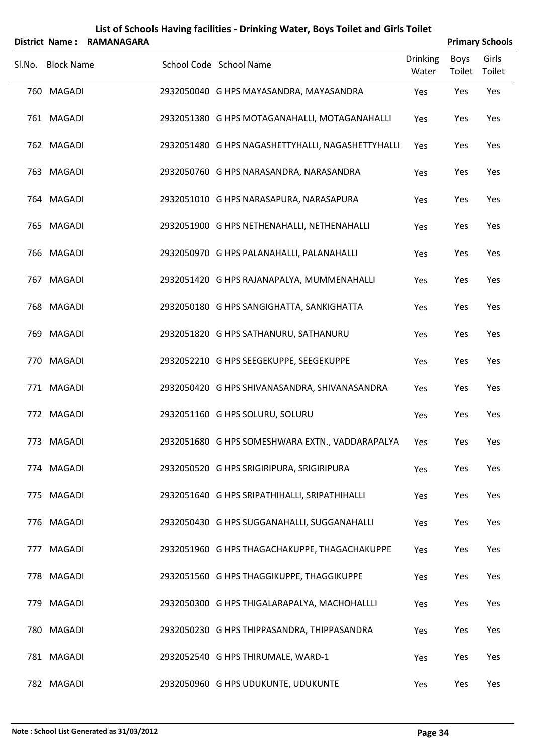|        |                   | District Name: RAMANAGARA |                                                   |                          |                | <b>Primary Schools</b> |
|--------|-------------------|---------------------------|---------------------------------------------------|--------------------------|----------------|------------------------|
| SI.No. | <b>Block Name</b> |                           | School Code School Name                           | <b>Drinking</b><br>Water | Boys<br>Toilet | Girls<br>Toilet        |
|        | 760 MAGADI        |                           | 2932050040 G HPS MAYASANDRA, MAYASANDRA           | Yes                      | Yes            | Yes                    |
|        | 761 MAGADI        |                           | 2932051380 G HPS MOTAGANAHALLI, MOTAGANAHALLI     | Yes                      | Yes            | Yes                    |
|        | 762 MAGADI        |                           | 2932051480 G HPS NAGASHETTYHALLI, NAGASHETTYHALLI | Yes                      | Yes            | Yes                    |
|        | 763 MAGADI        |                           | 2932050760 G HPS NARASANDRA, NARASANDRA           | Yes                      | Yes            | Yes                    |
|        | 764 MAGADI        |                           | 2932051010 G HPS NARASAPURA, NARASAPURA           | Yes                      | Yes            | Yes                    |
|        | 765 MAGADI        |                           | 2932051900 G HPS NETHENAHALLI, NETHENAHALLI       | Yes                      | Yes            | Yes                    |
|        | 766 MAGADI        |                           | 2932050970 G HPS PALANAHALLI, PALANAHALLI         | Yes                      | Yes            | Yes                    |
|        | 767 MAGADI        |                           | 2932051420 G HPS RAJANAPALYA, MUMMENAHALLI        | Yes                      | Yes            | Yes                    |
|        | 768 MAGADI        |                           | 2932050180 G HPS SANGIGHATTA, SANKIGHATTA         | Yes                      | Yes            | Yes                    |
|        | 769 MAGADI        |                           | 2932051820 G HPS SATHANURU, SATHANURU             | Yes                      | Yes            | Yes                    |
|        | 770 MAGADI        |                           | 2932052210 G HPS SEEGEKUPPE, SEEGEKUPPE           | Yes                      | Yes            | Yes                    |
|        | 771 MAGADI        |                           | 2932050420 G HPS SHIVANASANDRA, SHIVANASANDRA     | Yes                      | Yes            | Yes                    |
|        | 772 MAGADI        |                           | 2932051160 G HPS SOLURU, SOLURU                   | Yes                      | Yes            | Yes                    |
|        | 773 MAGADI        |                           | 2932051680 G HPS SOMESHWARA EXTN., VADDARAPALYA   | Yes                      | Yes            | Yes                    |
|        | 774 MAGADI        |                           | 2932050520 G HPS SRIGIRIPURA, SRIGIRIPURA         | Yes                      | Yes            | Yes                    |
|        | 775 MAGADI        |                           | 2932051640 G HPS SRIPATHIHALLI, SRIPATHIHALLI     | Yes                      | Yes            | Yes                    |
|        | 776 MAGADI        |                           | 2932050430 G HPS SUGGANAHALLI, SUGGANAHALLI       | Yes                      | Yes            | Yes                    |
|        | 777 MAGADI        |                           | 2932051960 G HPS THAGACHAKUPPE, THAGACHAKUPPE     | Yes                      | Yes            | Yes                    |
|        | 778 MAGADI        |                           | 2932051560 G HPS THAGGIKUPPE, THAGGIKUPPE         | Yes                      | Yes            | Yes                    |
|        | 779 MAGADI        |                           | 2932050300 G HPS THIGALARAPALYA, MACHOHALLLI      | Yes                      | Yes            | Yes                    |
|        | 780 MAGADI        |                           | 2932050230 G HPS THIPPASANDRA, THIPPASANDRA       | Yes                      | Yes            | Yes                    |
|        | 781 MAGADI        |                           | 2932052540 G HPS THIRUMALE, WARD-1                | Yes                      | Yes            | Yes                    |
|        | 782 MAGADI        |                           | 2932050960 G HPS UDUKUNTE, UDUKUNTE               | Yes                      | Yes            | Yes                    |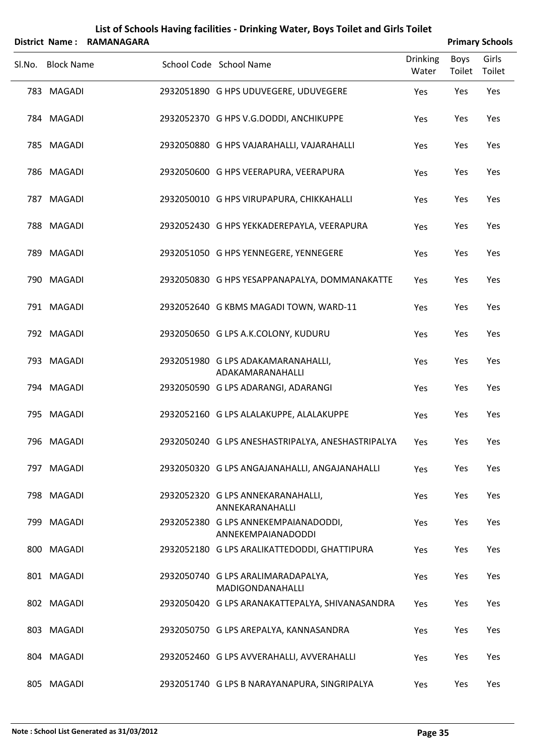|        | List of Schools Having facilities - Drinking Water, Boys Toilet and Girls Toilet |                           |                                                            |                          |                |                        |  |  |  |
|--------|----------------------------------------------------------------------------------|---------------------------|------------------------------------------------------------|--------------------------|----------------|------------------------|--|--|--|
|        |                                                                                  | District Name: RAMANAGARA |                                                            |                          |                | <b>Primary Schools</b> |  |  |  |
| Sl.No. | <b>Block Name</b>                                                                |                           | School Code School Name                                    | <b>Drinking</b><br>Water | Boys<br>Toilet | Girls<br>Toilet        |  |  |  |
|        | 783 MAGADI                                                                       |                           | 2932051890 G HPS UDUVEGERE, UDUVEGERE                      | Yes                      | Yes            | Yes                    |  |  |  |
|        | 784 MAGADI                                                                       |                           | 2932052370 G HPS V.G.DODDI, ANCHIKUPPE                     | Yes                      | Yes            | Yes                    |  |  |  |
|        | 785 MAGADI                                                                       |                           | 2932050880 G HPS VAJARAHALLI, VAJARAHALLI                  | Yes                      | Yes            | Yes                    |  |  |  |
|        | 786 MAGADI                                                                       |                           | 2932050600 G HPS VEERAPURA, VEERAPURA                      | Yes                      | Yes            | Yes                    |  |  |  |
|        | 787 MAGADI                                                                       |                           | 2932050010 G HPS VIRUPAPURA, CHIKKAHALLI                   | Yes                      | Yes            | Yes                    |  |  |  |
|        | 788 MAGADI                                                                       |                           | 2932052430 G HPS YEKKADEREPAYLA, VEERAPURA                 | Yes                      | Yes            | Yes                    |  |  |  |
|        | 789 MAGADI                                                                       |                           | 2932051050 G HPS YENNEGERE, YENNEGERE                      | Yes                      | Yes            | Yes                    |  |  |  |
|        | 790 MAGADI                                                                       |                           | 2932050830 G HPS YESAPPANAPALYA, DOMMANAKATTE              | Yes                      | Yes            | Yes                    |  |  |  |
|        | 791 MAGADI                                                                       |                           | 2932052640 G KBMS MAGADI TOWN, WARD-11                     | Yes                      | Yes            | Yes                    |  |  |  |
|        | 792 MAGADI                                                                       |                           | 2932050650 G LPS A.K.COLONY, KUDURU                        | Yes                      | Yes            | Yes                    |  |  |  |
|        | 793 MAGADI                                                                       |                           | 2932051980 G LPS ADAKAMARANAHALLI,<br>ADAKAMARANAHALLI     | Yes                      | Yes            | Yes                    |  |  |  |
|        | 794 MAGADI                                                                       |                           | 2932050590 G LPS ADARANGI, ADARANGI                        | Yes                      | Yes            | Yes                    |  |  |  |
|        | 795 MAGADI                                                                       |                           | 2932052160 G LPS ALALAKUPPE, ALALAKUPPE                    | Yes                      | Yes            | Yes                    |  |  |  |
|        | 796 MAGADI                                                                       |                           | 2932050240 G LPS ANESHASTRIPALYA, ANESHASTRIPALYA          | Yes                      | Yes            | Yes                    |  |  |  |
|        | 797 MAGADI                                                                       |                           | 2932050320 G LPS ANGAJANAHALLI, ANGAJANAHALLI              | Yes                      | Yes            | Yes                    |  |  |  |
|        | 798 MAGADI                                                                       |                           | 2932052320 G LPS ANNEKARANAHALLI,<br>ANNEKARANAHALLI       | Yes                      | Yes            | Yes                    |  |  |  |
|        | 799 MAGADI                                                                       |                           | 2932052380 G LPS ANNEKEMPAIANADODDI,<br>ANNEKEMPAIANADODDI | <b>Yes</b>               | Yes            | Yes                    |  |  |  |
|        | 800 MAGADI                                                                       |                           | 2932052180 G LPS ARALIKATTEDODDI, GHATTIPURA               | Yes                      | Yes            | Yes                    |  |  |  |
|        | 801 MAGADI                                                                       |                           | 2932050740 G LPS ARALIMARADAPALYA,<br>MADIGONDANAHALLI     | <b>Yes</b>               | Yes            | Yes                    |  |  |  |
|        | 802 MAGADI                                                                       |                           | 2932050420 G LPS ARANAKATTEPALYA, SHIVANASANDRA            | Yes                      | Yes            | Yes                    |  |  |  |
|        | 803 MAGADI                                                                       |                           | 2932050750 G LPS AREPALYA, KANNASANDRA                     | Yes                      | Yes            | Yes                    |  |  |  |
|        | 804 MAGADI                                                                       |                           | 2932052460 G LPS AVVERAHALLI, AVVERAHALLI                  | Yes                      | Yes            | Yes                    |  |  |  |
|        | 805 MAGADI                                                                       |                           | 2932051740 G LPS B NARAYANAPURA, SINGRIPALYA               | Yes                      | Yes            | Yes                    |  |  |  |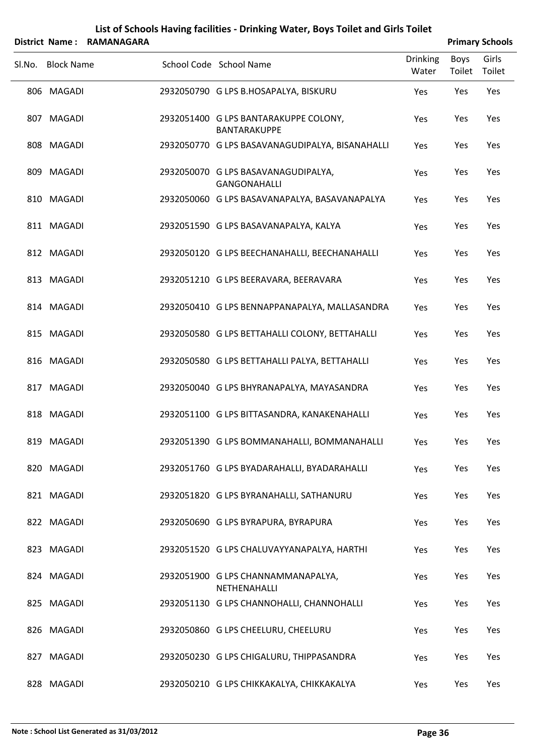|        | List of Schools Having facilities - Drinking Water, Boys Toilet and Girls Toilet |                   |  |                                                              |                          |                |                        |  |  |
|--------|----------------------------------------------------------------------------------|-------------------|--|--------------------------------------------------------------|--------------------------|----------------|------------------------|--|--|
|        | <b>District Name:</b>                                                            | <b>RAMANAGARA</b> |  |                                                              |                          |                | <b>Primary Schools</b> |  |  |
| Sl.No. | <b>Block Name</b>                                                                |                   |  | School Code School Name                                      | <b>Drinking</b><br>Water | Boys<br>Toilet | Girls<br>Toilet        |  |  |
|        | 806 MAGADI                                                                       |                   |  | 2932050790 G LPS B.HOSAPALYA, BISKURU                        | Yes                      | Yes            | Yes                    |  |  |
|        | 807 MAGADI                                                                       |                   |  | 2932051400 G LPS BANTARAKUPPE COLONY,<br><b>BANTARAKUPPE</b> | Yes                      | Yes            | Yes                    |  |  |
|        | 808 MAGADI                                                                       |                   |  | 2932050770 G LPS BASAVANAGUDIPALYA, BISANAHALLI              | Yes                      | Yes            | Yes                    |  |  |
|        | 809 MAGADI                                                                       |                   |  | 2932050070 G LPS BASAVANAGUDIPALYA,<br>GANGONAHALLI          | Yes                      | Yes            | Yes                    |  |  |
|        | 810 MAGADI                                                                       |                   |  | 2932050060 G LPS BASAVANAPALYA, BASAVANAPALYA                | Yes                      | Yes            | Yes                    |  |  |
|        | 811 MAGADI                                                                       |                   |  | 2932051590 G LPS BASAVANAPALYA, KALYA                        | Yes                      | Yes            | Yes                    |  |  |
|        | 812 MAGADI                                                                       |                   |  | 2932050120 G LPS BEECHANAHALLI, BEECHANAHALLI                | Yes                      | Yes            | Yes                    |  |  |
|        | 813 MAGADI                                                                       |                   |  | 2932051210 G LPS BEERAVARA, BEERAVARA                        | Yes                      | Yes            | Yes                    |  |  |
|        | 814 MAGADI                                                                       |                   |  | 2932050410 G LPS BENNAPPANAPALYA, MALLASANDRA                | Yes                      | Yes            | Yes                    |  |  |
|        | 815 MAGADI                                                                       |                   |  | 2932050580 G LPS BETTAHALLI COLONY, BETTAHALLI               | Yes                      | Yes            | Yes                    |  |  |
|        | 816 MAGADI                                                                       |                   |  | 2932050580 G LPS BETTAHALLI PALYA, BETTAHALLI                | Yes                      | Yes            | Yes                    |  |  |
|        | 817 MAGADI                                                                       |                   |  | 2932050040 G LPS BHYRANAPALYA, MAYASANDRA                    | Yes                      | Yes            | Yes                    |  |  |
|        | 818 MAGADI                                                                       |                   |  | 2932051100 G LPS BITTASANDRA, KANAKENAHALLI                  | Yes                      | Yes            | Yes                    |  |  |
|        | 819 MAGADI                                                                       |                   |  | 2932051390 G LPS BOMMANAHALLI, BOMMANAHALLI                  | Yes                      | Yes            | Yes                    |  |  |
|        | 820 MAGADI                                                                       |                   |  | 2932051760 G LPS BYADARAHALLI, BYADARAHALLI                  | Yes                      | Yes            | Yes                    |  |  |
|        | 821 MAGADI                                                                       |                   |  | 2932051820 G LPS BYRANAHALLI, SATHANURU                      | Yes                      | Yes            | Yes                    |  |  |
|        | 822 MAGADI                                                                       |                   |  | 2932050690 G LPS BYRAPURA, BYRAPURA                          | Yes                      | Yes            | Yes                    |  |  |
|        | 823 MAGADI                                                                       |                   |  | 2932051520 G LPS CHALUVAYYANAPALYA, HARTHI                   | Yes                      | Yes            | Yes                    |  |  |
|        | 824 MAGADI                                                                       |                   |  | 2932051900 G LPS CHANNAMMANAPALYA,<br>NETHENAHALLI           | Yes                      | Yes            | Yes                    |  |  |
|        | 825 MAGADI                                                                       |                   |  | 2932051130 G LPS CHANNOHALLI, CHANNOHALLI                    | Yes                      | Yes            | Yes                    |  |  |
|        | 826 MAGADI                                                                       |                   |  | 2932050860 G LPS CHEELURU, CHEELURU                          | Yes                      | Yes            | Yes                    |  |  |
|        | 827 MAGADI                                                                       |                   |  | 2932050230 G LPS CHIGALURU, THIPPASANDRA                     | Yes                      | Yes            | Yes                    |  |  |
|        | 828 MAGADI                                                                       |                   |  | 2932050210 G LPS CHIKKAKALYA, CHIKKAKALYA                    | Yes                      | Yes            | Yes                    |  |  |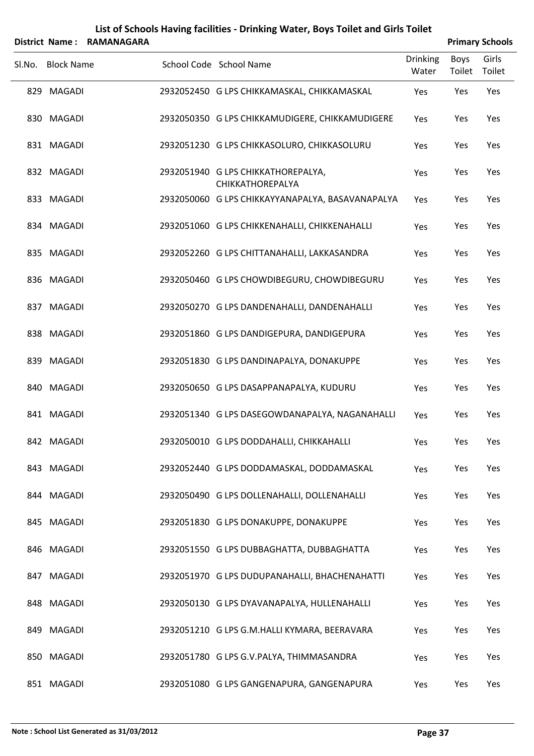|        |                   | District Name: RAMANAGARA |                                                        |                          |                | <b>Primary Schools</b> |
|--------|-------------------|---------------------------|--------------------------------------------------------|--------------------------|----------------|------------------------|
| SI.No. | <b>Block Name</b> |                           | School Code School Name                                | <b>Drinking</b><br>Water | Boys<br>Toilet | Girls<br>Toilet        |
|        | 829 MAGADI        |                           | 2932052450 G LPS CHIKKAMASKAL, CHIKKAMASKAL            | Yes                      | Yes            | Yes                    |
|        | 830 MAGADI        |                           | 2932050350 G LPS CHIKKAMUDIGERE, CHIKKAMUDIGERE        | Yes                      | Yes            | Yes                    |
|        | 831 MAGADI        |                           | 2932051230 G LPS CHIKKASOLURO, CHIKKASOLURU            | Yes                      | Yes            | Yes                    |
|        | 832 MAGADI        |                           | 2932051940 G LPS CHIKKATHOREPALYA,<br>CHIKKATHOREPALYA | Yes                      | Yes            | Yes                    |
|        | 833 MAGADI        |                           | 2932050060 G LPS CHIKKAYYANAPALYA, BASAVANAPALYA       | Yes                      | Yes            | Yes                    |
|        | 834 MAGADI        |                           | 2932051060 G LPS CHIKKENAHALLI, CHIKKENAHALLI          | Yes                      | Yes            | Yes                    |
|        | 835 MAGADI        |                           | 2932052260 G LPS CHITTANAHALLI, LAKKASANDRA            | Yes                      | Yes            | Yes                    |
|        | 836 MAGADI        |                           | 2932050460 G LPS CHOWDIBEGURU, CHOWDIBEGURU            | Yes                      | Yes            | Yes                    |
|        | 837 MAGADI        |                           | 2932050270 G LPS DANDENAHALLI, DANDENAHALLI            | Yes                      | Yes            | Yes                    |
|        | 838 MAGADI        |                           | 2932051860 G LPS DANDIGEPURA, DANDIGEPURA              | Yes                      | Yes            | Yes                    |
|        | 839 MAGADI        |                           | 2932051830 G LPS DANDINAPALYA, DONAKUPPE               | Yes                      | Yes            | Yes                    |
|        | 840 MAGADI        |                           | 2932050650 G LPS DASAPPANAPALYA, KUDURU                | Yes                      | Yes            | Yes                    |
|        | 841 MAGADI        |                           | 2932051340 G LPS DASEGOWDANAPALYA, NAGANAHALLI         | Yes                      | Yes            | Yes                    |
|        | 842 MAGADI        |                           | 2932050010 G LPS DODDAHALLI, CHIKKAHALLI               | Yes                      | Yes            | Yes                    |
|        | 843 MAGADI        |                           | 2932052440 G LPS DODDAMASKAL, DODDAMASKAL              | Yes                      | Yes            | Yes                    |
|        | 844 MAGADI        |                           | 2932050490 G LPS DOLLENAHALLI, DOLLENAHALLI            | Yes                      | Yes            | Yes                    |
|        | 845 MAGADI        |                           | 2932051830 G LPS DONAKUPPE, DONAKUPPE                  | Yes                      | Yes            | Yes                    |
|        | 846 MAGADI        |                           | 2932051550 G LPS DUBBAGHATTA, DUBBAGHATTA              | Yes                      | Yes            | Yes                    |
|        | 847 MAGADI        |                           | 2932051970 G LPS DUDUPANAHALLI, BHACHENAHATTI          | Yes                      | Yes            | Yes                    |
|        | 848 MAGADI        |                           | 2932050130 G LPS DYAVANAPALYA, HULLENAHALLI            | Yes                      | Yes            | Yes                    |
|        | 849 MAGADI        |                           | 2932051210 G LPS G.M.HALLI KYMARA, BEERAVARA           | Yes                      | Yes            | Yes                    |
|        | 850 MAGADI        |                           | 2932051780 G LPS G.V.PALYA, THIMMASANDRA               | Yes                      | Yes            | Yes                    |
|        | 851 MAGADI        |                           | 2932051080 G LPS GANGENAPURA, GANGENAPURA              | Yes                      | Yes            | Yes                    |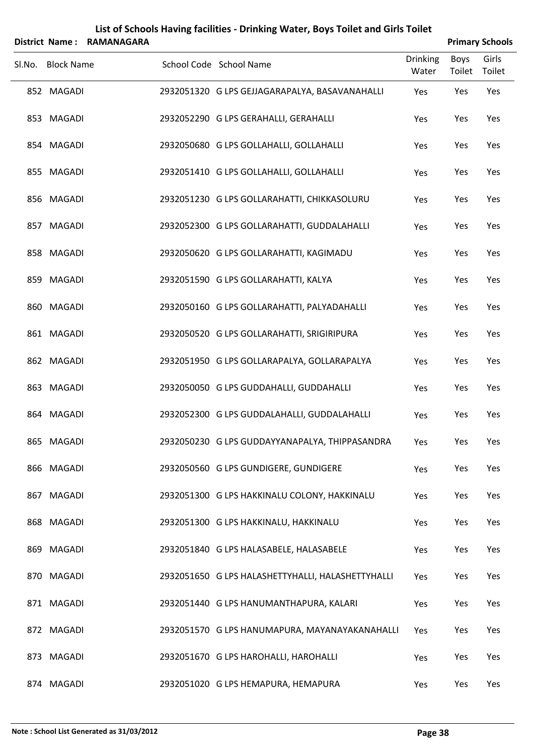|        |                   | District Name: RAMANAGARA |                                                   |                          |                | <b>Primary Schools</b> |
|--------|-------------------|---------------------------|---------------------------------------------------|--------------------------|----------------|------------------------|
| Sl.No. | <b>Block Name</b> |                           | School Code School Name                           | <b>Drinking</b><br>Water | Boys<br>Toilet | Girls<br>Toilet        |
|        | 852 MAGADI        |                           | 2932051320 G LPS GEJJAGARAPALYA, BASAVANAHALLI    | Yes                      | Yes            | Yes                    |
|        | 853 MAGADI        |                           | 2932052290 G LPS GERAHALLI, GERAHALLI             | Yes                      | Yes            | Yes                    |
|        | 854 MAGADI        |                           | 2932050680 G LPS GOLLAHALLI, GOLLAHALLI           | Yes                      | Yes            | Yes                    |
|        | 855 MAGADI        |                           | 2932051410 G LPS GOLLAHALLI, GOLLAHALLI           | Yes                      | Yes            | Yes                    |
|        | 856 MAGADI        |                           | 2932051230 G LPS GOLLARAHATTI, CHIKKASOLURU       | Yes                      | Yes            | Yes                    |
|        | 857 MAGADI        |                           | 2932052300 G LPS GOLLARAHATTI, GUDDALAHALLI       | Yes                      | Yes            | Yes                    |
|        | 858 MAGADI        |                           | 2932050620 G LPS GOLLARAHATTI, KAGIMADU           | Yes                      | Yes            | Yes                    |
|        | 859 MAGADI        |                           | 2932051590 G LPS GOLLARAHATTI, KALYA              | Yes                      | Yes            | Yes                    |
|        | 860 MAGADI        |                           | 2932050160 G LPS GOLLARAHATTI, PALYADAHALLI       | Yes                      | Yes            | Yes                    |
|        | 861 MAGADI        |                           | 2932050520 G LPS GOLLARAHATTI, SRIGIRIPURA        | Yes                      | Yes            | Yes                    |
|        | 862 MAGADI        |                           | 2932051950 G LPS GOLLARAPALYA, GOLLARAPALYA       | Yes                      | Yes            | Yes                    |
|        | 863 MAGADI        |                           | 2932050050 G LPS GUDDAHALLI, GUDDAHALLI           | Yes                      | Yes            | Yes                    |
|        | 864 MAGADI        |                           | 2932052300 G LPS GUDDALAHALLI, GUDDALAHALLI       | Yes                      | Yes            | Yes                    |
|        | 865 MAGADI        |                           | 2932050230 G LPS GUDDAYYANAPALYA, THIPPASANDRA    | Yes                      | Yes            | Yes                    |
|        | 866 MAGADI        |                           | 2932050560 G LPS GUNDIGERE, GUNDIGERE             | Yes                      | Yes            | Yes                    |
|        | 867 MAGADI        |                           | 2932051300 G LPS HAKKINALU COLONY, HAKKINALU      | Yes                      | Yes            | Yes                    |
|        | 868 MAGADI        |                           | 2932051300 G LPS HAKKINALU, HAKKINALU             | Yes                      | Yes            | Yes                    |
|        | 869 MAGADI        |                           | 2932051840 G LPS HALASABELE, HALASABELE           | Yes                      | Yes            | Yes                    |
|        | 870 MAGADI        |                           | 2932051650 G LPS HALASHETTYHALLI, HALASHETTYHALLI | Yes                      | Yes            | Yes                    |
|        | 871 MAGADI        |                           | 2932051440 G LPS HANUMANTHAPURA, KALARI           | Yes                      | Yes            | Yes                    |
|        | 872 MAGADI        |                           | 2932051570 G LPS HANUMAPURA, MAYANAYAKANAHALLI    | Yes                      | Yes            | Yes                    |
|        | 873 MAGADI        |                           | 2932051670 G LPS HAROHALLI, HAROHALLI             | Yes                      | Yes            | Yes                    |
|        | 874 MAGADI        |                           | 2932051020 G LPS HEMAPURA, HEMAPURA               | Yes                      | Yes            | Yes                    |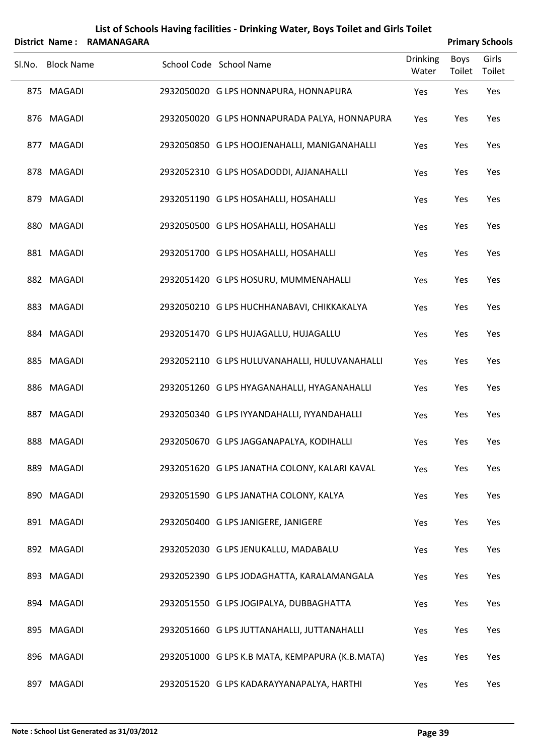|        | District Name:    | <b>RAMANAGARA</b> |                                                 |                          |                | <b>Primary Schools</b> |
|--------|-------------------|-------------------|-------------------------------------------------|--------------------------|----------------|------------------------|
| Sl.No. | <b>Block Name</b> |                   | School Code School Name                         | <b>Drinking</b><br>Water | Boys<br>Toilet | Girls<br>Toilet        |
|        | 875 MAGADI        |                   | 2932050020 G LPS HONNAPURA, HONNAPURA           | Yes                      | Yes            | Yes                    |
|        | 876 MAGADI        |                   | 2932050020 G LPS HONNAPURADA PALYA, HONNAPURA   | Yes                      | Yes            | Yes                    |
|        | 877 MAGADI        |                   | 2932050850 G LPS HOOJENAHALLI, MANIGANAHALLI    | Yes                      | Yes            | Yes                    |
|        | 878 MAGADI        |                   | 2932052310 G LPS HOSADODDI, AJJANAHALLI         | Yes                      | Yes            | Yes                    |
|        | 879 MAGADI        |                   | 2932051190 G LPS HOSAHALLI, HOSAHALLI           | Yes                      | Yes            | Yes                    |
|        | 880 MAGADI        |                   | 2932050500 G LPS HOSAHALLI, HOSAHALLI           | Yes                      | Yes            | Yes                    |
|        | 881 MAGADI        |                   | 2932051700 G LPS HOSAHALLI, HOSAHALLI           | Yes                      | Yes            | Yes                    |
|        | 882 MAGADI        |                   | 2932051420 G LPS HOSURU, MUMMENAHALLI           | Yes                      | Yes            | Yes                    |
|        | 883 MAGADI        |                   | 2932050210 G LPS HUCHHANABAVI, CHIKKAKALYA      | Yes                      | Yes            | Yes                    |
|        | 884 MAGADI        |                   | 2932051470 G LPS HUJAGALLU, HUJAGALLU           | Yes                      | Yes            | Yes                    |
|        | 885 MAGADI        |                   | 2932052110 G LPS HULUVANAHALLI, HULUVANAHALLI   | Yes                      | Yes            | Yes                    |
|        | 886 MAGADI        |                   | 2932051260 G LPS HYAGANAHALLI, HYAGANAHALLI     | Yes                      | Yes            | Yes                    |
|        | 887 MAGADI        |                   | 2932050340 G LPS IYYANDAHALLI, IYYANDAHALLI     | Yes                      | Yes            | Yes                    |
|        | 888 MAGADI        |                   | 2932050670 G LPS JAGGANAPALYA, KODIHALLI        | Yes                      | Yes            | Yes                    |
|        | 889 MAGADI        |                   | 2932051620 G LPS JANATHA COLONY, KALARI KAVAL   | Yes                      | Yes            | Yes                    |
|        | 890 MAGADI        |                   | 2932051590 G LPS JANATHA COLONY, KALYA          | Yes                      | Yes            | Yes                    |
|        | 891 MAGADI        |                   | 2932050400 G LPS JANIGERE, JANIGERE             | Yes                      | Yes            | Yes                    |
|        | 892 MAGADI        |                   | 2932052030 G LPS JENUKALLU, MADABALU            | Yes                      | Yes            | Yes                    |
|        | 893 MAGADI        |                   | 2932052390 G LPS JODAGHATTA, KARALAMANGALA      | Yes                      | Yes            | Yes                    |
|        | 894 MAGADI        |                   | 2932051550 G LPS JOGIPALYA, DUBBAGHATTA         | Yes                      | Yes            | Yes                    |
|        | 895 MAGADI        |                   | 2932051660 G LPS JUTTANAHALLI, JUTTANAHALLI     | Yes                      | Yes            | Yes                    |
|        | 896 MAGADI        |                   | 2932051000 G LPS K.B MATA, KEMPAPURA (K.B.MATA) | Yes                      | Yes            | Yes                    |
|        | 897 MAGADI        |                   | 2932051520 G LPS KADARAYYANAPALYA, HARTHI       | Yes                      | Yes            | Yes                    |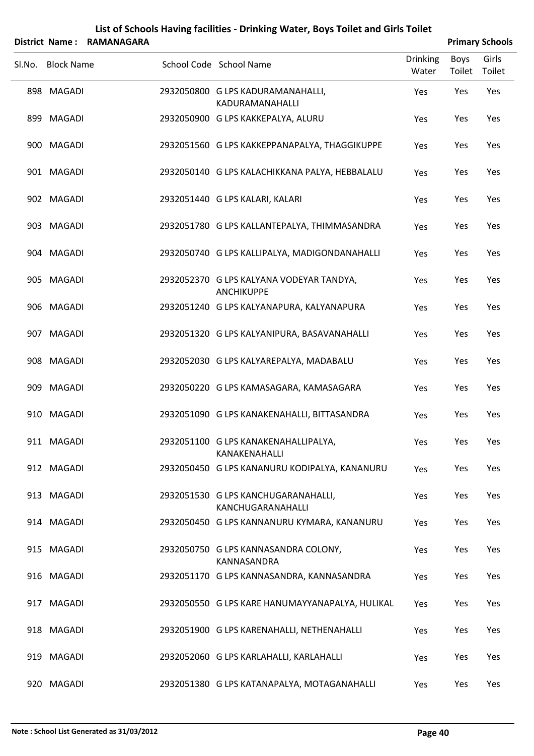|                   | District Name: RAMANAGARA | List of Schools Having facilities - Drinking Water, Boys Toilet and Girls Toilet |                          |                | <b>Primary Schools</b> |
|-------------------|---------------------------|----------------------------------------------------------------------------------|--------------------------|----------------|------------------------|
| Sl.No. Block Name |                           | School Code School Name                                                          | <b>Drinking</b><br>Water | Boys<br>Toilet | Girls<br>Toilet        |
| 898 MAGADI        |                           | 2932050800 G LPS KADURAMANAHALLI,<br>KADURAMANAHALLI                             | Yes                      | Yes            | Yes                    |
| 899 MAGADI        |                           | 2932050900 G LPS KAKKEPALYA, ALURU                                               | Yes                      | Yes            | Yes                    |
| 900 MAGADI        |                           | 2932051560 G LPS KAKKEPPANAPALYA, THAGGIKUPPE                                    | Yes                      | Yes            | Yes                    |
| 901 MAGADI        |                           | 2932050140 G LPS KALACHIKKANA PALYA, HEBBALALU                                   | Yes                      | Yes            | Yes                    |
| 902 MAGADI        |                           | 2932051440 G LPS KALARI, KALARI                                                  | Yes                      | Yes            | Yes                    |
| 903 MAGADI        |                           | 2932051780 G LPS KALLANTEPALYA, THIMMASANDRA                                     | Yes                      | Yes            | Yes                    |
| 904 MAGADI        |                           | 2932050740 G LPS KALLIPALYA, MADIGONDANAHALLI                                    | Yes                      | Yes            | Yes                    |
| 905 MAGADI        |                           | 2932052370 G LPS KALYANA VODEYAR TANDYA,<br><b>ANCHIKUPPE</b>                    | Yes                      | Yes            | Yes                    |
| 906 MAGADI        |                           | 2932051240 G LPS KALYANAPURA, KALYANAPURA                                        | Yes                      | Yes            | Yes                    |
| 907 MAGADI        |                           | 2932051320 G LPS KALYANIPURA, BASAVANAHALLI                                      | Yes                      | Yes            | Yes                    |
| 908 MAGADI        |                           | 2932052030 G LPS KALYAREPALYA, MADABALU                                          | Yes                      | Yes            | Yes                    |
| 909 MAGADI        |                           | 2932050220 G LPS KAMASAGARA, KAMASAGARA                                          | Yes                      | Yes            | Yes                    |
| 910 MAGADI        |                           | 2932051090 G LPS KANAKENAHALLI, BITTASANDRA                                      | Yes                      | Yes            | Yes                    |
| 911 MAGADI        |                           | 2932051100 G LPS KANAKENAHALLIPALYA,<br>KANAKENAHALLI                            | Yes                      | Yes            | <b>Yes</b>             |
| 912 MAGADI        |                           | 2932050450 G LPS KANANURU KODIPALYA, KANANURU                                    | Yes                      | Yes            | Yes                    |
| 913 MAGADI        |                           | 2932051530 G LPS KANCHUGARANAHALLI,<br><b>KANCHUGARANAHALLI</b>                  | Yes                      | Yes            | Yes                    |
| 914 MAGADI        |                           | 2932050450 G LPS KANNANURU KYMARA, KANANURU                                      | Yes                      | Yes            | Yes                    |
| 915 MAGADI        |                           | 2932050750 G LPS KANNASANDRA COLONY,<br>KANNASANDRA                              | Yes                      | Yes            | Yes                    |
| 916 MAGADI        |                           | 2932051170 G LPS KANNASANDRA, KANNASANDRA                                        | Yes                      | Yes            | Yes                    |
| 917 MAGADI        |                           | 2932050550 G LPS KARE HANUMAYYANAPALYA, HULIKAL                                  | <b>Yes</b>               | Yes            | Yes                    |
| 918 MAGADI        |                           | 2932051900 G LPS KARENAHALLI, NETHENAHALLI                                       | Yes                      | Yes            | Yes                    |
| 919 MAGADI        |                           | 2932052060 G LPS KARLAHALLI, KARLAHALLI                                          | Yes                      | Yes            | Yes                    |
| 920 MAGADI        |                           | 2932051380 G LPS KATANAPALYA, MOTAGANAHALLI                                      | Yes                      | Yes            | Yes                    |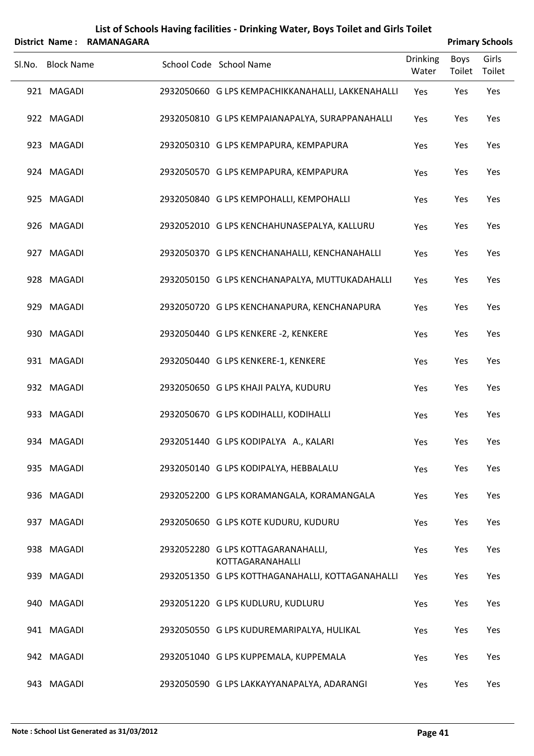|        |                   | District Name: RAMANAGARA |                                                        |                          |                | <b>Primary Schools</b> |
|--------|-------------------|---------------------------|--------------------------------------------------------|--------------------------|----------------|------------------------|
| SI.No. | <b>Block Name</b> |                           | School Code School Name                                | <b>Drinking</b><br>Water | Boys<br>Toilet | Girls<br>Toilet        |
|        | 921 MAGADI        |                           | 2932050660 G LPS KEMPACHIKKANAHALLI, LAKKENAHALLI      | Yes                      | Yes            | Yes                    |
|        | 922 MAGADI        |                           | 2932050810 G LPS KEMPAIANAPALYA, SURAPPANAHALLI        | Yes                      | Yes            | Yes                    |
|        | 923 MAGADI        |                           | 2932050310 G LPS KEMPAPURA, KEMPAPURA                  | Yes                      | Yes            | Yes                    |
|        | 924 MAGADI        |                           | 2932050570 G LPS KEMPAPURA, KEMPAPURA                  | Yes                      | Yes            | Yes                    |
|        | 925 MAGADI        |                           | 2932050840 G LPS KEMPOHALLI, KEMPOHALLI                | Yes                      | Yes            | Yes                    |
|        | 926 MAGADI        |                           | 2932052010 G LPS KENCHAHUNASEPALYA, KALLURU            | Yes                      | Yes            | Yes                    |
|        | 927 MAGADI        |                           | 2932050370 G LPS KENCHANAHALLI, KENCHANAHALLI          | Yes                      | Yes            | Yes                    |
|        | 928 MAGADI        |                           | 2932050150 G LPS KENCHANAPALYA, MUTTUKADAHALLI         | Yes                      | Yes            | Yes                    |
|        | 929 MAGADI        |                           | 2932050720 G LPS KENCHANAPURA, KENCHANAPURA            | Yes                      | Yes            | Yes                    |
|        | 930 MAGADI        |                           | 2932050440 G LPS KENKERE -2, KENKERE                   | Yes                      | Yes            | Yes                    |
|        | 931 MAGADI        |                           | 2932050440 G LPS KENKERE-1, KENKERE                    | Yes                      | Yes            | Yes                    |
|        | 932 MAGADI        |                           | 2932050650 G LPS KHAJI PALYA, KUDURU                   | Yes                      | Yes            | Yes                    |
|        | 933 MAGADI        |                           | 2932050670 G LPS KODIHALLI, KODIHALLI                  | Yes                      | Yes            | Yes                    |
|        | 934 MAGADI        |                           | 2932051440 G LPS KODIPALYA A., KALARI                  | Yes                      | Yes            | Yes                    |
|        | 935 MAGADI        |                           | 2932050140 G LPS KODIPALYA, HEBBALALU                  | Yes                      | Yes            | Yes                    |
|        | 936 MAGADI        |                           | 2932052200 G LPS KORAMANGALA, KORAMANGALA              | Yes                      | Yes            | Yes                    |
|        | 937 MAGADI        |                           | 2932050650 G LPS KOTE KUDURU, KUDURU                   | Yes                      | Yes            | Yes                    |
|        | 938 MAGADI        |                           | 2932052280 G LPS KOTTAGARANAHALLI,<br>KOTTAGARANAHALLI | Yes                      | Yes            | Yes                    |
|        | 939 MAGADI        |                           | 2932051350 G LPS KOTTHAGANAHALLI, KOTTAGANAHALLI       | Yes                      | Yes            | Yes                    |
|        | 940 MAGADI        |                           | 2932051220 G LPS KUDLURU, KUDLURU                      | Yes                      | Yes            | Yes                    |
|        | 941 MAGADI        |                           | 2932050550 G LPS KUDUREMARIPALYA, HULIKAL              | Yes                      | Yes            | Yes                    |
|        | 942 MAGADI        |                           | 2932051040 G LPS KUPPEMALA, KUPPEMALA                  | Yes                      | Yes            | Yes                    |
|        | 943 MAGADI        |                           | 2932050590 G LPS LAKKAYYANAPALYA, ADARANGI             | Yes                      | Yes            | Yes                    |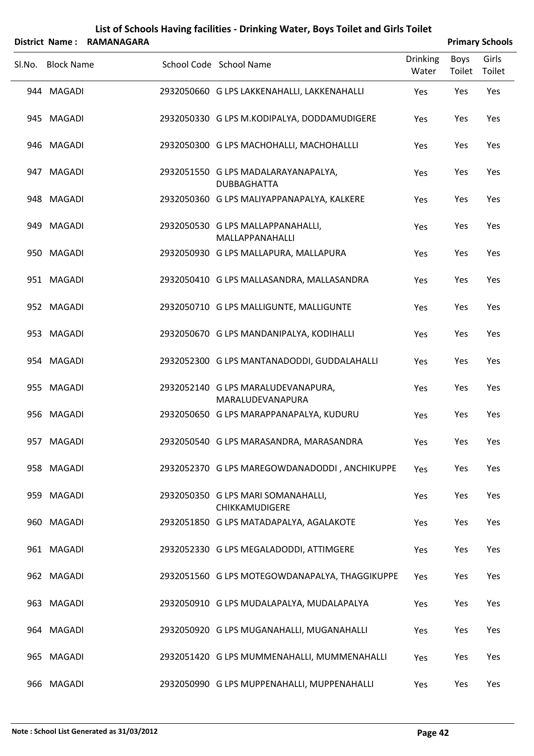|        |                   | District Name: RAMANAGARA |                                                             |                          |                | <b>Primary Schools</b> |
|--------|-------------------|---------------------------|-------------------------------------------------------------|--------------------------|----------------|------------------------|
| Sl.No. | <b>Block Name</b> |                           | School Code School Name                                     | <b>Drinking</b><br>Water | Boys<br>Toilet | Girls<br>Toilet        |
|        | 944 MAGADI        |                           | 2932050660 G LPS LAKKENAHALLI, LAKKENAHALLI                 | Yes                      | Yes            | Yes                    |
|        | 945 MAGADI        |                           | 2932050330 G LPS M.KODIPALYA, DODDAMUDIGERE                 | Yes                      | Yes            | Yes                    |
|        | 946 MAGADI        |                           | 2932050300 G LPS MACHOHALLI, MACHOHALLLI                    | Yes                      | Yes            | Yes                    |
|        | 947 MAGADI        |                           | 2932051550 G LPS MADALARAYANAPALYA,<br><b>DUBBAGHATTA</b>   | Yes                      | Yes            | Yes                    |
|        | 948 MAGADI        |                           | 2932050360 G LPS MALIYAPPANAPALYA, KALKERE                  | Yes                      | Yes            | Yes                    |
|        | 949 MAGADI        |                           | 2932050530 G LPS MALLAPPANAHALLI,<br>MALLAPPANAHALLI        | Yes                      | Yes            | Yes                    |
|        | 950 MAGADI        |                           | 2932050930 G LPS MALLAPURA, MALLAPURA                       | Yes                      | Yes            | Yes                    |
|        | 951 MAGADI        |                           | 2932050410 G LPS MALLASANDRA, MALLASANDRA                   | Yes                      | Yes            | Yes                    |
|        | 952 MAGADI        |                           | 2932050710 G LPS MALLIGUNTE, MALLIGUNTE                     | Yes                      | Yes            | Yes                    |
|        | 953 MAGADI        |                           | 2932050670 G LPS MANDANIPALYA, KODIHALLI                    | Yes                      | Yes            | Yes                    |
|        | 954 MAGADI        |                           | 2932052300 G LPS MANTANADODDI, GUDDALAHALLI                 | Yes                      | Yes            | Yes                    |
|        | 955 MAGADI        |                           | 2932052140 G LPS MARALUDEVANAPURA,<br>MARALUDEVANAPURA      | Yes                      | Yes            | Yes                    |
|        | 956 MAGADI        |                           | 2932050650 G LPS MARAPPANAPALYA, KUDURU                     | Yes                      | Yes            | Yes                    |
|        | 957 MAGADI        |                           | 2932050540 G LPS MARASANDRA, MARASANDRA                     | Yes                      | Yes            | Yes                    |
|        | 958 MAGADI        |                           | 2932052370 G LPS MAREGOWDANADODDI, ANCHIKUPPE               | Yes                      | Yes            | Yes                    |
|        | 959 MAGADI        |                           | 2932050350 G LPS MARI SOMANAHALLI,<br><b>CHIKKAMUDIGERE</b> | Yes                      | Yes            | Yes                    |
|        | 960 MAGADI        |                           | 2932051850 G LPS MATADAPALYA, AGALAKOTE                     | Yes                      | Yes            | Yes                    |
|        | 961 MAGADI        |                           | 2932052330 G LPS MEGALADODDI, ATTIMGERE                     | Yes                      | Yes            | Yes                    |
|        | 962 MAGADI        |                           | 2932051560 G LPS MOTEGOWDANAPALYA, THAGGIKUPPE              | Yes                      | Yes            | Yes                    |
|        | 963 MAGADI        |                           | 2932050910 G LPS MUDALAPALYA, MUDALAPALYA                   | Yes                      | Yes            | Yes                    |
|        | 964 MAGADI        |                           | 2932050920 G LPS MUGANAHALLI, MUGANAHALLI                   | Yes                      | Yes            | Yes                    |
|        | 965 MAGADI        |                           | 2932051420 G LPS MUMMENAHALLI, MUMMENAHALLI                 | Yes                      | Yes            | Yes                    |
|        | 966 MAGADI        |                           | 2932050990 G LPS MUPPENAHALLI, MUPPENAHALLI                 | Yes                      | Yes            | Yes                    |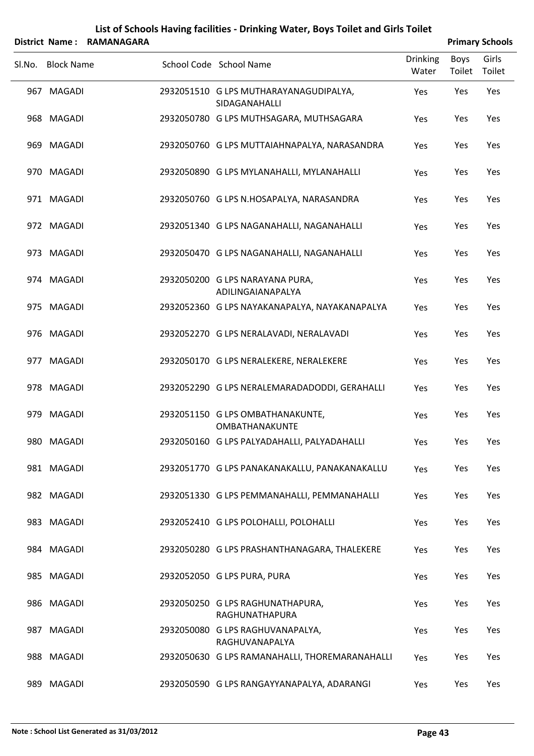|        | District Name: RAMANAGARA |                                                         |                          |                | <b>Primary Schools</b> |
|--------|---------------------------|---------------------------------------------------------|--------------------------|----------------|------------------------|
| Sl.No. | <b>Block Name</b>         | School Code School Name                                 | <b>Drinking</b><br>Water | Boys<br>Toilet | Girls<br>Toilet        |
|        | 967 MAGADI                | 2932051510 G LPS MUTHARAYANAGUDIPALYA,<br>SIDAGANAHALLI | Yes                      | Yes            | Yes                    |
|        | 968 MAGADI                | 2932050780 G LPS MUTHSAGARA, MUTHSAGARA                 | Yes                      | Yes            | Yes                    |
|        | 969 MAGADI                | 2932050760 G LPS MUTTAIAHNAPALYA, NARASANDRA            | Yes                      | Yes            | Yes                    |
|        | 970 MAGADI                | 2932050890 G LPS MYLANAHALLI, MYLANAHALLI               | Yes                      | Yes            | Yes                    |
|        | 971 MAGADI                | 2932050760 G LPS N.HOSAPALYA, NARASANDRA                | Yes                      | Yes            | Yes                    |
|        | 972 MAGADI                | 2932051340 G LPS NAGANAHALLI, NAGANAHALLI               | Yes                      | Yes            | Yes                    |
|        | 973 MAGADI                | 2932050470 G LPS NAGANAHALLI, NAGANAHALLI               | Yes                      | Yes            | Yes                    |
|        | 974 MAGADI                | 2932050200 G LPS NARAYANA PURA,<br>ADILINGAIANAPALYA    | Yes                      | Yes            | Yes                    |
|        | 975 MAGADI                | 2932052360 G LPS NAYAKANAPALYA, NAYAKANAPALYA           | Yes                      | Yes            | Yes                    |
|        | 976 MAGADI                | 2932052270 G LPS NERALAVADI, NERALAVADI                 | Yes                      | Yes            | Yes                    |
|        | 977 MAGADI                | 2932050170 G LPS NERALEKERE, NERALEKERE                 | Yes                      | Yes            | Yes                    |
|        | 978 MAGADI                | 2932052290 G LPS NERALEMARADADODDI, GERAHALLI           | Yes                      | Yes            | Yes                    |
|        | 979 MAGADI                | 2932051150 G LPS OMBATHANAKUNTE,<br>OMBATHANAKUNTE      | Yes                      | Yes            | Yes                    |
|        | 980 MAGADI                | 2932050160 G LPS PALYADAHALLI, PALYADAHALLI             | Yes                      | Yes            | Yes                    |
|        | 981 MAGADI                | 2932051770 G LPS PANAKANAKALLU, PANAKANAKALLU           | Yes                      | Yes            | Yes                    |
|        | 982 MAGADI                | 2932051330 G LPS PEMMANAHALLI, PEMMANAHALLI             | Yes                      | Yes            | Yes                    |
|        | 983 MAGADI                | 2932052410 G LPS POLOHALLI, POLOHALLI                   | Yes                      | Yes            | Yes                    |
|        | 984 MAGADI                | 2932050280 G LPS PRASHANTHANAGARA, THALEKERE            | Yes                      | Yes            | Yes                    |
|        | 985 MAGADI                | 2932052050 G LPS PURA, PURA                             | Yes                      | Yes            | Yes                    |
|        | 986 MAGADI                | 2932050250 G LPS RAGHUNATHAPURA,<br>RAGHUNATHAPURA      | Yes                      | Yes            | Yes                    |
|        | 987 MAGADI                | 2932050080 G LPS RAGHUVANAPALYA,<br>RAGHUVANAPALYA      | Yes                      | Yes            | Yes                    |
|        | 988 MAGADI                | 2932050630 G LPS RAMANAHALLI, THOREMARANAHALLI          | Yes                      | Yes            | Yes                    |
|        | 989 MAGADI                | 2932050590 G LPS RANGAYYANAPALYA, ADARANGI              | Yes                      | Yes            | Yes                    |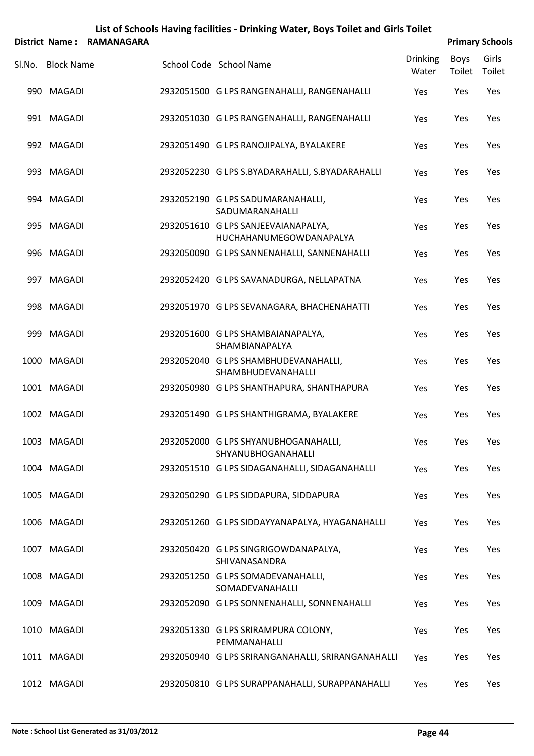|        | District Name: RAMANAGARA |  |                                                                |                          |                | <b>Primary Schools</b> |
|--------|---------------------------|--|----------------------------------------------------------------|--------------------------|----------------|------------------------|
| SI.No. | <b>Block Name</b>         |  | School Code School Name                                        | <b>Drinking</b><br>Water | Boys<br>Toilet | Girls<br>Toilet        |
|        | 990 MAGADI                |  | 2932051500 G LPS RANGENAHALLI, RANGENAHALLI                    | Yes                      | Yes            | Yes                    |
|        | 991 MAGADI                |  | 2932051030 G LPS RANGENAHALLI, RANGENAHALLI                    | Yes                      | Yes            | Yes                    |
|        | 992 MAGADI                |  | 2932051490 G LPS RANOJIPALYA, BYALAKERE                        | Yes                      | Yes            | Yes                    |
|        | 993 MAGADI                |  | 2932052230 G LPS S.BYADARAHALLI, S.BYADARAHALLI                | Yes                      | Yes            | Yes                    |
|        | 994 MAGADI                |  | 2932052190 G LPS SADUMARANAHALLI,<br>SADUMARANAHALLI           | Yes                      | Yes            | Yes                    |
|        | 995 MAGADI                |  | 2932051610 G LPS SANJEEVAIANAPALYA,<br>HUCHAHANUMEGOWDANAPALYA | Yes                      | Yes            | Yes                    |
|        | 996 MAGADI                |  | 2932050090 G LPS SANNENAHALLI, SANNENAHALLI                    | Yes                      | Yes            | Yes                    |
|        | 997 MAGADI                |  | 2932052420 G LPS SAVANADURGA, NELLAPATNA                       | Yes                      | Yes            | Yes                    |
|        | 998 MAGADI                |  | 2932051970 G LPS SEVANAGARA, BHACHENAHATTI                     | Yes                      | Yes            | Yes                    |
|        | 999 MAGADI                |  | 2932051600 G LPS SHAMBAIANAPALYA,<br>SHAMBIANAPALYA            | Yes                      | Yes            | Yes                    |
|        | 1000 MAGADI               |  | 2932052040 G LPS SHAMBHUDEVANAHALLI,<br>SHAMBHUDEVANAHALLI     | Yes                      | Yes            | Yes                    |
|        | 1001 MAGADI               |  | 2932050980 G LPS SHANTHAPURA, SHANTHAPURA                      | Yes                      | Yes            | Yes                    |
|        | 1002 MAGADI               |  | 2932051490 G LPS SHANTHIGRAMA, BYALAKERE                       | Yes                      | Yes            | Yes                    |
|        | 1003 MAGADI               |  | 2932052000 G LPS SHYANUBHOGANAHALLI,<br>SHYANUBHOGANAHALLI     | Yes                      | Yes            | Yes                    |
|        | 1004 MAGADI               |  | 2932051510 G LPS SIDAGANAHALLI, SIDAGANAHALLI                  | Yes                      | Yes            | Yes                    |
|        | 1005 MAGADI               |  | 2932050290 G LPS SIDDAPURA, SIDDAPURA                          | Yes                      | Yes            | Yes                    |
|        | 1006 MAGADI               |  | 2932051260 G LPS SIDDAYYANAPALYA, HYAGANAHALLI                 | Yes                      | Yes            | Yes                    |
|        | 1007 MAGADI               |  | 2932050420 G LPS SINGRIGOWDANAPALYA,<br>SHIVANASANDRA          | Yes                      | Yes            | Yes                    |
|        | 1008 MAGADI               |  | 2932051250 G LPS SOMADEVANAHALLI,<br>SOMADEVANAHALLI           | Yes                      | Yes            | Yes                    |
|        | 1009 MAGADI               |  | 2932052090 G LPS SONNENAHALLI, SONNENAHALLI                    | Yes                      | Yes            | Yes                    |
|        | 1010 MAGADI               |  | 2932051330 G LPS SRIRAMPURA COLONY,<br>PEMMANAHALLI            | Yes                      | Yes            | Yes                    |
|        | 1011 MAGADI               |  | 2932050940 G LPS SRIRANGANAHALLI, SRIRANGANAHALLI              | Yes                      | Yes            | Yes                    |
|        | 1012 MAGADI               |  | 2932050810 G LPS SURAPPANAHALLI, SURAPPANAHALLI                | Yes                      | Yes            | Yes                    |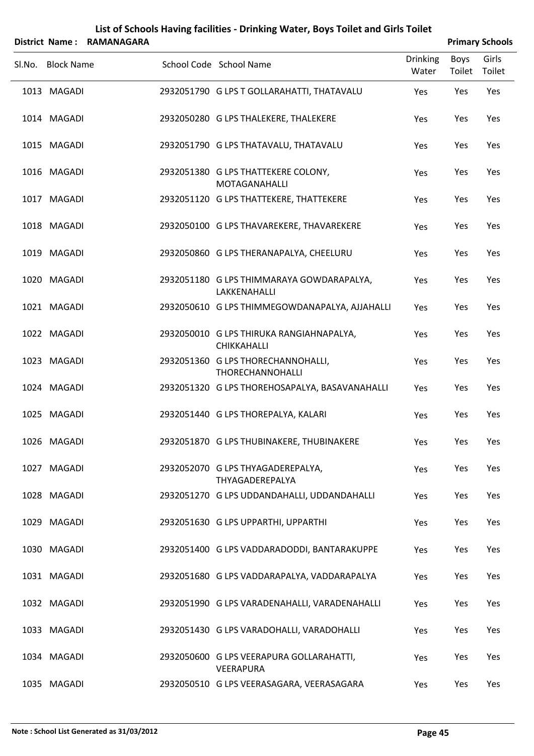|                   | District Name: RAMANAGARA |                                                                |                          |                | <b>Primary Schools</b> |
|-------------------|---------------------------|----------------------------------------------------------------|--------------------------|----------------|------------------------|
| Sl.No. Block Name |                           | School Code School Name                                        | <b>Drinking</b><br>Water | Boys<br>Toilet | Girls<br>Toilet        |
| 1013 MAGADI       |                           | 2932051790 G LPS T GOLLARAHATTI, THATAVALU                     | Yes                      | Yes            | Yes                    |
| 1014 MAGADI       |                           | 2932050280 G LPS THALEKERE, THALEKERE                          | Yes                      | Yes            | Yes                    |
| 1015 MAGADI       |                           | 2932051790 G LPS THATAVALU, THATAVALU                          | Yes                      | Yes            | Yes                    |
| 1016 MAGADI       |                           | 2932051380 G LPS THATTEKERE COLONY,<br>MOTAGANAHALLI           | Yes                      | Yes            | Yes                    |
| 1017 MAGADI       |                           | 2932051120 G LPS THATTEKERE, THATTEKERE                        | Yes                      | Yes            | Yes                    |
| 1018 MAGADI       |                           | 2932050100 G LPS THAVAREKERE, THAVAREKERE                      | Yes                      | Yes            | Yes                    |
| 1019 MAGADI       |                           | 2932050860 G LPS THERANAPALYA, CHEELURU                        | Yes                      | Yes            | Yes                    |
| 1020 MAGADI       |                           | 2932051180 G LPS THIMMARAYA GOWDARAPALYA,<br>LAKKENAHALLI      | Yes                      | Yes            | Yes                    |
| 1021 MAGADI       |                           | 2932050610 G LPS THIMMEGOWDANAPALYA, AJJAHALLI                 | Yes                      | Yes            | Yes                    |
| 1022 MAGADI       |                           | 2932050010 G LPS THIRUKA RANGIAHNAPALYA,<br><b>CHIKKAHALLI</b> | Yes                      | Yes            | Yes                    |
| 1023 MAGADI       |                           | 2932051360 G LPS THORECHANNOHALLI,<br>THORECHANNOHALLI         | Yes                      | Yes            | Yes                    |
| 1024 MAGADI       |                           | 2932051320 G LPS THOREHOSAPALYA, BASAVANAHALLI                 | Yes                      | Yes            | Yes                    |
| 1025 MAGADI       |                           | 2932051440 G LPS THOREPALYA, KALARI                            | Yes                      | Yes            | Yes                    |
| 1026 MAGADI       |                           | 2932051870 G LPS THUBINAKERE, THUBINAKERE                      | Yes                      | Yes            | Yes                    |
| 1027 MAGADI       |                           | 2932052070 G LPS THYAGADEREPALYA,<br>THYAGADEREPALYA           | Yes                      | Yes            | Yes                    |
| 1028 MAGADI       |                           | 2932051270 G LPS UDDANDAHALLI, UDDANDAHALLI                    | Yes                      | Yes            | Yes                    |
| 1029 MAGADI       |                           | 2932051630 G LPS UPPARTHI, UPPARTHI                            | Yes                      | Yes            | Yes                    |
| 1030 MAGADI       |                           | 2932051400 G LPS VADDARADODDI, BANTARAKUPPE                    | Yes                      | Yes            | Yes                    |
| 1031 MAGADI       |                           | 2932051680 G LPS VADDARAPALYA, VADDARAPALYA                    | Yes                      | Yes            | Yes                    |
| 1032 MAGADI       |                           | 2932051990 G LPS VARADENAHALLI, VARADENAHALLI                  | Yes                      | Yes            | Yes                    |
| 1033 MAGADI       |                           | 2932051430 G LPS VARADOHALLI, VARADOHALLI                      | Yes                      | Yes            | Yes                    |
| 1034 MAGADI       |                           | 2932050600 G LPS VEERAPURA GOLLARAHATTI,<br>VEERAPURA          | Yes                      | Yes            | Yes                    |
| 1035 MAGADI       |                           | 2932050510 G LPS VEERASAGARA, VEERASAGARA                      | Yes                      | Yes            | Yes                    |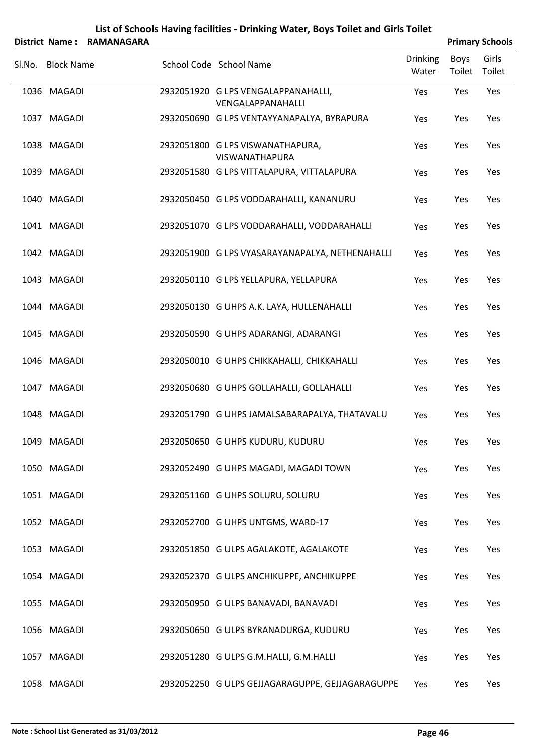|                   | District Name: RAMANAGARA |                                                          |                          |                | <b>Primary Schools</b> |
|-------------------|---------------------------|----------------------------------------------------------|--------------------------|----------------|------------------------|
| Sl.No. Block Name |                           | School Code School Name                                  | <b>Drinking</b><br>Water | Boys<br>Toilet | Girls<br>Toilet        |
| 1036 MAGADI       |                           | 2932051920 G LPS VENGALAPPANAHALLI,<br>VENGALAPPANAHALLI | Yes                      | Yes            | Yes                    |
| 1037 MAGADI       |                           | 2932050690 G LPS VENTAYYANAPALYA, BYRAPURA               | Yes                      | Yes            | Yes                    |
| 1038 MAGADI       |                           | 2932051800 G LPS VISWANATHAPURA,<br>VISWANATHAPURA       | Yes                      | Yes            | Yes                    |
| 1039 MAGADI       |                           | 2932051580 G LPS VITTALAPURA, VITTALAPURA                | Yes                      | Yes            | Yes                    |
| 1040 MAGADI       |                           | 2932050450 G LPS VODDARAHALLI, KANANURU                  | Yes                      | Yes            | Yes                    |
| 1041 MAGADI       |                           | 2932051070 G LPS VODDARAHALLI, VODDARAHALLI              | Yes                      | Yes            | Yes                    |
| 1042 MAGADI       |                           | 2932051900 G LPS VYASARAYANAPALYA, NETHENAHALLI          | Yes                      | Yes            | Yes                    |
| 1043 MAGADI       |                           | 2932050110 G LPS YELLAPURA, YELLAPURA                    | Yes                      | Yes            | Yes                    |
| 1044 MAGADI       |                           | 2932050130 G UHPS A.K. LAYA, HULLENAHALLI                | Yes                      | Yes            | Yes                    |
| 1045 MAGADI       |                           | 2932050590 G UHPS ADARANGI, ADARANGI                     | Yes                      | Yes            | Yes                    |
| 1046 MAGADI       |                           | 2932050010 G UHPS CHIKKAHALLI, CHIKKAHALLI               | Yes                      | Yes            | Yes                    |
| 1047 MAGADI       |                           | 2932050680 G UHPS GOLLAHALLI, GOLLAHALLI                 | Yes                      | Yes            | Yes                    |
| 1048 MAGADI       |                           | 2932051790 G UHPS JAMALSABARAPALYA, THATAVALU            | Yes                      | Yes            | Yes                    |
| 1049 MAGADI       |                           | 2932050650 G UHPS KUDURU, KUDURU                         | Yes                      | Yes            | Yes                    |
| 1050 MAGADI       |                           | 2932052490 G UHPS MAGADI, MAGADI TOWN                    | Yes                      | Yes            | Yes                    |
| 1051 MAGADI       |                           | 2932051160 G UHPS SOLURU, SOLURU                         | Yes                      | Yes            | Yes                    |
| 1052 MAGADI       |                           | 2932052700 G UHPS UNTGMS, WARD-17                        | Yes                      | Yes            | Yes                    |
| 1053 MAGADI       |                           | 2932051850 G ULPS AGALAKOTE, AGALAKOTE                   | Yes                      | Yes            | Yes                    |
| 1054 MAGADI       |                           | 2932052370 G ULPS ANCHIKUPPE, ANCHIKUPPE                 | Yes                      | Yes            | Yes                    |
| 1055 MAGADI       |                           | 2932050950 G ULPS BANAVADI, BANAVADI                     | Yes                      | Yes            | Yes                    |
| 1056 MAGADI       |                           | 2932050650 G ULPS BYRANADURGA, KUDURU                    | Yes                      | Yes            | Yes                    |
| 1057 MAGADI       |                           | 2932051280 G ULPS G.M.HALLI, G.M.HALLI                   | Yes                      | Yes            | Yes                    |
| 1058 MAGADI       |                           | 2932052250 G ULPS GEJJAGARAGUPPE, GEJJAGARAGUPPE         | Yes                      | Yes            | Yes                    |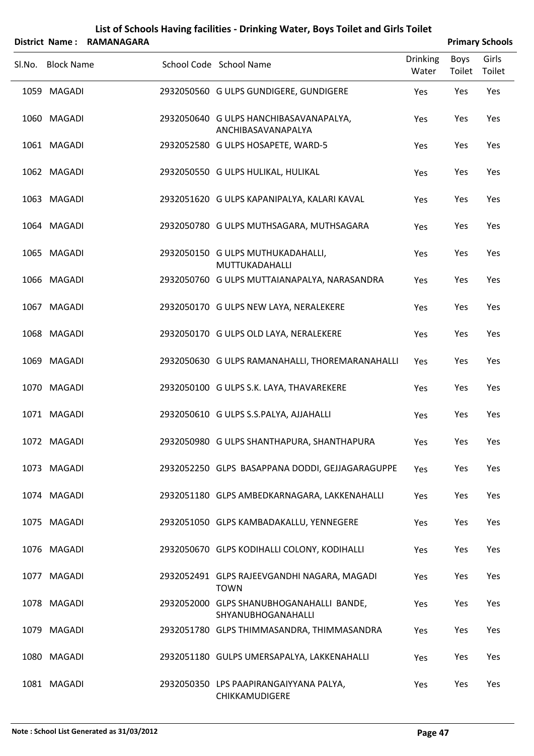|        |                   |                   | List of Schools Having facilities - Drinking Water, Boys Toilet and Girls Toilet |                          |                       |                        |
|--------|-------------------|-------------------|----------------------------------------------------------------------------------|--------------------------|-----------------------|------------------------|
|        | District Name:    | <b>RAMANAGARA</b> |                                                                                  |                          |                       | <b>Primary Schools</b> |
| SI.No. | <b>Block Name</b> |                   | School Code School Name                                                          | <b>Drinking</b><br>Water | <b>Boys</b><br>Toilet | Girls<br>Toilet        |
|        | 1059 MAGADI       |                   | 2932050560 G ULPS GUNDIGERE, GUNDIGERE                                           | Yes                      | Yes                   | Yes                    |
|        | 1060 MAGADI       |                   | 2932050640 G ULPS HANCHIBASAVANAPALYA,<br>ANCHIBASAVANAPALYA                     | Yes                      | Yes                   | Yes                    |
|        | 1061 MAGADI       |                   | 2932052580 G ULPS HOSAPETE, WARD-5                                               | Yes                      | Yes                   | Yes                    |
|        | 1062 MAGADI       |                   | 2932050550 G ULPS HULIKAL, HULIKAL                                               | Yes                      | Yes                   | Yes                    |
|        | 1063 MAGADI       |                   | 2932051620 G ULPS KAPANIPALYA, KALARI KAVAL                                      | Yes                      | Yes                   | Yes                    |
|        | 1064 MAGADI       |                   | 2932050780 G ULPS MUTHSAGARA, MUTHSAGARA                                         | Yes                      | Yes                   | Yes                    |
|        | 1065 MAGADI       |                   | 2932050150 G ULPS MUTHUKADAHALLI,<br>MUTTUKADAHALLI                              | Yes                      | Yes                   | Yes                    |
|        | 1066 MAGADI       |                   | 2932050760 G ULPS MUTTAIANAPALYA, NARASANDRA                                     | Yes                      | Yes                   | Yes                    |
|        | 1067 MAGADI       |                   | 2932050170 G ULPS NEW LAYA, NERALEKERE                                           | Yes                      | Yes                   | Yes                    |
|        | 1068 MAGADI       |                   | 2932050170 G ULPS OLD LAYA, NERALEKERE                                           | Yes                      | Yes                   | Yes                    |
|        | 1069 MAGADI       |                   | 2932050630 G ULPS RAMANAHALLI, THOREMARANAHALLI                                  | Yes                      | Yes                   | Yes                    |
|        | 1070 MAGADI       |                   | 2932050100 G ULPS S.K. LAYA, THAVAREKERE                                         | Yes                      | Yes                   | Yes                    |
|        | 1071 MAGADI       |                   | 2932050610 G ULPS S.S.PALYA, AJJAHALLI                                           | Yes                      | Yes                   | Yes                    |
|        | 1072 MAGADI       |                   | 2932050980 G ULPS SHANTHAPURA, SHANTHAPURA                                       | Yes                      | Yes                   | Yes                    |
|        | 1073 MAGADI       |                   | 2932052250 GLPS BASAPPANA DODDI, GEJJAGARAGUPPE                                  | Yes                      | Yes                   | Yes                    |
|        | 1074 MAGADI       |                   | 2932051180 GLPS AMBEDKARNAGARA, LAKKENAHALLI                                     | Yes                      | Yes                   | Yes                    |
|        | 1075 MAGADI       |                   | 2932051050 GLPS KAMBADAKALLU, YENNEGERE                                          | Yes                      | Yes                   | Yes                    |
|        | 1076 MAGADI       |                   | 2932050670 GLPS KODIHALLI COLONY, KODIHALLI                                      | Yes                      | Yes                   | Yes                    |
|        | 1077 MAGADI       |                   | 2932052491 GLPS RAJEEVGANDHI NAGARA, MAGADI<br><b>TOWN</b>                       | Yes                      | Yes                   | Yes                    |
|        | 1078 MAGADI       |                   | 2932052000 GLPS SHANUBHOGANAHALLI BANDE,<br>SHYANUBHOGANAHALLI                   | Yes                      | Yes                   | Yes                    |
|        | 1079 MAGADI       |                   | 2932051780 GLPS THIMMASANDRA, THIMMASANDRA                                       | Yes                      | Yes                   | Yes                    |
|        | 1080 MAGADI       |                   | 2932051180 GULPS UMERSAPALYA, LAKKENAHALLI                                       | Yes                      | Yes                   | Yes                    |
|        | 1081 MAGADI       |                   | 2932050350 LPS PAAPIRANGAIYYANA PALYA,<br>CHIKKAMUDIGERE                         | Yes                      | Yes                   | Yes                    |

#### **Note : School List Generated as 31/03/2012 Page 47**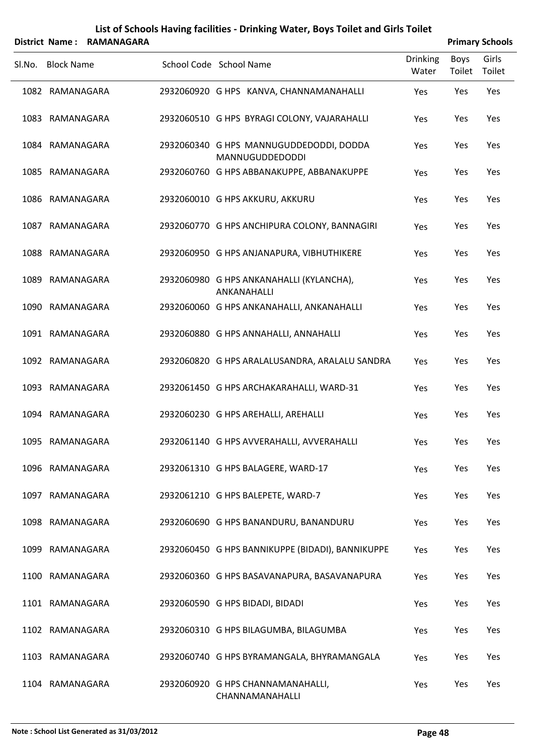|        |                   | District Name: RAMANAGARA |                                                                   |                          |                | <b>Primary Schools</b> |
|--------|-------------------|---------------------------|-------------------------------------------------------------------|--------------------------|----------------|------------------------|
| Sl.No. | <b>Block Name</b> |                           | School Code School Name                                           | <b>Drinking</b><br>Water | Boys<br>Toilet | Girls<br>Toilet        |
|        | 1082 RAMANAGARA   |                           | 2932060920 G HPS KANVA, CHANNAMANAHALLI                           | Yes                      | Yes            | Yes                    |
|        | 1083 RAMANAGARA   |                           | 2932060510 G HPS BYRAGI COLONY, VAJARAHALLI                       | Yes                      | Yes            | Yes                    |
|        | 1084 RAMANAGARA   |                           | 2932060340 G HPS MANNUGUDDEDODDI, DODDA<br><b>MANNUGUDDEDODDI</b> | Yes                      | Yes            | Yes                    |
|        | 1085 RAMANAGARA   |                           | 2932060760 G HPS ABBANAKUPPE, ABBANAKUPPE                         | Yes                      | Yes            | Yes                    |
|        | 1086 RAMANAGARA   |                           | 2932060010 G HPS AKKURU, AKKURU                                   | Yes                      | Yes            | Yes                    |
|        | 1087 RAMANAGARA   |                           | 2932060770 G HPS ANCHIPURA COLONY, BANNAGIRI                      | Yes                      | Yes            | Yes                    |
|        | 1088 RAMANAGARA   |                           | 2932060950 G HPS ANJANAPURA, VIBHUTHIKERE                         | Yes                      | Yes            | Yes                    |
|        | 1089 RAMANAGARA   |                           | 2932060980 G HPS ANKANAHALLI (KYLANCHA),<br>ANKANAHALLI           | Yes                      | Yes            | Yes                    |
|        | 1090 RAMANAGARA   |                           | 2932060060 G HPS ANKANAHALLI, ANKANAHALLI                         | Yes                      | Yes            | Yes                    |
|        | 1091 RAMANAGARA   |                           | 2932060880 G HPS ANNAHALLI, ANNAHALLI                             | Yes                      | Yes            | Yes                    |
|        | 1092 RAMANAGARA   |                           | 2932060820 G HPS ARALALUSANDRA, ARALALU SANDRA                    | Yes                      | Yes            | Yes                    |
|        | 1093 RAMANAGARA   |                           | 2932061450 G HPS ARCHAKARAHALLI, WARD-31                          | Yes                      | Yes            | Yes                    |
|        | 1094 RAMANAGARA   |                           | 2932060230 G HPS AREHALLI, AREHALLI                               | Yes                      | Yes            | Yes                    |
|        | 1095 RAMANAGARA   |                           | 2932061140 G HPS AVVERAHALLI, AVVERAHALLI                         | Yes                      | Yes            | Yes                    |
|        | 1096 RAMANAGARA   |                           | 2932061310 G HPS BALAGERE, WARD-17                                | Yes                      | Yes            | Yes                    |
|        | 1097 RAMANAGARA   |                           | 2932061210 G HPS BALEPETE, WARD-7                                 | Yes                      | Yes            | Yes                    |
|        | 1098 RAMANAGARA   |                           | 2932060690 G HPS BANANDURU, BANANDURU                             | Yes                      | Yes            | Yes                    |
|        | 1099 RAMANAGARA   |                           | 2932060450 G HPS BANNIKUPPE (BIDADI), BANNIKUPPE                  | Yes                      | Yes            | Yes                    |
|        | 1100 RAMANAGARA   |                           | 2932060360 G HPS BASAVANAPURA, BASAVANAPURA                       | Yes                      | Yes            | Yes                    |
|        | 1101 RAMANAGARA   |                           | 2932060590 G HPS BIDADI, BIDADI                                   | Yes                      | Yes            | Yes                    |
|        | 1102 RAMANAGARA   |                           | 2932060310 G HPS BILAGUMBA, BILAGUMBA                             | Yes                      | Yes            | Yes                    |
|        | 1103 RAMANAGARA   |                           | 2932060740 G HPS BYRAMANGALA, BHYRAMANGALA                        | Yes                      | Yes            | Yes                    |
|        | 1104 RAMANAGARA   |                           | 2932060920 G HPS CHANNAMANAHALLI,<br>CHANNAMANAHALLI              | Yes                      | Yes            | Yes                    |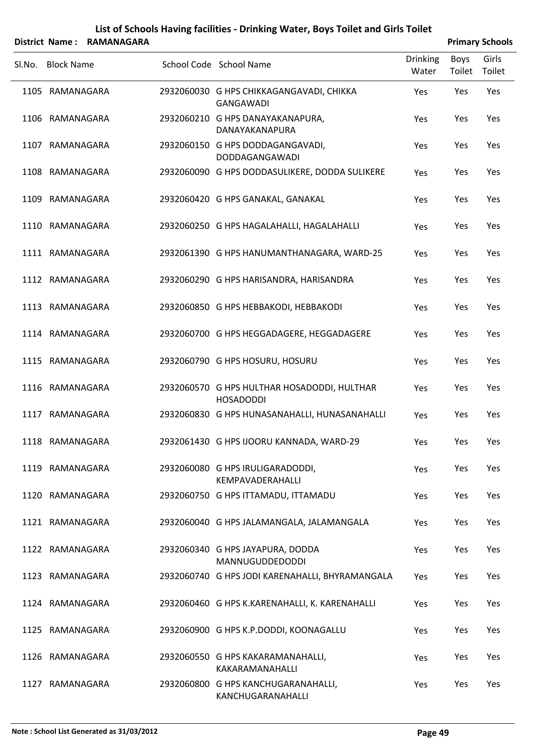|        |                   | District Name: RAMANAGARA |                                                                 |                          |                | <b>Primary Schools</b> |
|--------|-------------------|---------------------------|-----------------------------------------------------------------|--------------------------|----------------|------------------------|
| SI.No. | <b>Block Name</b> |                           | School Code School Name                                         | <b>Drinking</b><br>Water | Boys<br>Toilet | Girls<br>Toilet        |
|        | 1105 RAMANAGARA   |                           | 2932060030 G HPS CHIKKAGANGAVADI, CHIKKA<br>GANGAWADI           | Yes                      | Yes            | Yes                    |
|        | 1106 RAMANAGARA   |                           | 2932060210 G HPS DANAYAKANAPURA,<br>DANAYAKANAPURA              | Yes                      | Yes            | Yes                    |
|        | 1107 RAMANAGARA   |                           | 2932060150 G HPS DODDAGANGAVADI,<br><b>DODDAGANGAWADI</b>       | Yes                      | Yes            | Yes                    |
|        | 1108 RAMANAGARA   |                           | 2932060090 G HPS DODDASULIKERE, DODDA SULIKERE                  | Yes                      | Yes            | Yes                    |
|        | 1109 RAMANAGARA   |                           | 2932060420 G HPS GANAKAL, GANAKAL                               | Yes                      | Yes            | Yes                    |
|        | 1110 RAMANAGARA   |                           | 2932060250 G HPS HAGALAHALLI, HAGALAHALLI                       | Yes                      | Yes            | Yes                    |
|        | 1111 RAMANAGARA   |                           | 2932061390 G HPS HANUMANTHANAGARA, WARD-25                      | Yes                      | Yes            | Yes                    |
|        | 1112 RAMANAGARA   |                           | 2932060290 G HPS HARISANDRA, HARISANDRA                         | Yes                      | Yes            | Yes                    |
|        | 1113 RAMANAGARA   |                           | 2932060850 G HPS HEBBAKODI, HEBBAKODI                           | Yes                      | Yes            | Yes                    |
|        | 1114 RAMANAGARA   |                           | 2932060700 G HPS HEGGADAGERE, HEGGADAGERE                       | Yes                      | Yes            | Yes                    |
|        | 1115 RAMANAGARA   |                           | 2932060790 G HPS HOSURU, HOSURU                                 | Yes                      | Yes            | Yes                    |
|        | 1116 RAMANAGARA   |                           | 2932060570 G HPS HULTHAR HOSADODDI, HULTHAR<br><b>HOSADODDI</b> | Yes                      | Yes            | Yes                    |
|        | 1117 RAMANAGARA   |                           | 2932060830 G HPS HUNASANAHALLI, HUNASANAHALLI                   | Yes                      | Yes            | Yes                    |
|        | 1118 RAMANAGARA   |                           | 2932061430 G HPS IJOORU KANNADA, WARD-29                        | Yes                      | Yes            | Yes                    |
|        | 1119 RAMANAGARA   |                           | 2932060080 G HPS IRULIGARADODDI,<br>KEMPAVADERAHALLI            | Yes                      | Yes            | Yes                    |
|        | 1120 RAMANAGARA   |                           | 2932060750 G HPS ITTAMADU, ITTAMADU                             | Yes                      | Yes            | Yes                    |
|        | 1121 RAMANAGARA   |                           | 2932060040 G HPS JALAMANGALA, JALAMANGALA                       | Yes                      | Yes            | Yes                    |
|        | 1122 RAMANAGARA   |                           | 2932060340 G HPS JAYAPURA, DODDA<br>MANNUGUDDEDODDI             | Yes                      | Yes            | Yes                    |
|        | 1123 RAMANAGARA   |                           | 2932060740 G HPS JODI KARENAHALLI, BHYRAMANGALA                 | Yes                      | Yes            | Yes                    |
|        | 1124 RAMANAGARA   |                           | 2932060460 G HPS K.KARENAHALLI, K. KARENAHALLI                  | Yes                      | Yes            | Yes                    |
|        | 1125 RAMANAGARA   |                           | 2932060900 G HPS K.P.DODDI, KOONAGALLU                          | Yes                      | Yes            | Yes                    |
|        | 1126 RAMANAGARA   |                           | 2932060550 G HPS KAKARAMANAHALLI,<br>KAKARAMANAHALLI            | Yes                      | Yes            | Yes                    |
|        | 1127 RAMANAGARA   |                           | 2932060800 G HPS KANCHUGARANAHALLI,<br>KANCHUGARANAHALLI        | Yes                      | Yes            | Yes                    |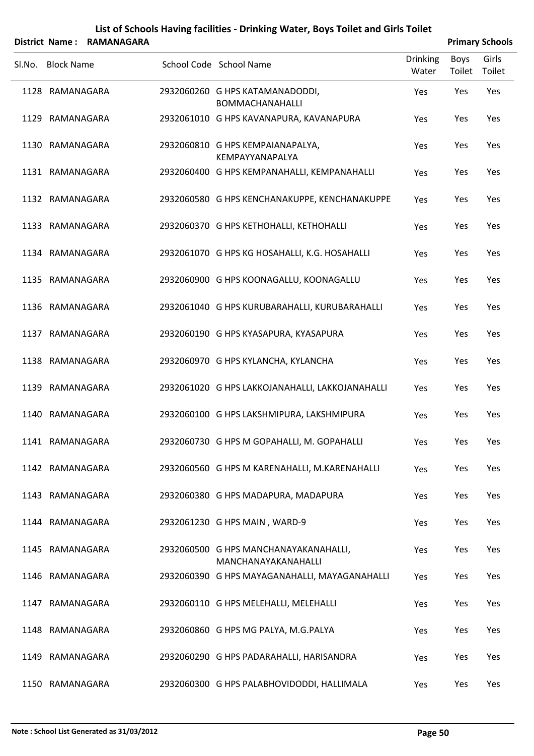|        |                   | District Name: RAMANAGARA |                                                              |                          |                | <b>Primary Schools</b> |
|--------|-------------------|---------------------------|--------------------------------------------------------------|--------------------------|----------------|------------------------|
| Sl.No. | <b>Block Name</b> |                           | School Code School Name                                      | <b>Drinking</b><br>Water | Boys<br>Toilet | Girls<br>Toilet        |
|        | 1128 RAMANAGARA   |                           | 2932060260 G HPS KATAMANADODDI,<br><b>BOMMACHANAHALLI</b>    | Yes                      | Yes            | Yes                    |
|        | 1129 RAMANAGARA   |                           | 2932061010 G HPS KAVANAPURA, KAVANAPURA                      | Yes                      | Yes            | Yes                    |
|        | 1130 RAMANAGARA   |                           | 2932060810 G HPS KEMPAIANAPALYA,<br>KEMPAYYANAPALYA          | Yes                      | Yes            | Yes                    |
|        | 1131 RAMANAGARA   |                           | 2932060400 G HPS KEMPANAHALLI, KEMPANAHALLI                  | Yes                      | Yes            | Yes                    |
|        | 1132 RAMANAGARA   |                           | 2932060580 G HPS KENCHANAKUPPE, KENCHANAKUPPE                | Yes                      | Yes            | Yes                    |
|        | 1133 RAMANAGARA   |                           | 2932060370 G HPS KETHOHALLI, KETHOHALLI                      | Yes                      | Yes            | Yes                    |
|        | 1134 RAMANAGARA   |                           | 2932061070 G HPS KG HOSAHALLI, K.G. HOSAHALLI                | Yes                      | Yes            | Yes                    |
|        | 1135 RAMANAGARA   |                           | 2932060900 G HPS KOONAGALLU, KOONAGALLU                      | Yes                      | Yes            | Yes                    |
|        | 1136 RAMANAGARA   |                           | 2932061040 G HPS KURUBARAHALLI, KURUBARAHALLI                | Yes                      | Yes            | Yes                    |
|        | 1137 RAMANAGARA   |                           | 2932060190 G HPS KYASAPURA, KYASAPURA                        | Yes                      | Yes            | Yes                    |
|        | 1138 RAMANAGARA   |                           | 2932060970 G HPS KYLANCHA, KYLANCHA                          | Yes                      | Yes            | Yes                    |
|        | 1139 RAMANAGARA   |                           | 2932061020 G HPS LAKKOJANAHALLI, LAKKOJANAHALLI              | Yes                      | Yes            | Yes                    |
|        | 1140 RAMANAGARA   |                           | 2932060100 G HPS LAKSHMIPURA, LAKSHMIPURA                    | Yes                      | Yes            | Yes                    |
|        | 1141 RAMANAGARA   |                           | 2932060730 G HPS M GOPAHALLI, M. GOPAHALLI                   | Yes                      | Yes            | Yes                    |
|        | 1142 RAMANAGARA   |                           | 2932060560 G HPS M KARENAHALLI, M.KARENAHALLI                | Yes                      | Yes            | Yes                    |
|        | 1143 RAMANAGARA   |                           | 2932060380 G HPS MADAPURA, MADAPURA                          | Yes                      | Yes            | Yes                    |
|        | 1144 RAMANAGARA   |                           | 2932061230 G HPS MAIN, WARD-9                                | Yes                      | Yes            | Yes                    |
|        | 1145 RAMANAGARA   |                           | 2932060500 G HPS MANCHANAYAKANAHALLI,<br>MANCHANAYAKANAHALLI | Yes                      | Yes            | Yes                    |
|        | 1146 RAMANAGARA   |                           | 2932060390 G HPS MAYAGANAHALLI, MAYAGANAHALLI                | Yes                      | Yes            | Yes                    |
|        | 1147 RAMANAGARA   |                           | 2932060110 G HPS MELEHALLI, MELEHALLI                        | Yes                      | Yes            | Yes                    |
|        | 1148 RAMANAGARA   |                           | 2932060860 G HPS MG PALYA, M.G.PALYA                         | Yes                      | Yes            | Yes                    |
|        | 1149 RAMANAGARA   |                           | 2932060290 G HPS PADARAHALLI, HARISANDRA                     | Yes                      | Yes            | Yes                    |
|        | 1150 RAMANAGARA   |                           | 2932060300 G HPS PALABHOVIDODDI, HALLIMALA                   | Yes                      | Yes            | Yes                    |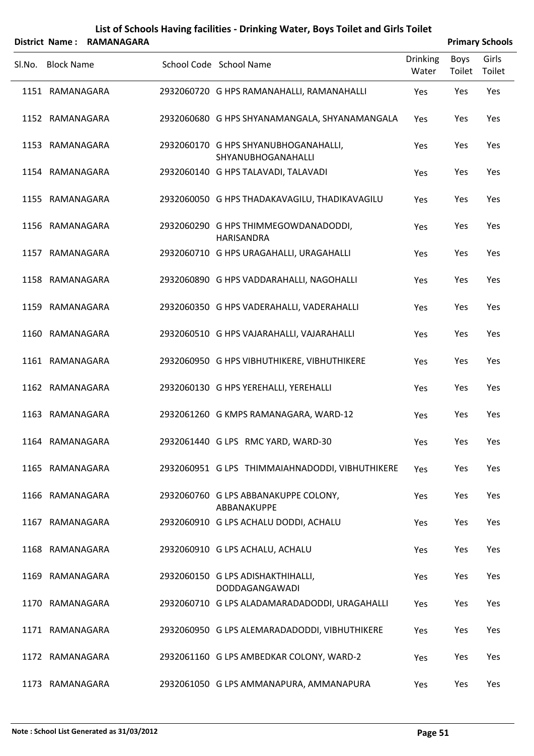|        |                   | District Name: RAMANAGARA |                                                            |                          |                | <b>Primary Schools</b> |
|--------|-------------------|---------------------------|------------------------------------------------------------|--------------------------|----------------|------------------------|
| SI.No. | <b>Block Name</b> |                           | School Code School Name                                    | <b>Drinking</b><br>Water | Boys<br>Toilet | Girls<br>Toilet        |
|        | 1151 RAMANAGARA   |                           | 2932060720 G HPS RAMANAHALLI, RAMANAHALLI                  | Yes                      | Yes            | Yes                    |
|        | 1152 RAMANAGARA   |                           | 2932060680 G HPS SHYANAMANGALA, SHYANAMANGALA              | Yes                      | Yes            | Yes                    |
|        | 1153 RAMANAGARA   |                           | 2932060170 G HPS SHYANUBHOGANAHALLI,<br>SHYANUBHOGANAHALLI | Yes                      | Yes            | Yes                    |
|        | 1154 RAMANAGARA   |                           | 2932060140 G HPS TALAVADI, TALAVADI                        | Yes                      | Yes            | Yes                    |
|        | 1155 RAMANAGARA   |                           | 2932060050 G HPS THADAKAVAGILU, THADIKAVAGILU              | Yes                      | Yes            | Yes                    |
|        | 1156 RAMANAGARA   |                           | 2932060290 G HPS THIMMEGOWDANADODDI,<br><b>HARISANDRA</b>  | Yes                      | Yes            | Yes                    |
|        | 1157 RAMANAGARA   |                           | 2932060710 G HPS URAGAHALLI, URAGAHALLI                    | Yes                      | Yes            | Yes                    |
|        | 1158 RAMANAGARA   |                           | 2932060890 G HPS VADDARAHALLI, NAGOHALLI                   | Yes                      | Yes            | Yes                    |
|        | 1159 RAMANAGARA   |                           | 2932060350 G HPS VADERAHALLI, VADERAHALLI                  | Yes                      | Yes            | Yes                    |
|        | 1160 RAMANAGARA   |                           | 2932060510 G HPS VAJARAHALLI, VAJARAHALLI                  | Yes                      | Yes            | Yes                    |
|        | 1161 RAMANAGARA   |                           | 2932060950 G HPS VIBHUTHIKERE, VIBHUTHIKERE                | Yes                      | Yes            | Yes                    |
|        | 1162 RAMANAGARA   |                           | 2932060130 G HPS YEREHALLI, YEREHALLI                      | Yes                      | Yes            | Yes                    |
|        | 1163 RAMANAGARA   |                           | 2932061260 G KMPS RAMANAGARA, WARD-12                      | Yes                      | Yes            | Yes                    |
|        | 1164 RAMANAGARA   |                           | 2932061440 G LPS RMC YARD, WARD-30                         | Yes                      | Yes            | Yes                    |
|        | 1165 RAMANAGARA   |                           | 2932060951 G LPS THIMMAIAHNADODDI, VIBHUTHIKERE            | Yes                      | Yes            | Yes                    |
|        | 1166 RAMANAGARA   |                           | 2932060760 G LPS ABBANAKUPPE COLONY,<br>ABBANAKUPPE        | Yes                      | Yes            | Yes                    |
|        | 1167 RAMANAGARA   |                           | 2932060910 G LPS ACHALU DODDI, ACHALU                      | Yes                      | Yes            | Yes                    |
|        | 1168 RAMANAGARA   |                           | 2932060910 G LPS ACHALU, ACHALU                            | Yes                      | Yes            | Yes                    |
|        | 1169 RAMANAGARA   |                           | 2932060150 G LPS ADISHAKTHIHALLI,<br>DODDAGANGAWADI        | Yes                      | Yes            | Yes                    |
|        | 1170 RAMANAGARA   |                           | 2932060710 G LPS ALADAMARADADODDI, URAGAHALLI              | Yes                      | Yes            | Yes                    |
|        | 1171 RAMANAGARA   |                           | 2932060950 G LPS ALEMARADADODDI, VIBHUTHIKERE              | Yes                      | Yes            | Yes                    |
|        | 1172 RAMANAGARA   |                           | 2932061160 G LPS AMBEDKAR COLONY, WARD-2                   | Yes                      | Yes            | Yes                    |
|        | 1173 RAMANAGARA   |                           | 2932061050 G LPS AMMANAPURA, AMMANAPURA                    | Yes                      | Yes            | Yes                    |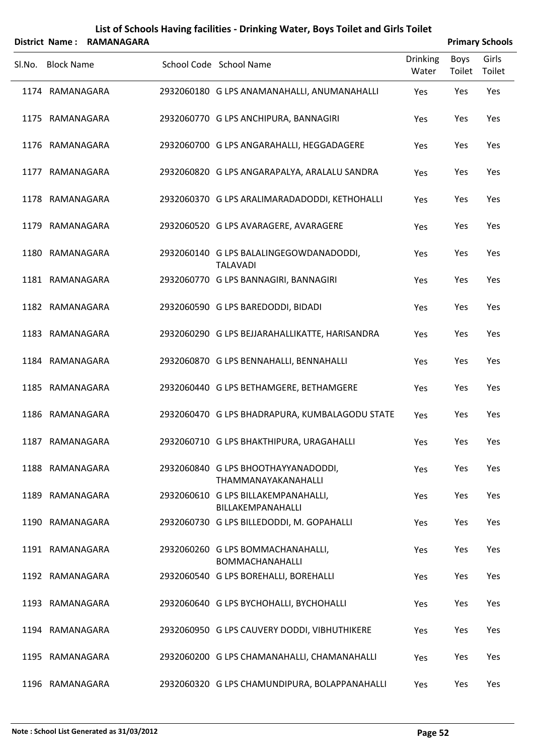|        |                   | District Name: RAMANAGARA |                                                             |                   |                       | <b>Primary Schools</b> |
|--------|-------------------|---------------------------|-------------------------------------------------------------|-------------------|-----------------------|------------------------|
| SI.No. | <b>Block Name</b> |                           | School Code School Name                                     | Drinking<br>Water | <b>Boys</b><br>Toilet | Girls<br>Toilet        |
|        | 1174 RAMANAGARA   |                           | 2932060180 G LPS ANAMANAHALLI, ANUMANAHALLI                 | Yes               | Yes                   | Yes                    |
|        | 1175 RAMANAGARA   |                           | 2932060770 G LPS ANCHIPURA, BANNAGIRI                       | Yes               | Yes                   | Yes                    |
|        | 1176 RAMANAGARA   |                           | 2932060700 G LPS ANGARAHALLI, HEGGADAGERE                   | Yes               | Yes                   | Yes                    |
|        | 1177 RAMANAGARA   |                           | 2932060820 G LPS ANGARAPALYA, ARALALU SANDRA                | Yes               | Yes                   | Yes                    |
|        | 1178 RAMANAGARA   |                           | 2932060370 G LPS ARALIMARADADODDI, KETHOHALLI               | Yes               | Yes                   | Yes                    |
|        | 1179 RAMANAGARA   |                           | 2932060520 G LPS AVARAGERE, AVARAGERE                       | Yes               | Yes                   | Yes                    |
|        | 1180 RAMANAGARA   |                           | 2932060140 G LPS BALALINGEGOWDANADODDI,<br><b>TALAVADI</b>  | Yes               | Yes                   | Yes                    |
|        | 1181 RAMANAGARA   |                           | 2932060770 G LPS BANNAGIRI, BANNAGIRI                       | Yes               | Yes                   | Yes                    |
|        | 1182 RAMANAGARA   |                           | 2932060590 G LPS BAREDODDI, BIDADI                          | Yes               | Yes                   | Yes                    |
|        | 1183 RAMANAGARA   |                           | 2932060290 G LPS BEJJARAHALLIKATTE, HARISANDRA              | Yes               | Yes                   | Yes                    |
|        | 1184 RAMANAGARA   |                           | 2932060870 G LPS BENNAHALLI, BENNAHALLI                     | Yes               | Yes                   | Yes                    |
|        | 1185 RAMANAGARA   |                           | 2932060440 G LPS BETHAMGERE, BETHAMGERE                     | Yes               | Yes                   | Yes                    |
|        | 1186 RAMANAGARA   |                           | 2932060470 G LPS BHADRAPURA, KUMBALAGODU STATE              | Yes               | Yes                   | Yes                    |
|        | 1187 RAMANAGARA   |                           | 2932060710 G LPS BHAKTHIPURA, URAGAHALLI                    | Yes               | Yes                   | Yes                    |
|        | 1188 RAMANAGARA   |                           | 2932060840 G LPS BHOOTHAYYANADODDI,<br>THAMMANAYAKANAHALLI  | Yes               | Yes                   | Yes                    |
|        | 1189 RAMANAGARA   |                           | 2932060610 G LPS BILLAKEMPANAHALLI,<br>BILLAKEMPANAHALLI    | Yes               | Yes                   | Yes                    |
|        | 1190 RAMANAGARA   |                           | 2932060730 G LPS BILLEDODDI, M. GOPAHALLI                   | Yes               | Yes                   | Yes                    |
|        | 1191 RAMANAGARA   |                           | 2932060260 G LPS BOMMACHANAHALLI,<br><b>BOMMACHANAHALLI</b> | Yes               | Yes                   | Yes                    |
|        | 1192 RAMANAGARA   |                           | 2932060540 G LPS BOREHALLI, BOREHALLI                       | Yes               | Yes                   | Yes                    |
|        | 1193 RAMANAGARA   |                           | 2932060640 G LPS BYCHOHALLI, BYCHOHALLI                     | Yes               | Yes                   | Yes                    |
|        | 1194 RAMANAGARA   |                           | 2932060950 G LPS CAUVERY DODDI, VIBHUTHIKERE                | Yes               | Yes                   | Yes                    |
|        | 1195 RAMANAGARA   |                           | 2932060200 G LPS CHAMANAHALLI, CHAMANAHALLI                 | Yes               | Yes                   | Yes                    |
|        | 1196 RAMANAGARA   |                           | 2932060320 G LPS CHAMUNDIPURA, BOLAPPANAHALLI               | Yes               | Yes                   | Yes                    |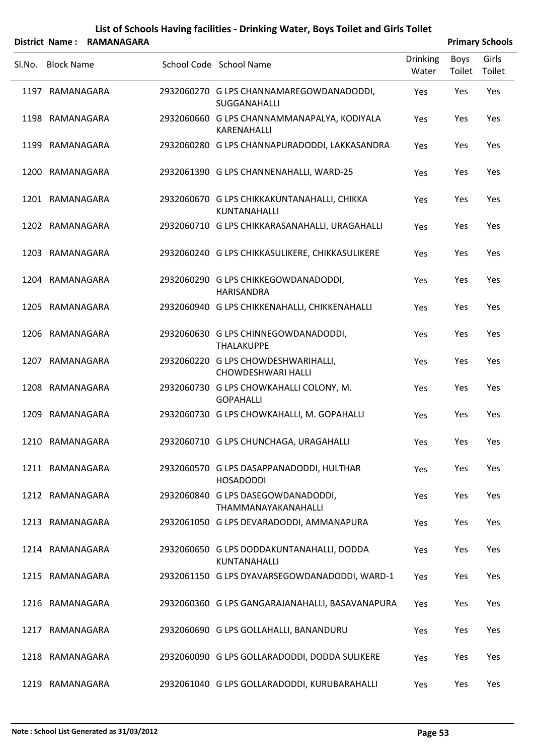|        |                   | District Name: RAMANAGARA |                                                                  |                          |                | <b>Primary Schools</b> |
|--------|-------------------|---------------------------|------------------------------------------------------------------|--------------------------|----------------|------------------------|
| SI.No. | <b>Block Name</b> |                           | School Code School Name                                          | <b>Drinking</b><br>Water | Boys<br>Toilet | Girls<br>Toilet        |
|        | 1197 RAMANAGARA   |                           | 2932060270 G LPS CHANNAMAREGOWDANADODDI,<br>SUGGANAHALLI         | Yes                      | Yes            | Yes                    |
|        | 1198 RAMANAGARA   |                           | 2932060660 G LPS CHANNAMMANAPALYA, KODIYALA<br>KARENAHALLI       | Yes                      | Yes            | Yes                    |
|        | 1199 RAMANAGARA   |                           | 2932060280 G LPS CHANNAPURADODDI, LAKKASANDRA                    | Yes                      | Yes            | Yes                    |
|        | 1200 RAMANAGARA   |                           | 2932061390 G LPS CHANNENAHALLI, WARD-25                          | Yes                      | Yes            | Yes                    |
|        | 1201 RAMANAGARA   |                           | 2932060670 G LPS CHIKKAKUNTANAHALLI, CHIKKA<br>KUNTANAHALLI      | Yes                      | Yes            | Yes                    |
|        | 1202 RAMANAGARA   |                           | 2932060710 G LPS CHIKKARASANAHALLI, URAGAHALLI                   | Yes                      | Yes            | Yes                    |
|        | 1203 RAMANAGARA   |                           | 2932060240 G LPS CHIKKASULIKERE, CHIKKASULIKERE                  | Yes                      | Yes            | Yes                    |
|        | 1204 RAMANAGARA   |                           | 2932060290 G LPS CHIKKEGOWDANADODDI,<br><b>HARISANDRA</b>        | Yes                      | Yes            | Yes                    |
|        | 1205 RAMANAGARA   |                           | 2932060940 G LPS CHIKKENAHALLI, CHIKKENAHALLI                    | Yes                      | Yes            | Yes                    |
|        | 1206 RAMANAGARA   |                           | 2932060630 G LPS CHINNEGOWDANADODDI,<br><b>THALAKUPPE</b>        | Yes                      | Yes            | Yes                    |
| 1207   | RAMANAGARA        |                           | 2932060220 G LPS CHOWDESHWARIHALLI,<br><b>CHOWDESHWARI HALLI</b> | Yes                      | Yes            | Yes                    |
|        | 1208 RAMANAGARA   |                           | 2932060730 G LPS CHOWKAHALLI COLONY, M.<br><b>GOPAHALLI</b>      | Yes                      | Yes            | Yes                    |
| 1209   | RAMANAGARA        |                           | 2932060730 G LPS CHOWKAHALLI, M. GOPAHALLI                       | Yes                      | Yes            | Yes                    |
|        | 1210 RAMANAGARA   |                           | 2932060710 G LPS CHUNCHAGA, URAGAHALLI                           | Yes                      | Yes            | Yes                    |
|        | 1211 RAMANAGARA   |                           | 2932060570 G LPS DASAPPANADODDI, HULTHAR<br><b>HOSADODDI</b>     | Yes                      | Yes            | Yes                    |
|        | 1212 RAMANAGARA   |                           | 2932060840 G LPS DASEGOWDANADODDI,<br>THAMMANAYAKANAHALLI        | Yes                      | Yes            | Yes                    |
|        | 1213 RAMANAGARA   |                           | 2932061050 G LPS DEVARADODDI, AMMANAPURA                         | Yes                      | Yes            | Yes                    |
|        | 1214 RAMANAGARA   |                           | 2932060650 G LPS DODDAKUNTANAHALLI, DODDA<br>KUNTANAHALLI        | Yes                      | Yes            | Yes                    |
|        | 1215 RAMANAGARA   |                           | 2932061150 G LPS DYAVARSEGOWDANADODDI, WARD-1                    | Yes                      | Yes            | Yes                    |
|        | 1216 RAMANAGARA   |                           | 2932060360 G LPS GANGARAJANAHALLI, BASAVANAPURA                  | Yes                      | Yes            | Yes                    |
|        | 1217 RAMANAGARA   |                           | 2932060690 G LPS GOLLAHALLI, BANANDURU                           | Yes                      | Yes            | Yes                    |
|        | 1218 RAMANAGARA   |                           | 2932060090 G LPS GOLLARADODDI, DODDA SULIKERE                    | Yes                      | Yes            | Yes                    |
|        | 1219 RAMANAGARA   |                           | 2932061040 G LPS GOLLARADODDI, KURUBARAHALLI                     | Yes                      | Yes            | Yes                    |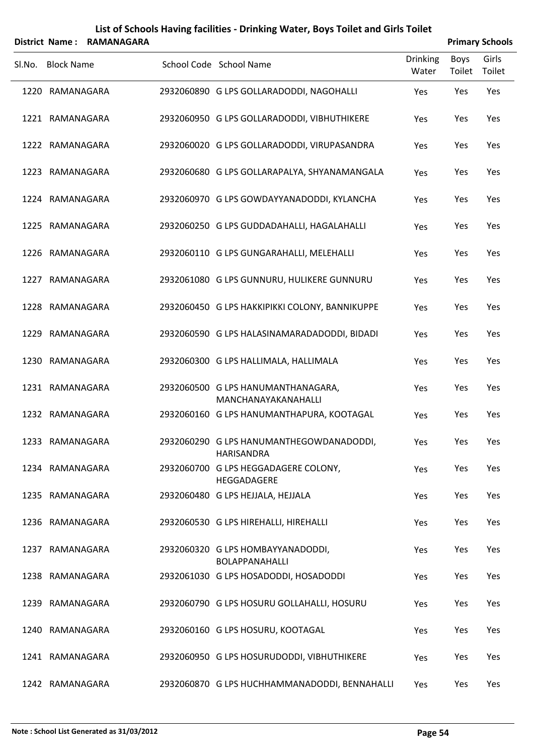| List of Schools Having facilities - Drinking Water, Boys Toilet and Girls Toilet |                |
|----------------------------------------------------------------------------------|----------------|
| trict Namo · DAMANACADA                                                          | <b>Drimany</b> |

|        | <b>District Name:</b> | <b>RAMANAGARA</b> |                                                            | <b>Primary Schools</b>   |                |                 |
|--------|-----------------------|-------------------|------------------------------------------------------------|--------------------------|----------------|-----------------|
| Sl.No. | <b>Block Name</b>     |                   | School Code School Name                                    | <b>Drinking</b><br>Water | Boys<br>Toilet | Girls<br>Toilet |
|        | 1220 RAMANAGARA       |                   | 2932060890 G LPS GOLLARADODDI, NAGOHALLI                   | Yes                      | Yes            | Yes             |
|        | 1221 RAMANAGARA       |                   | 2932060950 G LPS GOLLARADODDI, VIBHUTHIKERE                | Yes                      | Yes            | Yes             |
|        | 1222 RAMANAGARA       |                   | 2932060020 G LPS GOLLARADODDI, VIRUPASANDRA                | Yes                      | Yes            | Yes             |
|        | 1223 RAMANAGARA       |                   | 2932060680 G LPS GOLLARAPALYA, SHYANAMANGALA               | Yes                      | Yes            | Yes             |
|        | 1224 RAMANAGARA       |                   | 2932060970 G LPS GOWDAYYANADODDI, KYLANCHA                 | Yes                      | Yes            | Yes             |
|        | 1225 RAMANAGARA       |                   | 2932060250 G LPS GUDDADAHALLI, HAGALAHALLI                 | Yes                      | Yes            | Yes             |
|        | 1226 RAMANAGARA       |                   | 2932060110 G LPS GUNGARAHALLI, MELEHALLI                   | Yes                      | Yes            | Yes             |
|        | 1227 RAMANAGARA       |                   | 2932061080 G LPS GUNNURU, HULIKERE GUNNURU                 | Yes                      | Yes            | Yes             |
|        | 1228 RAMANAGARA       |                   | 2932060450 G LPS HAKKIPIKKI COLONY, BANNIKUPPE             | Yes                      | Yes            | Yes             |
|        | 1229 RAMANAGARA       |                   | 2932060590 G LPS HALASINAMARADADODDI, BIDADI               | Yes                      | Yes            | Yes             |
|        | 1230 RAMANAGARA       |                   | 2932060300 G LPS HALLIMALA, HALLIMALA                      | Yes                      | Yes            | Yes             |
|        | 1231 RAMANAGARA       |                   | 2932060500 G LPS HANUMANTHANAGARA,<br>MANCHANAYAKANAHALLI  | Yes                      | Yes            | Yes             |
|        | 1232 RAMANAGARA       |                   | 2932060160 G LPS HANUMANTHAPURA, KOOTAGAL                  | Yes                      | Yes            | Yes             |
|        | 1233 RAMANAGARA       |                   | 2932060290 G LPS HANUMANTHEGOWDANADODDI,<br>HARISANDRA     | Yes                      | Yes            | Yes             |
|        | 1234 RAMANAGARA       |                   | 2932060700 G LPS HEGGADAGERE COLONY,<br>HEGGADAGERE        | Yes                      | Yes            | Yes             |
|        | 1235 RAMANAGARA       |                   | 2932060480 G LPS HEJJALA, HEJJALA                          | Yes                      | Yes            | Yes             |
|        | 1236 RAMANAGARA       |                   | 2932060530 G LPS HIREHALLI, HIREHALLI                      | Yes                      | Yes            | Yes             |
|        | 1237 RAMANAGARA       |                   | 2932060320 G LPS HOMBAYYANADODDI,<br><b>BOLAPPANAHALLI</b> | Yes                      | Yes            | Yes             |
|        | 1238 RAMANAGARA       |                   | 2932061030 G LPS HOSADODDI, HOSADODDI                      | Yes                      | Yes            | Yes             |
|        | 1239 RAMANAGARA       |                   | 2932060790 G LPS HOSURU GOLLAHALLI, HOSURU                 | Yes                      | Yes            | Yes             |
|        | 1240 RAMANAGARA       |                   | 2932060160 G LPS HOSURU, KOOTAGAL                          | Yes                      | Yes            | Yes             |
|        | 1241 RAMANAGARA       |                   | 2932060950 G LPS HOSURUDODDI, VIBHUTHIKERE                 | Yes                      | Yes            | Yes             |
|        | 1242 RAMANAGARA       |                   | 2932060870 G LPS HUCHHAMMANADODDI, BENNAHALLI              | Yes                      | Yes            | Yes             |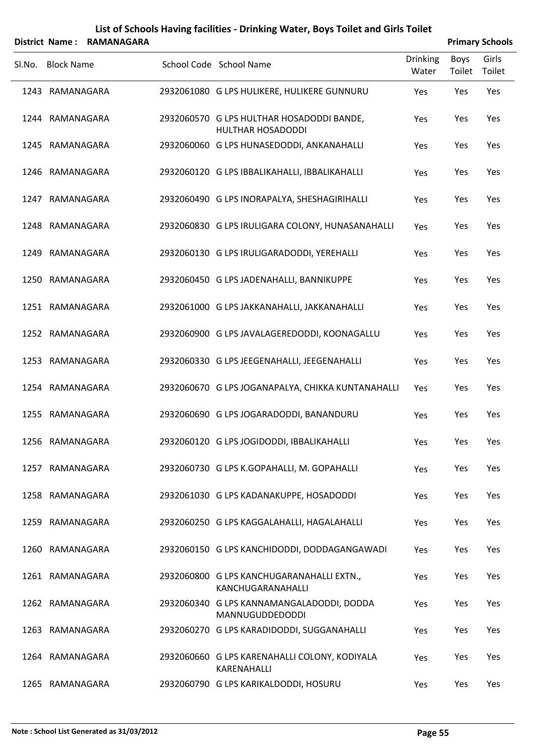|        |                   | District Name: RAMANAGARA |                                                                       |                          |                       | <b>Primary Schools</b> |
|--------|-------------------|---------------------------|-----------------------------------------------------------------------|--------------------------|-----------------------|------------------------|
| SI.No. | <b>Block Name</b> |                           | School Code School Name                                               | <b>Drinking</b><br>Water | <b>Boys</b><br>Toilet | Girls<br>Toilet        |
|        | 1243 RAMANAGARA   |                           | 2932061080 G LPS HULIKERE, HULIKERE GUNNURU                           | Yes                      | Yes                   | Yes                    |
|        | 1244 RAMANAGARA   |                           | 2932060570 G LPS HULTHAR HOSADODDI BANDE,<br><b>HULTHAR HOSADODDI</b> | Yes                      | Yes                   | Yes                    |
|        | 1245 RAMANAGARA   |                           | 2932060060 G LPS HUNASEDODDI, ANKANAHALLI                             | Yes                      | Yes                   | Yes                    |
|        | 1246 RAMANAGARA   |                           | 2932060120 G LPS IBBALIKAHALLI, IBBALIKAHALLI                         | Yes                      | Yes                   | Yes                    |
|        | 1247 RAMANAGARA   |                           | 2932060490 G LPS INORAPALYA, SHESHAGIRIHALLI                          | Yes                      | Yes                   | Yes                    |
|        | 1248 RAMANAGARA   |                           | 2932060830 G LPS IRULIGARA COLONY, HUNASANAHALLI                      | Yes                      | Yes                   | Yes                    |
|        | 1249 RAMANAGARA   |                           | 2932060130 G LPS IRULIGARADODDI, YEREHALLI                            | Yes                      | Yes                   | Yes                    |
|        | 1250 RAMANAGARA   |                           | 2932060450 G LPS JADENAHALLI, BANNIKUPPE                              | Yes                      | Yes                   | Yes                    |
|        | 1251 RAMANAGARA   |                           | 2932061000 G LPS JAKKANAHALLI, JAKKANAHALLI                           | Yes                      | Yes                   | Yes                    |
|        | 1252 RAMANAGARA   |                           | 2932060900 G LPS JAVALAGEREDODDI, KOONAGALLU                          | Yes                      | Yes                   | Yes                    |
|        | 1253 RAMANAGARA   |                           | 2932060330 G LPS JEEGENAHALLI, JEEGENAHALLI                           | Yes                      | Yes                   | Yes                    |
|        | 1254 RAMANAGARA   |                           | 2932060670 G LPS JOGANAPALYA, CHIKKA KUNTANAHALLI                     | Yes                      | Yes                   | Yes                    |
|        | 1255 RAMANAGARA   |                           | 2932060690 G LPS JOGARADODDI, BANANDURU                               | Yes                      | Yes                   | Yes                    |
|        | 1256 RAMANAGARA   |                           | 2932060120 G LPS JOGIDODDI, IBBALIKAHALLI                             | Yes                      | Yes                   | Yes                    |
|        | 1257 RAMANAGARA   |                           | 2932060730 G LPS K.GOPAHALLI, M. GOPAHALLI                            | Yes                      | Yes                   | Yes                    |
|        | 1258 RAMANAGARA   |                           | 2932061030 G LPS KADANAKUPPE, HOSADODDI                               | Yes                      | Yes                   | Yes                    |
|        | 1259 RAMANAGARA   |                           | 2932060250 G LPS KAGGALAHALLI, HAGALAHALLI                            | Yes                      | Yes                   | Yes                    |
|        | 1260 RAMANAGARA   |                           | 2932060150 G LPS KANCHIDODDI, DODDAGANGAWADI                          | Yes                      | Yes                   | Yes                    |
|        | 1261 RAMANAGARA   |                           | 2932060800 G LPS KANCHUGARANAHALLI EXTN.,<br>KANCHUGARANAHALLI        | Yes                      | Yes                   | Yes                    |
|        | 1262 RAMANAGARA   |                           | 2932060340 G LPS KANNAMANGALADODDI, DODDA<br>MANNUGUDDEDODDI          | Yes                      | Yes                   | Yes                    |
|        | 1263 RAMANAGARA   |                           | 2932060270 G LPS KARADIDODDI, SUGGANAHALLI                            | Yes                      | Yes                   | Yes                    |
|        | 1264 RAMANAGARA   |                           | 2932060660 G LPS KARENAHALLI COLONY, KODIYALA<br>KARENAHALLI          | Yes                      | Yes                   | Yes                    |
|        | 1265 RAMANAGARA   |                           | 2932060790 G LPS KARIKALDODDI, HOSURU                                 | Yes                      | Yes                   | Yes                    |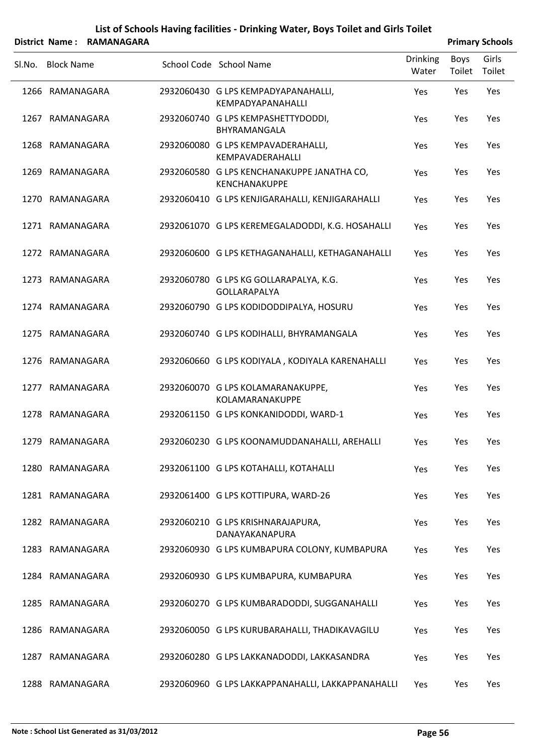|        |                   | District Name: RAMANAGARA |                                                                    |                          |                | <b>Primary Schools</b> |
|--------|-------------------|---------------------------|--------------------------------------------------------------------|--------------------------|----------------|------------------------|
| SI.No. | <b>Block Name</b> |                           | School Code School Name                                            | <b>Drinking</b><br>Water | Boys<br>Toilet | Girls<br>Toilet        |
|        | 1266 RAMANAGARA   |                           | 2932060430 G LPS KEMPADYAPANAHALLI,<br><b>KEMPADYAPANAHALLI</b>    | Yes                      | Yes            | Yes                    |
|        | 1267 RAMANAGARA   |                           | 2932060740 G LPS KEMPASHETTYDODDI,<br>BHYRAMANGALA                 | Yes                      | Yes            | Yes                    |
|        | 1268 RAMANAGARA   |                           | 2932060080 G LPS KEMPAVADERAHALLI,<br>KEMPAVADERAHALLI             | Yes                      | Yes            | Yes                    |
|        | 1269 RAMANAGARA   |                           | 2932060580 G LPS KENCHANAKUPPE JANATHA CO,<br><b>KENCHANAKUPPE</b> | Yes                      | Yes            | Yes                    |
|        | 1270 RAMANAGARA   |                           | 2932060410 G LPS KENJIGARAHALLI, KENJIGARAHALLI                    | Yes                      | Yes            | Yes                    |
|        | 1271 RAMANAGARA   |                           | 2932061070 G LPS KEREMEGALADODDI, K.G. HOSAHALLI                   | Yes                      | Yes            | Yes                    |
|        | 1272 RAMANAGARA   |                           | 2932060600 G LPS KETHAGANAHALLI, KETHAGANAHALLI                    | Yes                      | Yes            | Yes                    |
|        | 1273 RAMANAGARA   |                           | 2932060780 G LPS KG GOLLARAPALYA, K.G.<br>GOLLARAPALYA             | Yes                      | Yes            | Yes                    |
|        | 1274 RAMANAGARA   |                           | 2932060790 G LPS KODIDODDIPALYA, HOSURU                            | Yes                      | Yes            | Yes                    |
|        | 1275 RAMANAGARA   |                           | 2932060740 G LPS KODIHALLI, BHYRAMANGALA                           | Yes                      | Yes            | Yes                    |
|        | 1276 RAMANAGARA   |                           | 2932060660 G LPS KODIYALA, KODIYALA KARENAHALLI                    | Yes                      | Yes            | Yes                    |
|        | 1277 RAMANAGARA   |                           | 2932060070 G LPS KOLAMARANAKUPPE,<br>KOLAMARANAKUPPE               | Yes                      | Yes            | Yes                    |
|        | 1278 RAMANAGARA   |                           | 2932061150 G LPS KONKANIDODDI, WARD-1                              | Yes                      | Yes            | Yes                    |
|        | 1279 RAMANAGARA   |                           | 2932060230 G LPS KOONAMUDDANAHALLI, AREHALLI                       | Yes                      | Yes            | Yes                    |
|        | 1280 RAMANAGARA   |                           | 2932061100 G LPS KOTAHALLI, KOTAHALLI                              | Yes                      | Yes            | Yes                    |
|        | 1281 RAMANAGARA   |                           | 2932061400 G LPS KOTTIPURA, WARD-26                                | Yes                      | Yes            | Yes                    |
|        | 1282 RAMANAGARA   |                           | 2932060210 G LPS KRISHNARAJAPURA,<br>DANAYAKANAPURA                | Yes                      | Yes            | Yes                    |
|        | 1283 RAMANAGARA   |                           | 2932060930 G LPS KUMBAPURA COLONY, KUMBAPURA                       | Yes                      | Yes            | Yes                    |
|        | 1284 RAMANAGARA   |                           | 2932060930 G LPS KUMBAPURA, KUMBAPURA                              | Yes                      | Yes            | Yes                    |
|        | 1285 RAMANAGARA   |                           | 2932060270 G LPS KUMBARADODDI, SUGGANAHALLI                        | Yes                      | Yes            | Yes                    |
|        | 1286 RAMANAGARA   |                           | 2932060050 G LPS KURUBARAHALLI, THADIKAVAGILU                      | Yes                      | Yes            | Yes                    |
|        | 1287 RAMANAGARA   |                           | 2932060280 G LPS LAKKANADODDI, LAKKASANDRA                         | Yes                      | Yes            | Yes                    |
|        | 1288 RAMANAGARA   |                           | 2932060960 G LPS LAKKAPPANAHALLI, LAKKAPPANAHALLI                  | Yes                      | Yes            | Yes                    |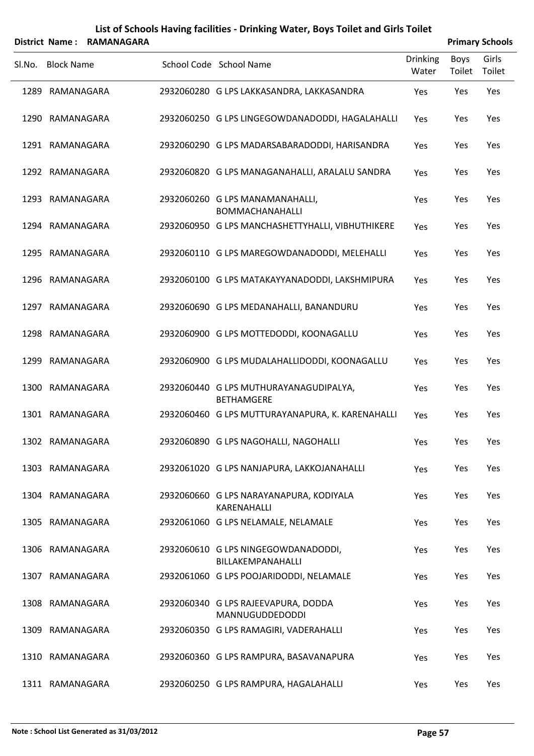|        |                   | District Name: RAMANAGARA |                                                             |                   |                       | <b>Primary Schools</b> |
|--------|-------------------|---------------------------|-------------------------------------------------------------|-------------------|-----------------------|------------------------|
| SI.No. | <b>Block Name</b> |                           | School Code School Name                                     | Drinking<br>Water | <b>Boys</b><br>Toilet | Girls<br>Toilet        |
|        | 1289 RAMANAGARA   |                           | 2932060280 G LPS LAKKASANDRA, LAKKASANDRA                   | Yes               | Yes                   | Yes                    |
|        | 1290 RAMANAGARA   |                           | 2932060250 G LPS LINGEGOWDANADODDI, HAGALAHALLI             | Yes               | Yes                   | Yes                    |
|        | 1291 RAMANAGARA   |                           | 2932060290 G LPS MADARSABARADODDI, HARISANDRA               | Yes               | Yes                   | Yes                    |
|        | 1292 RAMANAGARA   |                           | 2932060820 G LPS MANAGANAHALLI, ARALALU SANDRA              | Yes               | Yes                   | Yes                    |
|        | 1293 RAMANAGARA   |                           | 2932060260 G LPS MANAMANAHALLI,<br><b>BOMMACHANAHALLI</b>   | Yes               | Yes                   | Yes                    |
|        | 1294 RAMANAGARA   |                           | 2932060950 G LPS MANCHASHETTYHALLI, VIBHUTHIKERE            | Yes               | Yes                   | Yes                    |
|        | 1295 RAMANAGARA   |                           | 2932060110 G LPS MAREGOWDANADODDI, MELEHALLI                | Yes               | Yes                   | Yes                    |
|        | 1296 RAMANAGARA   |                           | 2932060100 G LPS MATAKAYYANADODDI, LAKSHMIPURA              | Yes               | Yes                   | Yes                    |
|        | 1297 RAMANAGARA   |                           | 2932060690 G LPS MEDANAHALLI, BANANDURU                     | Yes               | Yes                   | Yes                    |
|        | 1298 RAMANAGARA   |                           | 2932060900 G LPS MOTTEDODDI, KOONAGALLU                     | Yes               | Yes                   | Yes                    |
| 1299   | RAMANAGARA        |                           | 2932060900 G LPS MUDALAHALLIDODDI, KOONAGALLU               | Yes               | Yes                   | Yes                    |
|        | 1300 RAMANAGARA   |                           | 2932060440 G LPS MUTHURAYANAGUDIPALYA,<br><b>BETHAMGERE</b> | Yes               | Yes                   | Yes                    |
|        | 1301 RAMANAGARA   |                           | 2932060460 G LPS MUTTURAYANAPURA, K. KARENAHALLI            | Yes               | Yes                   | Yes                    |
|        | 1302 RAMANAGARA   |                           | 2932060890 G LPS NAGOHALLI, NAGOHALLI                       | Yes               | Yes                   | Yes                    |
|        | 1303 RAMANAGARA   |                           | 2932061020 G LPS NANJAPURA, LAKKOJANAHALLI                  | Yes               | Yes                   | Yes                    |
|        | 1304 RAMANAGARA   |                           | 2932060660 G LPS NARAYANAPURA, KODIYALA<br>KARENAHALLI      | Yes               | Yes                   | Yes                    |
|        | 1305 RAMANAGARA   |                           | 2932061060 G LPS NELAMALE, NELAMALE                         | Yes               | Yes                   | Yes                    |
|        | 1306 RAMANAGARA   |                           | 2932060610 G LPS NINGEGOWDANADODDI,<br>BILLAKEMPANAHALLI    | Yes               | Yes                   | Yes                    |
|        | 1307 RAMANAGARA   |                           | 2932061060 G LPS POOJARIDODDI, NELAMALE                     | Yes               | Yes                   | Yes                    |
|        | 1308 RAMANAGARA   |                           | 2932060340 G LPS RAJEEVAPURA, DODDA<br>MANNUGUDDEDODDI      | Yes               | Yes                   | Yes                    |
|        | 1309 RAMANAGARA   |                           | 2932060350 G LPS RAMAGIRI, VADERAHALLI                      | Yes               | Yes                   | Yes                    |
|        | 1310 RAMANAGARA   |                           | 2932060360 G LPS RAMPURA, BASAVANAPURA                      | Yes               | Yes                   | Yes                    |
|        | 1311 RAMANAGARA   |                           | 2932060250 G LPS RAMPURA, HAGALAHALLI                       | Yes               | Yes                   | Yes                    |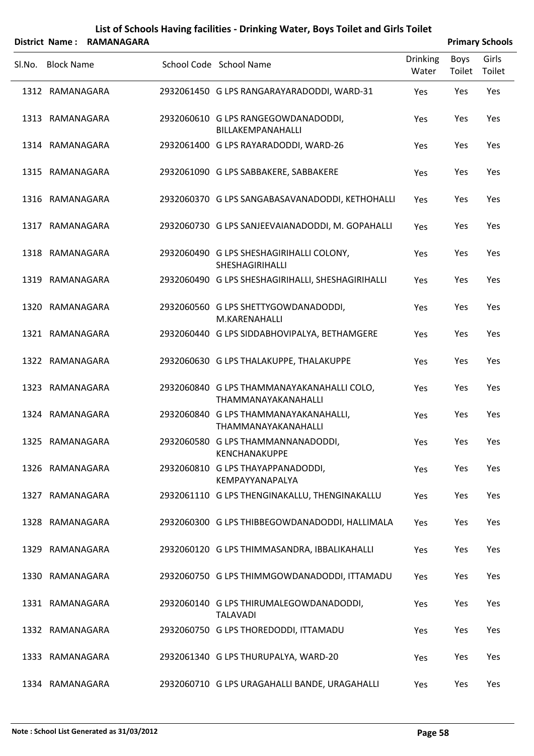|        |                   | District Name: RAMANAGARA |                                                                   |                          |                | <b>Primary Schools</b> |
|--------|-------------------|---------------------------|-------------------------------------------------------------------|--------------------------|----------------|------------------------|
| SI.No. | <b>Block Name</b> |                           | School Code School Name                                           | <b>Drinking</b><br>Water | Boys<br>Toilet | Girls<br>Toilet        |
|        | 1312 RAMANAGARA   |                           | 2932061450 G LPS RANGARAYARADODDI, WARD-31                        | Yes                      | Yes            | Yes                    |
|        | 1313 RAMANAGARA   |                           | 2932060610 G LPS RANGEGOWDANADODDI,<br>BILLAKEMPANAHALLI          | Yes                      | Yes            | Yes                    |
|        | 1314 RAMANAGARA   |                           | 2932061400 G LPS RAYARADODDI, WARD-26                             | Yes                      | Yes            | Yes                    |
|        | 1315 RAMANAGARA   |                           | 2932061090 G LPS SABBAKERE, SABBAKERE                             | Yes                      | Yes            | Yes                    |
|        | 1316 RAMANAGARA   |                           | 2932060370 G LPS SANGABASAVANADODDI, KETHOHALLI                   | Yes                      | Yes            | Yes                    |
|        | 1317 RAMANAGARA   |                           | 2932060730 G LPS SANJEEVAIANADODDI, M. GOPAHALLI                  | Yes                      | Yes            | Yes                    |
|        | 1318 RAMANAGARA   |                           | 2932060490 G LPS SHESHAGIRIHALLI COLONY,<br>SHESHAGIRIHALLI       | Yes                      | Yes            | Yes                    |
|        | 1319 RAMANAGARA   |                           | 2932060490 G LPS SHESHAGIRIHALLI, SHESHAGIRIHALLI                 | Yes                      | Yes            | Yes                    |
|        | 1320 RAMANAGARA   |                           | 2932060560 G LPS SHETTYGOWDANADODDI,<br>M.KARENAHALLI             | Yes                      | Yes            | Yes                    |
|        | 1321 RAMANAGARA   |                           | 2932060440 G LPS SIDDABHOVIPALYA, BETHAMGERE                      | Yes                      | Yes            | Yes                    |
|        | 1322 RAMANAGARA   |                           | 2932060630 G LPS THALAKUPPE, THALAKUPPE                           | Yes                      | Yes            | Yes                    |
|        | 1323 RAMANAGARA   |                           | 2932060840 G LPS THAMMANAYAKANAHALLI COLO,<br>THAMMANAYAKANAHALLI | Yes                      | Yes            | Yes                    |
|        | 1324 RAMANAGARA   |                           | 2932060840 G LPS THAMMANAYAKANAHALLI,<br>THAMMANAYAKANAHALLI      | Yes                      | Yes            | Yes                    |
|        | 1325 RAMANAGARA   |                           | 2932060580 G LPS THAMMANNANADODDI,<br><b>KENCHANAKUPPE</b>        | Yes                      | Yes            | Yes                    |
|        | 1326 RAMANAGARA   |                           | 2932060810 G LPS THAYAPPANADODDI,<br>KEMPAYYANAPALYA              | Yes                      | Yes            | Yes                    |
|        | 1327 RAMANAGARA   |                           | 2932061110 G LPS THENGINAKALLU, THENGINAKALLU                     | Yes                      | Yes            | Yes                    |
|        | 1328 RAMANAGARA   |                           | 2932060300 G LPS THIBBEGOWDANADODDI, HALLIMALA                    | Yes                      | Yes            | Yes                    |
|        | 1329 RAMANAGARA   |                           | 2932060120 G LPS THIMMASANDRA, IBBALIKAHALLI                      | Yes                      | Yes            | Yes                    |
|        | 1330 RAMANAGARA   |                           | 2932060750 G LPS THIMMGOWDANADODDI, ITTAMADU                      | Yes                      | Yes            | Yes                    |
|        | 1331 RAMANAGARA   |                           | 2932060140 G LPS THIRUMALEGOWDANADODDI,<br><b>TALAVADI</b>        | Yes                      | Yes            | Yes                    |
|        | 1332 RAMANAGARA   |                           | 2932060750 G LPS THOREDODDI, ITTAMADU                             | Yes                      | Yes            | Yes                    |
|        | 1333 RAMANAGARA   |                           | 2932061340 G LPS THURUPALYA, WARD-20                              | Yes                      | Yes            | Yes                    |
|        | 1334 RAMANAGARA   |                           | 2932060710 G LPS URAGAHALLI BANDE, URAGAHALLI                     | Yes                      | Yes            | Yes                    |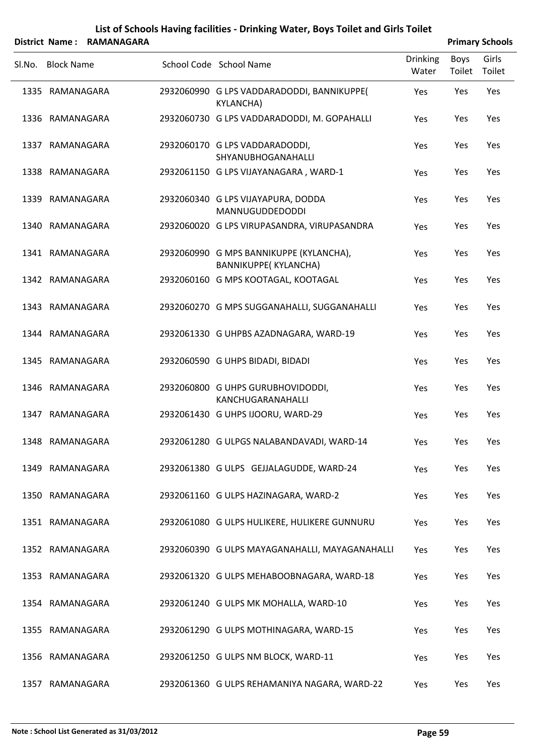|        |                   | District Name: RAMANAGARA |                                                                 |                          |                | <b>Primary Schools</b> |
|--------|-------------------|---------------------------|-----------------------------------------------------------------|--------------------------|----------------|------------------------|
| SI.No. | <b>Block Name</b> |                           | School Code School Name                                         | <b>Drinking</b><br>Water | Boys<br>Toilet | Girls<br>Toilet        |
|        | 1335 RAMANAGARA   |                           | 2932060990 G LPS VADDARADODDI, BANNIKUPPE(<br><b>KYLANCHA)</b>  | Yes                      | Yes            | Yes                    |
|        | 1336 RAMANAGARA   |                           | 2932060730 G LPS VADDARADODDI, M. GOPAHALLI                     | Yes                      | Yes            | Yes                    |
|        | 1337 RAMANAGARA   |                           | 2932060170 G LPS VADDARADODDI,<br><b>SHYANUBHOGANAHALLI</b>     | Yes                      | Yes            | Yes                    |
|        | 1338 RAMANAGARA   |                           | 2932061150 G LPS VIJAYANAGARA, WARD-1                           | Yes                      | Yes            | Yes                    |
|        | 1339 RAMANAGARA   |                           | 2932060340 G LPS VIJAYAPURA, DODDA<br><b>MANNUGUDDEDODDI</b>    | Yes                      | Yes            | Yes                    |
|        | 1340 RAMANAGARA   |                           | 2932060020 G LPS VIRUPASANDRA, VIRUPASANDRA                     | Yes                      | Yes            | Yes                    |
|        | 1341 RAMANAGARA   |                           | 2932060990 G MPS BANNIKUPPE (KYLANCHA),<br>BANNIKUPPE(KYLANCHA) | Yes                      | Yes            | Yes                    |
|        | 1342 RAMANAGARA   |                           | 2932060160 G MPS KOOTAGAL, KOOTAGAL                             | Yes                      | Yes            | Yes                    |
|        | 1343 RAMANAGARA   |                           | 2932060270 G MPS SUGGANAHALLI, SUGGANAHALLI                     | Yes                      | Yes            | Yes                    |
|        | 1344 RAMANAGARA   |                           | 2932061330 G UHPBS AZADNAGARA, WARD-19                          | Yes                      | Yes            | Yes                    |
|        | 1345 RAMANAGARA   |                           | 2932060590 G UHPS BIDADI, BIDADI                                | Yes                      | Yes            | Yes                    |
|        | 1346 RAMANAGARA   |                           | 2932060800 G UHPS GURUBHOVIDODDI,<br>KANCHUGARANAHALLI          | Yes                      | Yes            | Yes                    |
|        | 1347 RAMANAGARA   |                           | 2932061430 G UHPS IJOORU, WARD-29                               | Yes                      | Yes            | Yes                    |
|        | 1348 RAMANAGARA   |                           | 2932061280 G ULPGS NALABANDAVADI, WARD-14                       | Yes                      | Yes            | Yes                    |
|        | 1349 RAMANAGARA   |                           | 2932061380 G ULPS GEJJALAGUDDE, WARD-24                         | Yes                      | Yes            | Yes                    |
|        | 1350 RAMANAGARA   |                           | 2932061160 G ULPS HAZINAGARA, WARD-2                            | Yes                      | Yes            | Yes                    |
|        | 1351 RAMANAGARA   |                           | 2932061080 G ULPS HULIKERE, HULIKERE GUNNURU                    | Yes                      | Yes            | Yes                    |
|        | 1352 RAMANAGARA   |                           | 2932060390 G ULPS MAYAGANAHALLI, MAYAGANAHALLI                  | Yes                      | Yes            | Yes                    |
|        | 1353 RAMANAGARA   |                           | 2932061320 G ULPS MEHABOOBNAGARA, WARD-18                       | Yes                      | Yes            | Yes                    |
|        | 1354 RAMANAGARA   |                           | 2932061240 G ULPS MK MOHALLA, WARD-10                           | Yes                      | Yes            | Yes                    |
|        | 1355 RAMANAGARA   |                           | 2932061290 G ULPS MOTHINAGARA, WARD-15                          | Yes                      | Yes            | Yes                    |
|        | 1356 RAMANAGARA   |                           | 2932061250 G ULPS NM BLOCK, WARD-11                             | Yes                      | Yes            | Yes                    |
|        | 1357 RAMANAGARA   |                           | 2932061360 G ULPS REHAMANIYA NAGARA, WARD-22                    | Yes                      | Yes            | Yes                    |